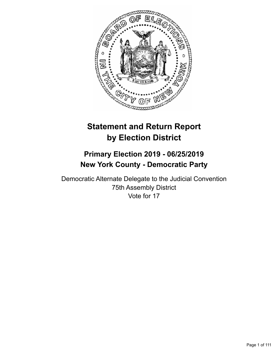

# **Statement and Return Report by Election District**

# **Primary Election 2019 - 06/25/2019 New York County - Democratic Party**

Democratic Alternate Delegate to the Judicial Convention 75th Assembly District Vote for 17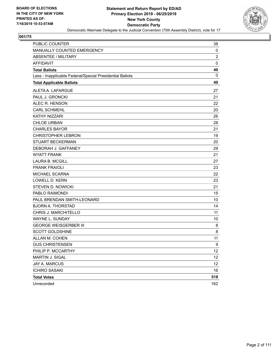

| PUBLIC COUNTER                                           | 38             |
|----------------------------------------------------------|----------------|
| MANUALLY COUNTED EMERGENCY                               | 0              |
| <b>ABSENTEE / MILITARY</b>                               | $\overline{c}$ |
| <b>AFFIDAVIT</b>                                         | $\mathbf 0$    |
| <b>Total Ballots</b>                                     | 40             |
| Less - Inapplicable Federal/Special Presidential Ballots | 0              |
| <b>Total Applicable Ballots</b>                          | 40             |
| ALETA A. LAFARGUE                                        | 27             |
| PAUL J. GRONCKI                                          | 21             |
| ALEC R. HENSON                                           | 22             |
| <b>CARL SCHMEHL</b>                                      | 20             |
| KATHY NIZZARI                                            | 26             |
| <b>CHLOE URBAN</b>                                       | 28             |
| <b>CHARLES BAYOR</b>                                     | 21             |
| <b>CHRISTOPHER LEBRON</b>                                | 19             |
| <b>STUART BECKERMAN</b>                                  | 20             |
| DEBORAH J. GAFFANEY                                      | 29             |
| <b>WYATT FRANK</b>                                       | 21             |
| <b>LAURA B. MCGILL</b>                                   | 27             |
| <b>FRANK FRAIOLI</b>                                     | 23             |
| MICHAEL SCARNA                                           | 22             |
| <b>LOWELL D. KERN</b>                                    | 23             |
| <b>STEVEN D. NOWICKI</b>                                 | 21             |
| PABLO RAIMONDI                                           | 15             |
| PAUL BRENDAN SMITH-LEONARD                               | 10             |
| <b>BJORN A. THORSTAD</b>                                 | 14             |
| CHRIS J. MARCHITELLO                                     | 11             |
| WAYNE L. SUNDAY                                          | 10             |
| <b>GEORGE WEISGERBER III</b>                             | 8              |
| <b>SCOTT GOLDSHINE</b>                                   | 8              |
| ALLAN M. COHEN                                           | 11             |
| <b>GUS CHRISTENSEN</b>                                   | 9              |
| PHILIP P. MCCARTHY                                       | 12             |
| <b>MARTIN J. SIGAL</b>                                   | 12             |
| JAY A. MARCUS                                            | 12             |
| <b>ICHIRO SASAKI</b>                                     | 16             |
| <b>Total Votes</b>                                       | 518            |
| Unrecorded                                               | 162            |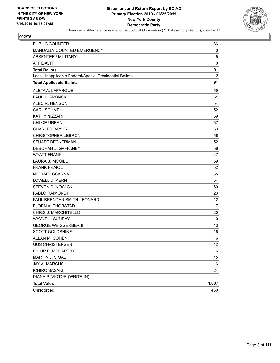

| <b>PUBLIC COUNTER</b>                                    | 86          |
|----------------------------------------------------------|-------------|
| MANUALLY COUNTED EMERGENCY                               | 0           |
| <b>ABSENTEE / MILITARY</b>                               | 5           |
| <b>AFFIDAVIT</b>                                         | $\mathbf 0$ |
| <b>Total Ballots</b>                                     | 91          |
| Less - Inapplicable Federal/Special Presidential Ballots | 0           |
| <b>Total Applicable Ballots</b>                          | 91          |
| ALETA A. LAFARGUE                                        | 59          |
| PAUL J. GRONCKI                                          | 51          |
| ALEC R. HENSON                                           | 54          |
| <b>CARL SCHMEHL</b>                                      | 52          |
| KATHY NIZZARI                                            | 59          |
| <b>CHLOE URBAN</b>                                       | 57          |
| <b>CHARLES BAYOR</b>                                     | 53          |
| <b>CHRISTOPHER LEBRON</b>                                | 56          |
| <b>STUART BECKERMAN</b>                                  | 52          |
| DEBORAH J. GAFFANEY                                      | 56          |
| <b>WYATT FRANK</b>                                       | 47          |
| <b>LAURA B. MCGILL</b>                                   | 59          |
| <b>FRANK FRAIOLI</b>                                     | 52          |
| MICHAEL SCARNA                                           | 55          |
| <b>LOWELL D. KERN</b>                                    | 54          |
| <b>STEVEN D. NOWICKI</b>                                 | 60          |
| PABLO RAIMONDI                                           | 23          |
| PAUL BRENDAN SMITH-LEONARD                               | 12          |
| <b>BJORN A. THORSTAD</b>                                 | 17          |
| CHRIS J. MARCHITELLO                                     | 20          |
| WAYNE L. SUNDAY                                          | 10          |
| <b>GEORGE WEISGERBER III</b>                             | 13          |
| <b>SCOTT GOLDSHINE</b>                                   | 16          |
| ALLAN M. COHEN                                           | 16          |
| <b>GUS CHRISTENSEN</b>                                   | 12          |
| PHILIP P. MCCARTHY                                       | 16          |
| MARTIN J. SIGAL                                          | 15          |
| JAY A. MARCUS                                            | 16          |
| <b>ICHIRO SASAKI</b>                                     | 24          |
| DIANA P. VICTOR (WRITE-IN)                               | 1           |
| <b>Total Votes</b>                                       | 1,087       |
| Unrecorded                                               | 460         |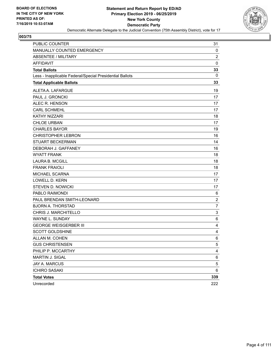

| PUBLIC COUNTER                                           | 31               |
|----------------------------------------------------------|------------------|
| MANUALLY COUNTED EMERGENCY                               | 0                |
| <b>ABSENTEE / MILITARY</b>                               | 2                |
| <b>AFFIDAVIT</b>                                         | $\mathbf 0$      |
| <b>Total Ballots</b>                                     | 33               |
| Less - Inapplicable Federal/Special Presidential Ballots | 0                |
| <b>Total Applicable Ballots</b>                          | 33               |
| ALETA A. LAFARGUE                                        | 19               |
| PAUL J. GRONCKI                                          | 17               |
| ALEC R. HENSON                                           | 17               |
| <b>CARL SCHMEHL</b>                                      | 17               |
| <b>KATHY NIZZARI</b>                                     | 18               |
| <b>CHLOE URBAN</b>                                       | 17               |
| <b>CHARLES BAYOR</b>                                     | 19               |
| <b>CHRISTOPHER LEBRON</b>                                | 16               |
| <b>STUART BECKERMAN</b>                                  | 14               |
| DEBORAH J. GAFFANEY                                      | 16               |
| <b>WYATT FRANK</b>                                       | 18               |
| <b>LAURA B. MCGILL</b>                                   | 18               |
| <b>FRANK FRAIOLI</b>                                     | 18               |
| MICHAEL SCARNA                                           | 17               |
| <b>LOWELL D. KERN</b>                                    | 17               |
| <b>STEVEN D. NOWICKI</b>                                 | 17               |
| PABLO RAIMONDI                                           | 6                |
| PAUL BRENDAN SMITH-LEONARD                               | $\boldsymbol{2}$ |
| <b>BJORN A. THORSTAD</b>                                 | $\overline{7}$   |
| CHRIS J. MARCHITELLO                                     | 3                |
| WAYNE L. SUNDAY                                          | 6                |
| <b>GEORGE WEISGERBER III</b>                             | 4                |
| <b>SCOTT GOLDSHINE</b>                                   | 4                |
| ALLAN M. COHEN                                           | 6                |
| <b>GUS CHRISTENSEN</b>                                   | 5                |
| PHILIP P. MCCARTHY                                       | 4                |
| MARTIN J. SIGAL                                          | 6                |
| JAY A. MARCUS                                            | $\,$ 5 $\,$      |
| <b>ICHIRO SASAKI</b>                                     | 6                |
| <b>Total Votes</b>                                       | 339              |
| Unrecorded                                               | 222              |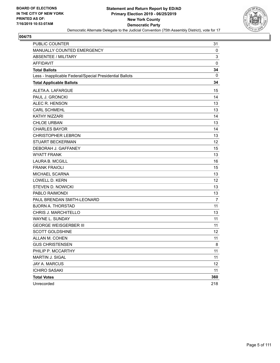

| <b>PUBLIC COUNTER</b>                                    | 31             |
|----------------------------------------------------------|----------------|
| MANUALLY COUNTED EMERGENCY                               | 0              |
| <b>ABSENTEE / MILITARY</b>                               | 3              |
| <b>AFFIDAVIT</b>                                         | $\mathbf 0$    |
| <b>Total Ballots</b>                                     | 34             |
| Less - Inapplicable Federal/Special Presidential Ballots | 0              |
| <b>Total Applicable Ballots</b>                          | 34             |
| ALETA A. LAFARGUE                                        | 15             |
| PAUL J. GRONCKI                                          | 14             |
| ALEC R. HENSON                                           | 13             |
| <b>CARL SCHMEHL</b>                                      | 13             |
| KATHY NIZZARI                                            | 14             |
| <b>CHLOE URBAN</b>                                       | 13             |
| <b>CHARLES BAYOR</b>                                     | 14             |
| <b>CHRISTOPHER LEBRON</b>                                | 13             |
| <b>STUART BECKERMAN</b>                                  | 12             |
| DEBORAH J. GAFFANEY                                      | 15             |
| <b>WYATT FRANK</b>                                       | 13             |
| <b>LAURA B. MCGILL</b>                                   | 16             |
| <b>FRANK FRAIOLI</b>                                     | 15             |
| MICHAEL SCARNA                                           | 13             |
| <b>LOWELL D. KERN</b>                                    | 12             |
| <b>STEVEN D. NOWICKI</b>                                 | 13             |
| PABLO RAIMONDI                                           | 13             |
| PAUL BRENDAN SMITH-LEONARD                               | $\overline{7}$ |
| <b>BJORN A. THORSTAD</b>                                 | 11             |
| CHRIS J. MARCHITELLO                                     | 13             |
| WAYNE L. SUNDAY                                          | 11             |
| <b>GEORGE WEISGERBER III</b>                             | 11             |
| <b>SCOTT GOLDSHINE</b>                                   | 12             |
| ALLAN M. COHEN                                           | 11             |
| <b>GUS CHRISTENSEN</b>                                   | 8              |
| PHILIP P. MCCARTHY                                       | 11             |
| MARTIN J. SIGAL                                          | 11             |
| JAY A. MARCUS                                            | 12             |
| <b>ICHIRO SASAKI</b>                                     | 11             |
| <b>Total Votes</b>                                       | 360            |
| Unrecorded                                               | 218            |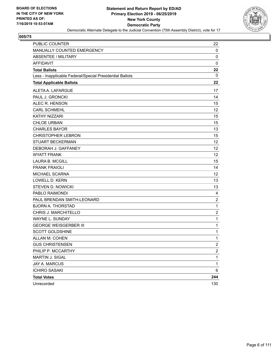

| PUBLIC COUNTER                                           | 22             |
|----------------------------------------------------------|----------------|
| MANUALLY COUNTED EMERGENCY                               | 0              |
| ABSENTEE / MILITARY                                      | 0              |
| <b>AFFIDAVIT</b>                                         | $\mathbf 0$    |
| <b>Total Ballots</b>                                     | 22             |
| Less - Inapplicable Federal/Special Presidential Ballots | 0              |
| <b>Total Applicable Ballots</b>                          | 22             |
| ALETA A. LAFARGUE                                        | 17             |
| PAUL J. GRONCKI                                          | 14             |
| ALEC R. HENSON                                           | 15             |
| <b>CARL SCHMEHL</b>                                      | 12             |
| <b>KATHY NIZZARI</b>                                     | 15             |
| <b>CHLOE URBAN</b>                                       | 15             |
| <b>CHARLES BAYOR</b>                                     | 13             |
| <b>CHRISTOPHER LEBRON</b>                                | 15             |
| <b>STUART BECKERMAN</b>                                  | 12             |
| DEBORAH J. GAFFANEY                                      | 12             |
| <b>WYATT FRANK</b>                                       | 12             |
| <b>LAURA B. MCGILL</b>                                   | 15             |
| <b>FRANK FRAIOLI</b>                                     | 14             |
| <b>MICHAEL SCARNA</b>                                    | 12             |
| LOWELL D. KERN                                           | 13             |
| <b>STEVEN D. NOWICKI</b>                                 | 13             |
| PABLO RAIMONDI                                           | 4              |
| PAUL BRENDAN SMITH-LEONARD                               | $\overline{c}$ |
| <b>BJORN A. THORSTAD</b>                                 | $\mathbf{1}$   |
| CHRIS J. MARCHITELLO                                     | $\overline{c}$ |
| WAYNE L. SUNDAY                                          | 1              |
| <b>GEORGE WEISGERBER III</b>                             | $\mathbf 1$    |
| <b>SCOTT GOLDSHINE</b>                                   | 1              |
| ALLAN M. COHEN                                           | 1              |
| <b>GUS CHRISTENSEN</b>                                   | $\overline{2}$ |
| PHILIP P. MCCARTHY                                       | 2              |
| MARTIN J. SIGAL                                          | $\mathbf{1}$   |
| <b>JAY A. MARCUS</b>                                     | $\mathbf 1$    |
| <b>ICHIRO SASAKI</b>                                     | 6              |
| <b>Total Votes</b>                                       | 244            |
| Unrecorded                                               | 130            |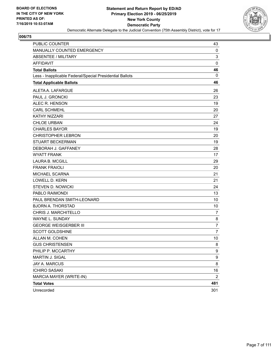

| <b>PUBLIC COUNTER</b>                                    | 43             |
|----------------------------------------------------------|----------------|
| MANUALLY COUNTED EMERGENCY                               | 0              |
| <b>ABSENTEE / MILITARY</b>                               | 3              |
| <b>AFFIDAVIT</b>                                         | $\pmb{0}$      |
| <b>Total Ballots</b>                                     | 46             |
| Less - Inapplicable Federal/Special Presidential Ballots | 0              |
| <b>Total Applicable Ballots</b>                          | 46             |
| ALETA A. LAFARGUE                                        | 26             |
| PAUL J. GRONCKI                                          | 23             |
| ALEC R. HENSON                                           | 19             |
| <b>CARL SCHMEHL</b>                                      | 20             |
| <b>KATHY NIZZARI</b>                                     | 27             |
| <b>CHLOE URBAN</b>                                       | 24             |
| <b>CHARLES BAYOR</b>                                     | 19             |
| <b>CHRISTOPHER LEBRON</b>                                | 20             |
| <b>STUART BECKERMAN</b>                                  | 19             |
| DEBORAH J. GAFFANEY                                      | 28             |
| <b>WYATT FRANK</b>                                       | 17             |
| <b>LAURA B. MCGILL</b>                                   | 29             |
| <b>FRANK FRAIOLI</b>                                     | 20             |
| MICHAEL SCARNA                                           | 21             |
| LOWELL D. KERN                                           | 21             |
| <b>STEVEN D. NOWICKI</b>                                 | 24             |
| PABLO RAIMONDI                                           | 13             |
| PAUL BRENDAN SMITH-LEONARD                               | 10             |
| <b>BJORN A. THORSTAD</b>                                 | 10             |
| CHRIS J. MARCHITELLO                                     | $\overline{7}$ |
| WAYNE L. SUNDAY                                          | 8              |
| <b>GEORGE WEISGERBER III</b>                             | 7              |
| <b>SCOTT GOLDSHINE</b>                                   | $\overline{7}$ |
| ALLAN M. COHEN                                           | 10             |
| <b>GUS CHRISTENSEN</b>                                   | 8              |
| PHILIP P. MCCARTHY                                       | 9              |
| MARTIN J. SIGAL                                          | 9              |
| <b>JAY A. MARCUS</b>                                     | 8              |
| <b>ICHIRO SASAKI</b>                                     | 16             |
| MARCIA MAYER (WRITE-IN)                                  | $\overline{2}$ |
| <b>Total Votes</b>                                       | 481            |
| Unrecorded                                               | 301            |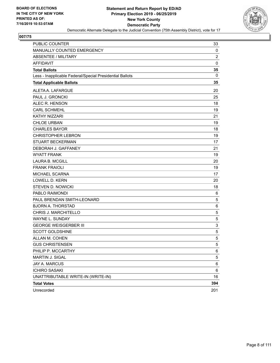

| PUBLIC COUNTER                                           | 33              |
|----------------------------------------------------------|-----------------|
| MANUALLY COUNTED EMERGENCY                               | 0               |
| ABSENTEE / MILITARY                                      | $\overline{2}$  |
| <b>AFFIDAVIT</b>                                         | $\mathbf 0$     |
| <b>Total Ballots</b>                                     | 35              |
| Less - Inapplicable Federal/Special Presidential Ballots | $\mathbf{0}$    |
| <b>Total Applicable Ballots</b>                          | 35              |
| ALETA A. LAFARGUE                                        | 20              |
| PAUL J. GRONCKI                                          | 25              |
| ALEC R. HENSON                                           | 18              |
| <b>CARL SCHMEHL</b>                                      | 19              |
| <b>KATHY NIZZARI</b>                                     | 21              |
| <b>CHLOE URBAN</b>                                       | 19              |
| <b>CHARLES BAYOR</b>                                     | 18              |
| <b>CHRISTOPHER LEBRON</b>                                | 19              |
| <b>STUART BECKERMAN</b>                                  | 17              |
| DEBORAH J. GAFFANEY                                      | 21              |
| <b>WYATT FRANK</b>                                       | 19              |
| <b>LAURA B. MCGILL</b>                                   | 20              |
| <b>FRANK FRAIOLI</b>                                     | 19              |
| MICHAEL SCARNA                                           | 17              |
| <b>LOWELL D. KERN</b>                                    | 20              |
| <b>STEVEN D. NOWICKI</b>                                 | 18              |
| PABLO RAIMONDI                                           | 6               |
| PAUL BRENDAN SMITH-LEONARD                               | 5               |
| <b>BJORN A. THORSTAD</b>                                 | 6               |
| CHRIS J. MARCHITELLO                                     | 5               |
| <b>WAYNE L. SUNDAY</b>                                   | 5               |
| <b>GEORGE WEISGERBER III</b>                             | 3               |
| <b>SCOTT GOLDSHINE</b>                                   | 5               |
| ALLAN M. COHEN                                           | 5               |
| <b>GUS CHRISTENSEN</b>                                   | $\mathbf 5$     |
| PHILIP P. MCCARTHY                                       | 6               |
| MARTIN J. SIGAL                                          | 5               |
| JAY A. MARCUS                                            | 6               |
| <b>ICHIRO SASAKI</b>                                     | $6\phantom{.}6$ |
| UNATTRIBUTABLE WRITE-IN (WRITE-IN)                       | 16              |
| <b>Total Votes</b>                                       | 394             |
| Unrecorded                                               | 201             |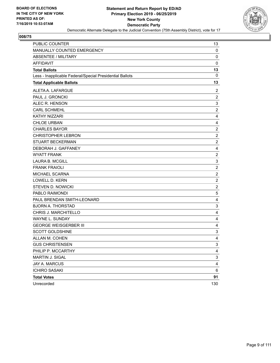

| <b>PUBLIC COUNTER</b>                                    | 13                        |
|----------------------------------------------------------|---------------------------|
| MANUALLY COUNTED EMERGENCY                               | 0                         |
| <b>ABSENTEE / MILITARY</b>                               | 0                         |
| <b>AFFIDAVIT</b>                                         | $\mathbf 0$               |
| <b>Total Ballots</b>                                     | 13                        |
| Less - Inapplicable Federal/Special Presidential Ballots | 0                         |
| <b>Total Applicable Ballots</b>                          | 13                        |
| ALETA A. LAFARGUE                                        | 2                         |
| PAUL J. GRONCKI                                          | $\overline{c}$            |
| ALEC R. HENSON                                           | 3                         |
| <b>CARL SCHMEHL</b>                                      | $\boldsymbol{2}$          |
| <b>KATHY NIZZARI</b>                                     | 4                         |
| <b>CHLOE URBAN</b>                                       | 4                         |
| <b>CHARLES BAYOR</b>                                     | $\boldsymbol{2}$          |
| <b>CHRISTOPHER LEBRON</b>                                | $\overline{c}$            |
| <b>STUART BECKERMAN</b>                                  | $\overline{c}$            |
| DEBORAH J. GAFFANEY                                      | 4                         |
| <b>WYATT FRANK</b>                                       | $\overline{c}$            |
| <b>LAURA B. MCGILL</b>                                   | $\ensuremath{\mathsf{3}}$ |
| <b>FRANK FRAIOLI</b>                                     | $\boldsymbol{2}$          |
| MICHAEL SCARNA                                           | $\overline{c}$            |
| LOWELL D. KERN                                           | $\overline{c}$            |
| <b>STEVEN D. NOWICKI</b>                                 | $\overline{c}$            |
| PABLO RAIMONDI                                           | 5                         |
| PAUL BRENDAN SMITH-LEONARD                               | 4                         |
| <b>BJORN A. THORSTAD</b>                                 | 3                         |
| CHRIS J. MARCHITELLO                                     | 4                         |
| WAYNE L. SUNDAY                                          | 4                         |
| <b>GEORGE WEISGERBER III</b>                             | 4                         |
| <b>SCOTT GOLDSHINE</b>                                   | 3                         |
| ALLAN M. COHEN                                           | 4                         |
| <b>GUS CHRISTENSEN</b>                                   | 3                         |
| PHILIP P. MCCARTHY                                       | 4                         |
| MARTIN J. SIGAL                                          | 3                         |
| JAY A. MARCUS                                            | 4                         |
| <b>ICHIRO SASAKI</b>                                     | 6                         |
| <b>Total Votes</b>                                       | 91                        |
| Unrecorded                                               | 130                       |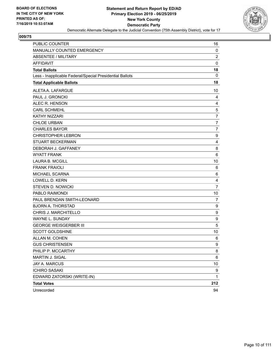

| PUBLIC COUNTER                                           | 16               |
|----------------------------------------------------------|------------------|
| MANUALLY COUNTED EMERGENCY                               | 0                |
| ABSENTEE / MILITARY                                      | $\overline{c}$   |
| <b>AFFIDAVIT</b>                                         | $\mathbf 0$      |
| <b>Total Ballots</b>                                     | 18               |
| Less - Inapplicable Federal/Special Presidential Ballots | 0                |
| <b>Total Applicable Ballots</b>                          | 18               |
| ALETA A. LAFARGUE                                        | 10               |
| PAUL J. GRONCKI                                          | 4                |
| ALEC R. HENSON                                           | 4                |
| <b>CARL SCHMEHL</b>                                      | $\mathbf 5$      |
| <b>KATHY NIZZARI</b>                                     | $\overline{7}$   |
| <b>CHLOE URBAN</b>                                       | $\overline{7}$   |
| <b>CHARLES BAYOR</b>                                     | $\overline{7}$   |
| <b>CHRISTOPHER LEBRON</b>                                | 9                |
| <b>STUART BECKERMAN</b>                                  | 4                |
| DEBORAH J. GAFFANEY                                      | 8                |
| <b>WYATT FRANK</b>                                       | 6                |
| <b>LAURA B. MCGILL</b>                                   | 10               |
| <b>FRANK FRAIOLI</b>                                     | 6                |
| MICHAEL SCARNA                                           | 6                |
| <b>LOWELL D. KERN</b>                                    | 4                |
| <b>STEVEN D. NOWICKI</b>                                 | $\overline{7}$   |
| PABLO RAIMONDI                                           | 10               |
| PAUL BRENDAN SMITH-LEONARD                               | 7                |
| <b>BJORN A. THORSTAD</b>                                 | 9                |
| CHRIS J. MARCHITELLO                                     | 9                |
| WAYNE L. SUNDAY                                          | $\boldsymbol{9}$ |
| <b>GEORGE WEISGERBER III</b>                             | 5                |
| <b>SCOTT GOLDSHINE</b>                                   | 10               |
| ALLAN M. COHEN                                           | 6                |
| <b>GUS CHRISTENSEN</b>                                   | q                |
| PHILIP P. MCCARTHY                                       | 8                |
| MARTIN J. SIGAL                                          | 6                |
| JAY A. MARCUS                                            | 10               |
| <b>ICHIRO SASAKI</b>                                     | 9                |
| EDWARD ZATORSKI (WRITE-IN)                               | 1                |
| <b>Total Votes</b>                                       | 212              |
| Unrecorded                                               | 94               |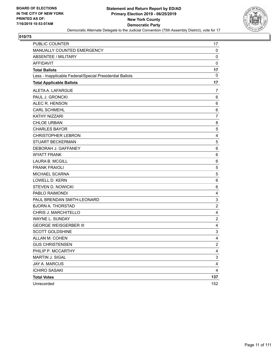

| PUBLIC COUNTER                                           | 17             |
|----------------------------------------------------------|----------------|
| MANUALLY COUNTED EMERGENCY                               | $\mathbf 0$    |
| <b>ABSENTEE / MILITARY</b>                               | 0              |
| <b>AFFIDAVIT</b>                                         | 0              |
| <b>Total Ballots</b>                                     | 17             |
| Less - Inapplicable Federal/Special Presidential Ballots | 0              |
| <b>Total Applicable Ballots</b>                          | 17             |
| ALETA A. LAFARGUE                                        | 7              |
| PAUL J. GRONCKI                                          | 6              |
| ALEC R. HENSON                                           | 6              |
| <b>CARL SCHMEHL</b>                                      | 6              |
| KATHY NIZZARI                                            | $\overline{7}$ |
| <b>CHLOE URBAN</b>                                       | 8              |
| <b>CHARLES BAYOR</b>                                     | 5              |
| <b>CHRISTOPHER LEBRON</b>                                | 4              |
| <b>STUART BECKERMAN</b>                                  | 5              |
| DEBORAH J. GAFFANEY                                      | 6              |
| <b>WYATT FRANK</b>                                       | 6              |
| <b>LAURA B. MCGILL</b>                                   | 6              |
| <b>FRANK FRAIOLI</b>                                     | 5              |
| MICHAEL SCARNA                                           | 5              |
| <b>LOWELL D. KERN</b>                                    | 6              |
| <b>STEVEN D. NOWICKI</b>                                 | 6              |
| PABLO RAIMONDI                                           | 4              |
| PAUL BRENDAN SMITH-LEONARD                               | $\mathsf 3$    |
| <b>BJORN A. THORSTAD</b>                                 | $\overline{c}$ |
| CHRIS J. MARCHITELLO                                     | 4              |
| <b>WAYNE L. SUNDAY</b>                                   | $\overline{2}$ |
| <b>GEORGE WEISGERBER III</b>                             | 4              |
| <b>SCOTT GOLDSHINE</b>                                   | 3              |
| ALLAN M. COHEN                                           | 4              |
| <b>GUS CHRISTENSEN</b>                                   | $\overline{c}$ |
| PHILIP P. MCCARTHY                                       | $\overline{4}$ |
| MARTIN J. SIGAL                                          | 3              |
| JAY A. MARCUS                                            | 4              |
| <b>ICHIRO SASAKI</b>                                     | 4              |
| <b>Total Votes</b>                                       | 137            |
| Unrecorded                                               | 152            |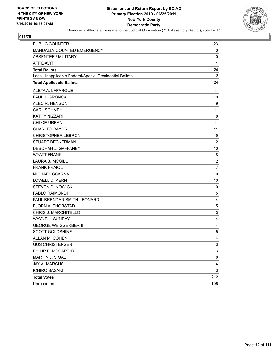

| <b>PUBLIC COUNTER</b>                                    | 23             |
|----------------------------------------------------------|----------------|
| MANUALLY COUNTED EMERGENCY                               | 0              |
| <b>ABSENTEE / MILITARY</b>                               | 0              |
| <b>AFFIDAVIT</b>                                         | 1              |
| <b>Total Ballots</b>                                     | 24             |
| Less - Inapplicable Federal/Special Presidential Ballots | 0              |
| <b>Total Applicable Ballots</b>                          | 24             |
| ALETA A. LAFARGUE                                        | 11             |
| PAUL J. GRONCKI                                          | 10             |
| ALEC R. HENSON                                           | 9              |
| <b>CARL SCHMEHL</b>                                      | 11             |
| <b>KATHY NIZZARI</b>                                     | 8              |
| <b>CHLOE URBAN</b>                                       | 11             |
| <b>CHARLES BAYOR</b>                                     | 11             |
| <b>CHRISTOPHER LEBRON</b>                                | 9              |
| <b>STUART BECKERMAN</b>                                  | 12             |
| DEBORAH J. GAFFANEY                                      | 10             |
| <b>WYATT FRANK</b>                                       | 8              |
| <b>LAURA B. MCGILL</b>                                   | 12             |
| <b>FRANK FRAIOLI</b>                                     | $\overline{7}$ |
| MICHAEL SCARNA                                           | 10             |
| <b>LOWELL D. KERN</b>                                    | 10             |
| <b>STEVEN D. NOWICKI</b>                                 | 10             |
| PABLO RAIMONDI                                           | 5              |
| PAUL BRENDAN SMITH-LEONARD                               | 4              |
| <b>BJORN A. THORSTAD</b>                                 | 5              |
| CHRIS J. MARCHITELLO                                     | 3              |
| WAYNE L. SUNDAY                                          | 4              |
| <b>GEORGE WEISGERBER III</b>                             | 4              |
| <b>SCOTT GOLDSHINE</b>                                   | 5              |
| ALLAN M. COHEN                                           | 4              |
| <b>GUS CHRISTENSEN</b>                                   | 3              |
| PHILIP P. MCCARTHY                                       | 3              |
| MARTIN J. SIGAL                                          | 6              |
| <b>JAY A. MARCUS</b>                                     | 4              |
| <b>ICHIRO SASAKI</b>                                     | 3              |
| <b>Total Votes</b>                                       | 212            |
| Unrecorded                                               | 196            |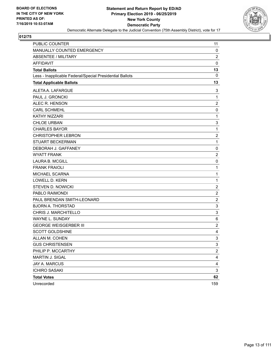

| PUBLIC COUNTER                                           | 11                      |
|----------------------------------------------------------|-------------------------|
| MANUALLY COUNTED EMERGENCY                               | $\mathbf 0$             |
| <b>ABSENTEE / MILITARY</b>                               | $\overline{2}$          |
| <b>AFFIDAVIT</b>                                         | $\pmb{0}$               |
| <b>Total Ballots</b>                                     | 13                      |
| Less - Inapplicable Federal/Special Presidential Ballots | 0                       |
| <b>Total Applicable Ballots</b>                          | 13                      |
| ALETA A. LAFARGUE                                        | 3                       |
| PAUL J. GRONCKI                                          | $\mathbf{1}$            |
| ALEC R. HENSON                                           | $\overline{2}$          |
| <b>CARL SCHMEHL</b>                                      | 0                       |
| KATHY NIZZARI                                            | $\mathbf 1$             |
| <b>CHLOE URBAN</b>                                       | 3                       |
| <b>CHARLES BAYOR</b>                                     | 1                       |
| <b>CHRISTOPHER LEBRON</b>                                | $\boldsymbol{2}$        |
| <b>STUART BECKERMAN</b>                                  | $\mathbf{1}$            |
| DEBORAH J. GAFFANEY                                      | 0                       |
| <b>WYATT FRANK</b>                                       | $\overline{2}$          |
| <b>LAURA B. MCGILL</b>                                   | 0                       |
| <b>FRANK FRAIOLI</b>                                     | 1                       |
| MICHAEL SCARNA                                           | $\mathbf 1$             |
| <b>LOWELL D. KERN</b>                                    | $\mathbf{1}$            |
| <b>STEVEN D. NOWICKI</b>                                 | $\overline{\mathbf{c}}$ |
| PABLO RAIMONDI                                           | $\boldsymbol{2}$        |
| PAUL BRENDAN SMITH-LEONARD                               | $\overline{c}$          |
| <b>BJORN A. THORSTAD</b>                                 | 3                       |
| CHRIS J. MARCHITELLO                                     | 3                       |
| <b>WAYNE L. SUNDAY</b>                                   | 6                       |
| <b>GEORGE WEISGERBER III</b>                             | $\overline{\mathbf{c}}$ |
| <b>SCOTT GOLDSHINE</b>                                   | 4                       |
| ALLAN M. COHEN                                           | 3                       |
| <b>GUS CHRISTENSEN</b>                                   | 3                       |
| PHILIP P. MCCARTHY                                       | $\overline{c}$          |
| MARTIN J. SIGAL                                          | $\overline{\mathbf{4}}$ |
| <b>JAY A. MARCUS</b>                                     | 4                       |
| <b>ICHIRO SASAKI</b>                                     | $\mathbf{3}$            |
| <b>Total Votes</b>                                       | 62                      |
| Unrecorded                                               | 159                     |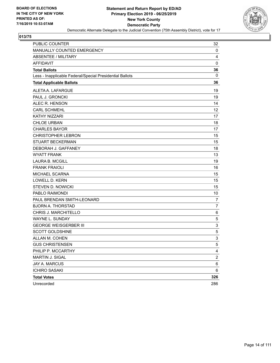

| <b>PUBLIC COUNTER</b>                                    | 32                      |
|----------------------------------------------------------|-------------------------|
| MANUALLY COUNTED EMERGENCY                               | 0                       |
| <b>ABSENTEE / MILITARY</b>                               | 4                       |
| <b>AFFIDAVIT</b>                                         | 0                       |
| <b>Total Ballots</b>                                     | 36                      |
| Less - Inapplicable Federal/Special Presidential Ballots | 0                       |
| <b>Total Applicable Ballots</b>                          | 36                      |
| ALETA A. LAFARGUE                                        | 19                      |
| PAUL J. GRONCKI                                          | 19                      |
| ALEC R. HENSON                                           | 14                      |
| <b>CARL SCHMEHL</b>                                      | 12                      |
| <b>KATHY NIZZARI</b>                                     | 17                      |
| <b>CHLOE URBAN</b>                                       | 18                      |
| <b>CHARLES BAYOR</b>                                     | 17                      |
| <b>CHRISTOPHER LEBRON</b>                                | 15                      |
| <b>STUART BECKERMAN</b>                                  | 15                      |
| DEBORAH J. GAFFANEY                                      | 18                      |
| <b>WYATT FRANK</b>                                       | 13                      |
| <b>LAURA B. MCGILL</b>                                   | 19                      |
| <b>FRANK FRAIOLI</b>                                     | 16                      |
| MICHAEL SCARNA                                           | 15                      |
| <b>LOWELL D. KERN</b>                                    | 15                      |
| <b>STEVEN D. NOWICKI</b>                                 | 15                      |
| PABLO RAIMONDI                                           | 10                      |
| PAUL BRENDAN SMITH-LEONARD                               | 7                       |
| <b>BJORN A. THORSTAD</b>                                 | $\overline{7}$          |
| CHRIS J. MARCHITELLO                                     | 6                       |
| WAYNE L. SUNDAY                                          | 5                       |
| <b>GEORGE WEISGERBER III</b>                             | 3                       |
| <b>SCOTT GOLDSHINE</b>                                   | 5                       |
| ALLAN M. COHEN                                           | 3                       |
| <b>GUS CHRISTENSEN</b>                                   | 5                       |
| PHILIP P. MCCARTHY                                       | 4                       |
| MARTIN J. SIGAL                                          | $\overline{\mathbf{c}}$ |
| JAY A. MARCUS                                            | 6                       |
| <b>ICHIRO SASAKI</b>                                     | 6                       |
| <b>Total Votes</b>                                       | 326                     |
| Unrecorded                                               | 286                     |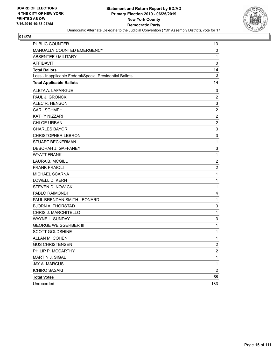

| <b>PUBLIC COUNTER</b>                                    | 13             |
|----------------------------------------------------------|----------------|
| MANUALLY COUNTED EMERGENCY                               | 0              |
| <b>ABSENTEE / MILITARY</b>                               | $\mathbf{1}$   |
| <b>AFFIDAVIT</b>                                         | $\mathbf 0$    |
| <b>Total Ballots</b>                                     | 14             |
| Less - Inapplicable Federal/Special Presidential Ballots | $\mathbf 0$    |
| <b>Total Applicable Ballots</b>                          | 14             |
| ALETA A. LAFARGUE                                        | 3              |
| PAUL J. GRONCKI                                          | $\overline{2}$ |
| ALEC R. HENSON                                           | 3              |
| <b>CARL SCHMEHL</b>                                      | $\overline{c}$ |
| KATHY NIZZARI                                            | $\overline{2}$ |
| <b>CHLOE URBAN</b>                                       | $\overline{2}$ |
| <b>CHARLES BAYOR</b>                                     | 3              |
| <b>CHRISTOPHER LEBRON</b>                                | $\mathbf{3}$   |
| STUART BECKERMAN                                         | $\mathbf 1$    |
| DEBORAH J. GAFFANEY                                      | 3              |
| <b>WYATT FRANK</b>                                       | $\mathbf{1}$   |
| <b>LAURA B. MCGILL</b>                                   | $\overline{2}$ |
| <b>FRANK FRAIOLI</b>                                     | $\overline{c}$ |
| MICHAEL SCARNA                                           | $\mathbf{1}$   |
| <b>LOWELL D. KERN</b>                                    | $\mathbf 1$    |
| <b>STEVEN D. NOWICKI</b>                                 | $\mathbf{1}$   |
| PABLO RAIMONDI                                           | 4              |
| PAUL BRENDAN SMITH-LEONARD                               | $\mathbf 1$    |
| <b>BJORN A. THORSTAD</b>                                 | 3              |
| CHRIS J. MARCHITELLO                                     | $\mathbf{1}$   |
| WAYNE L. SUNDAY                                          | 3              |
| <b>GEORGE WEISGERBER III</b>                             | $\mathbf{1}$   |
| <b>SCOTT GOLDSHINE</b>                                   | 1              |
| ALLAN M. COHEN                                           | $\mathbf 1$    |
| <b>GUS CHRISTENSEN</b>                                   | $\overline{c}$ |
| PHILIP P. MCCARTHY                                       | $\overline{c}$ |
| MARTIN J. SIGAL                                          | $\mathbf{1}$   |
| <b>JAY A. MARCUS</b>                                     | $\mathbf 1$    |
| <b>ICHIRO SASAKI</b>                                     | $\overline{2}$ |
| <b>Total Votes</b>                                       | 55             |
| Unrecorded                                               | 183            |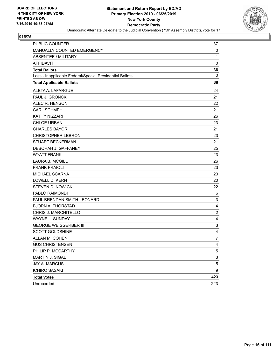

| PUBLIC COUNTER                                           | 37               |
|----------------------------------------------------------|------------------|
| MANUALLY COUNTED EMERGENCY                               | 0                |
| <b>ABSENTEE / MILITARY</b>                               | $\mathbf{1}$     |
| <b>AFFIDAVIT</b>                                         | $\mathbf 0$      |
| <b>Total Ballots</b>                                     | 38               |
| Less - Inapplicable Federal/Special Presidential Ballots | 0                |
| <b>Total Applicable Ballots</b>                          | 38               |
| ALETA A. LAFARGUE                                        | 24               |
| PAUL J. GRONCKI                                          | 21               |
| ALEC R. HENSON                                           | 22               |
| <b>CARL SCHMEHL</b>                                      | 21               |
| <b>KATHY NIZZARI</b>                                     | 26               |
| <b>CHLOE URBAN</b>                                       | 23               |
| <b>CHARLES BAYOR</b>                                     | 21               |
| <b>CHRISTOPHER LEBRON</b>                                | 23               |
| <b>STUART BECKERMAN</b>                                  | 21               |
| DEBORAH J. GAFFANEY                                      | 25               |
| <b>WYATT FRANK</b>                                       | 23               |
| <b>LAURA B. MCGILL</b>                                   | 26               |
| <b>FRANK FRAIOLI</b>                                     | 23               |
| MICHAEL SCARNA                                           | 23               |
| <b>LOWELL D. KERN</b>                                    | 20               |
| <b>STEVEN D. NOWICKI</b>                                 | 22               |
| PABLO RAIMONDI                                           | 6                |
| PAUL BRENDAN SMITH-LEONARD                               | 3                |
| <b>BJORN A. THORSTAD</b>                                 | 4                |
| CHRIS J. MARCHITELLO                                     | $\boldsymbol{2}$ |
| WAYNE L. SUNDAY                                          | 4                |
| <b>GEORGE WEISGERBER III</b>                             | 3                |
| <b>SCOTT GOLDSHINE</b>                                   | 4                |
| ALLAN M. COHEN                                           | 7                |
| <b>GUS CHRISTENSEN</b>                                   | 4                |
| PHILIP P. MCCARTHY                                       | 5                |
| MARTIN J. SIGAL                                          | 3                |
| JAY A. MARCUS                                            | 5                |
| <b>ICHIRO SASAKI</b>                                     | 9                |
| <b>Total Votes</b>                                       | 423              |
| Unrecorded                                               | 223              |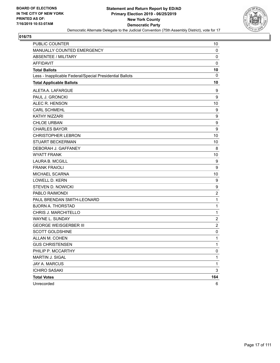

| <b>PUBLIC COUNTER</b>                                    | 10                      |
|----------------------------------------------------------|-------------------------|
| MANUALLY COUNTED EMERGENCY                               | $\mathbf 0$             |
| <b>ABSENTEE / MILITARY</b>                               | 0                       |
| <b>AFFIDAVIT</b>                                         | 0                       |
| <b>Total Ballots</b>                                     | 10                      |
| Less - Inapplicable Federal/Special Presidential Ballots | 0                       |
| <b>Total Applicable Ballots</b>                          | 10                      |
| ALETA A. LAFARGUE                                        | 9                       |
| PAUL J. GRONCKI                                          | 9                       |
| ALEC R. HENSON                                           | 10                      |
| <b>CARL SCHMEHL</b>                                      | 9                       |
| KATHY NIZZARI                                            | 9                       |
| <b>CHLOE URBAN</b>                                       | $\boldsymbol{9}$        |
| <b>CHARLES BAYOR</b>                                     | 9                       |
| <b>CHRISTOPHER LEBRON</b>                                | 10                      |
| <b>STUART BECKERMAN</b>                                  | 10                      |
| DEBORAH J. GAFFANEY                                      | 8                       |
| <b>WYATT FRANK</b>                                       | 10                      |
| <b>LAURA B. MCGILL</b>                                   | 9                       |
| <b>FRANK FRAIOLI</b>                                     | 9                       |
| MICHAEL SCARNA                                           | 10                      |
| <b>LOWELL D. KERN</b>                                    | 9                       |
| <b>STEVEN D. NOWICKI</b>                                 | 9                       |
| PABLO RAIMONDI                                           | $\overline{c}$          |
| PAUL BRENDAN SMITH-LEONARD                               | $\mathbf{1}$            |
| <b>BJORN A. THORSTAD</b>                                 | $\mathbf 1$             |
| CHRIS J. MARCHITELLO                                     | $\mathbf 1$             |
| <b>WAYNE L. SUNDAY</b>                                   | $\overline{c}$          |
| <b>GEORGE WEISGERBER III</b>                             | $\overline{\mathbf{c}}$ |
| <b>SCOTT GOLDSHINE</b>                                   | 0                       |
| ALLAN M. COHEN                                           | 1                       |
| <b>GUS CHRISTENSEN</b>                                   | 1                       |
| PHILIP P. MCCARTHY                                       | 0                       |
| MARTIN J. SIGAL                                          | 1                       |
| JAY A. MARCUS                                            | 1                       |
| <b>ICHIRO SASAKI</b>                                     | 3                       |
| <b>Total Votes</b>                                       | 164                     |
| Unrecorded                                               | 6                       |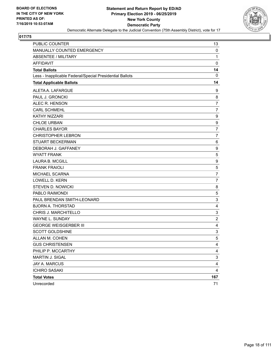

| <b>PUBLIC COUNTER</b>                                    | 13                      |
|----------------------------------------------------------|-------------------------|
| MANUALLY COUNTED EMERGENCY                               | $\mathbf 0$             |
| ABSENTEE / MILITARY                                      | $\mathbf{1}$            |
| <b>AFFIDAVIT</b>                                         | $\mathbf 0$             |
| <b>Total Ballots</b>                                     | 14                      |
| Less - Inapplicable Federal/Special Presidential Ballots | 0                       |
| <b>Total Applicable Ballots</b>                          | 14                      |
| ALETA A. LAFARGUE                                        | 9                       |
| PAUL J. GRONCKI                                          | 8                       |
| ALEC R. HENSON                                           | $\overline{7}$          |
| <b>CARL SCHMEHL</b>                                      | $\overline{7}$          |
| <b>KATHY NIZZARI</b>                                     | 9                       |
| <b>CHLOE URBAN</b>                                       | 9                       |
| <b>CHARLES BAYOR</b>                                     | $\overline{7}$          |
| <b>CHRISTOPHER LEBRON</b>                                | $\overline{7}$          |
| <b>STUART BECKERMAN</b>                                  | 6                       |
| DEBORAH J. GAFFANEY                                      | 9                       |
| <b>WYATT FRANK</b>                                       | 5                       |
| <b>LAURA B. MCGILL</b>                                   | 9                       |
| <b>FRANK FRAIOLI</b>                                     | 5                       |
| MICHAEL SCARNA                                           | $\overline{7}$          |
| <b>LOWELL D. KERN</b>                                    | $\overline{7}$          |
| <b>STEVEN D. NOWICKI</b>                                 | 8                       |
| PABLO RAIMONDI                                           | 5                       |
| PAUL BRENDAN SMITH-LEONARD                               | $\mathsf 3$             |
| <b>BJORN A. THORSTAD</b>                                 | 4                       |
| CHRIS J. MARCHITELLO                                     | 3                       |
| WAYNE L. SUNDAY                                          | $\overline{2}$          |
| <b>GEORGE WEISGERBER III</b>                             | 4                       |
| <b>SCOTT GOLDSHINE</b>                                   | 3                       |
| ALLAN M. COHEN                                           | $\sqrt{5}$              |
| <b>GUS CHRISTENSEN</b>                                   | 4                       |
| PHILIP P. MCCARTHY                                       | 4                       |
| MARTIN J. SIGAL                                          | 3                       |
| JAY A. MARCUS                                            | $\overline{\mathbf{4}}$ |
| <b>ICHIRO SASAKI</b>                                     | 4                       |
| <b>Total Votes</b>                                       | 167                     |
| Unrecorded                                               | 71                      |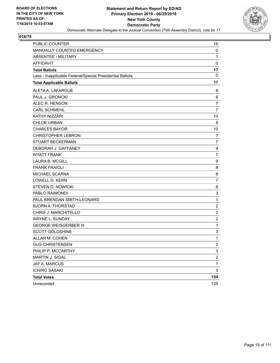

| PUBLIC COUNTER                                           | 16                      |
|----------------------------------------------------------|-------------------------|
| MANUALLY COUNTED EMERGENCY                               | $\mathbf 0$             |
| <b>ABSENTEE / MILITARY</b>                               | $\mathbf{1}$            |
| <b>AFFIDAVIT</b>                                         | $\mathbf 0$             |
| <b>Total Ballots</b>                                     | 17                      |
| Less - Inapplicable Federal/Special Presidential Ballots | 0                       |
| <b>Total Applicable Ballots</b>                          | 17                      |
| ALETA A. LAFARGUE                                        | 8                       |
| PAUL J. GRONCKI                                          | 8                       |
| ALEC R. HENSON                                           | $\overline{7}$          |
| <b>CARL SCHMEHL</b>                                      | $\overline{7}$          |
| <b>KATHY NIZZARI</b>                                     | 10                      |
| <b>CHLOE URBAN</b>                                       | 8                       |
| <b>CHARLES BAYOR</b>                                     | 10                      |
| <b>CHRISTOPHER LEBRON</b>                                | 7                       |
| <b>STUART BECKERMAN</b>                                  | $\overline{7}$          |
| DEBORAH J. GAFFANEY                                      | 9                       |
| <b>WYATT FRANK</b>                                       | $\overline{7}$          |
| <b>LAURA B. MCGILL</b>                                   | 9                       |
| <b>FRANK FRAIOLI</b>                                     | 8                       |
| MICHAEL SCARNA                                           | 8                       |
| <b>LOWELL D. KERN</b>                                    | $\overline{7}$          |
| <b>STEVEN D. NOWICKI</b>                                 | 8                       |
| PABLO RAIMONDI                                           | 3                       |
| PAUL BRENDAN SMITH-LEONARD                               | $\mathbf{1}$            |
| <b>BJORN A. THORSTAD</b>                                 | $\overline{c}$          |
| CHRIS J. MARCHITELLO                                     | $\overline{c}$          |
| WAYNE L. SUNDAY                                          | $\overline{2}$          |
| <b>GEORGE WEISGERBER III</b>                             | $\mathbf{1}$            |
| <b>SCOTT GOLDSHINE</b>                                   | 3                       |
| ALLAN M. COHEN                                           | $\mathbf{1}$            |
| <b>GUS CHRISTENSEN</b>                                   | $\overline{2}$          |
| PHILIP P. MCCARTHY                                       | 3                       |
| MARTIN J. SIGAL                                          | $\overline{\mathbf{c}}$ |
| JAY A. MARCUS                                            | $\mathbf 1$             |
| <b>ICHIRO SASAKI</b>                                     | 3                       |
| <b>Total Votes</b>                                       | 154                     |
| Unrecorded                                               | 135                     |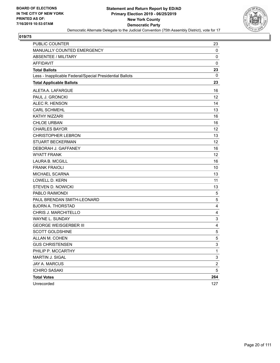

| PUBLIC COUNTER                                           | 23                        |
|----------------------------------------------------------|---------------------------|
| MANUALLY COUNTED EMERGENCY                               | $\mathbf 0$               |
| <b>ABSENTEE / MILITARY</b>                               | 0                         |
| <b>AFFIDAVIT</b>                                         | 0                         |
| <b>Total Ballots</b>                                     | 23                        |
| Less - Inapplicable Federal/Special Presidential Ballots | 0                         |
| <b>Total Applicable Ballots</b>                          | 23                        |
| ALETA A. LAFARGUE                                        | 16                        |
| PAUL J. GRONCKI                                          | 12                        |
| ALEC R. HENSON                                           | 14                        |
| <b>CARL SCHMEHL</b>                                      | 13                        |
| KATHY NIZZARI                                            | 16                        |
| <b>CHLOE URBAN</b>                                       | 16                        |
| <b>CHARLES BAYOR</b>                                     | 12                        |
| <b>CHRISTOPHER LEBRON</b>                                | 13                        |
| <b>STUART BECKERMAN</b>                                  | 12                        |
| DEBORAH J. GAFFANEY                                      | 16                        |
| <b>WYATT FRANK</b>                                       | 12                        |
| <b>LAURA B. MCGILL</b>                                   | 16                        |
| <b>FRANK FRAIOLI</b>                                     | 10                        |
| MICHAEL SCARNA                                           | 13                        |
| <b>LOWELL D. KERN</b>                                    | 11                        |
| <b>STEVEN D. NOWICKI</b>                                 | 13                        |
| PABLO RAIMONDI                                           | 5                         |
| PAUL BRENDAN SMITH-LEONARD                               | 5                         |
| <b>BJORN A. THORSTAD</b>                                 | 4                         |
| CHRIS J. MARCHITELLO                                     | 4                         |
| WAYNE L. SUNDAY                                          | $\mathsf 3$               |
| <b>GEORGE WEISGERBER III</b>                             | 4                         |
| <b>SCOTT GOLDSHINE</b>                                   | 5                         |
| ALLAN M. COHEN                                           | 5                         |
| <b>GUS CHRISTENSEN</b>                                   | 3                         |
| PHILIP P. MCCARTHY                                       | $\mathbf{1}$              |
| MARTIN J. SIGAL                                          | $\ensuremath{\mathsf{3}}$ |
| JAY A. MARCUS                                            | $\overline{\mathbf{c}}$   |
| <b>ICHIRO SASAKI</b>                                     | 5                         |
| <b>Total Votes</b>                                       | 264                       |
| Unrecorded                                               | 127                       |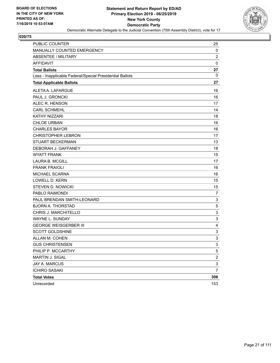

| PUBLIC COUNTER                                           | 25                        |
|----------------------------------------------------------|---------------------------|
| MANUALLY COUNTED EMERGENCY                               | 0                         |
| ABSENTEE / MILITARY                                      | $\overline{2}$            |
| <b>AFFIDAVIT</b>                                         | $\mathbf 0$               |
| <b>Total Ballots</b>                                     | 27                        |
| Less - Inapplicable Federal/Special Presidential Ballots | 0                         |
| <b>Total Applicable Ballots</b>                          | 27                        |
| ALETA A. LAFARGUE                                        | 16                        |
| PAUL J. GRONCKI                                          | 16                        |
| ALEC R. HENSON                                           | 17                        |
| <b>CARL SCHMEHL</b>                                      | 14                        |
| <b>KATHY NIZZARI</b>                                     | 18                        |
| <b>CHLOE URBAN</b>                                       | 16                        |
| <b>CHARLES BAYOR</b>                                     | 16                        |
| <b>CHRISTOPHER LEBRON</b>                                | 17                        |
| <b>STUART BECKERMAN</b>                                  | 13                        |
| DEBORAH J. GAFFANEY                                      | 18                        |
| <b>WYATT FRANK</b>                                       | 15                        |
| <b>LAURA B. MCGILL</b>                                   | 17                        |
| <b>FRANK FRAIOLI</b>                                     | 16                        |
| MICHAEL SCARNA                                           | 16                        |
| <b>LOWELL D. KERN</b>                                    | 15                        |
| <b>STEVEN D. NOWICKI</b>                                 | 15                        |
| PABLO RAIMONDI                                           | 7                         |
| PAUL BRENDAN SMITH-LEONARD                               | $\ensuremath{\mathsf{3}}$ |
| <b>BJORN A. THORSTAD</b>                                 | $\,$ 5 $\,$               |
| CHRIS J. MARCHITELLO                                     | 3                         |
| <b>WAYNE L. SUNDAY</b>                                   | $\ensuremath{\mathsf{3}}$ |
| <b>GEORGE WEISGERBER III</b>                             | 4                         |
| <b>SCOTT GOLDSHINE</b>                                   | $\mathsf 3$               |
| ALLAN M. COHEN                                           | 3                         |
| <b>GUS CHRISTENSEN</b>                                   | 3                         |
| PHILIP P. MCCARTHY                                       | 5                         |
| MARTIN J. SIGAL                                          | $\overline{c}$            |
| <b>JAY A. MARCUS</b>                                     | $\ensuremath{\mathsf{3}}$ |
| <b>ICHIRO SASAKI</b>                                     | $\overline{7}$            |
| <b>Total Votes</b>                                       | 306                       |
| Unrecorded                                               | 153                       |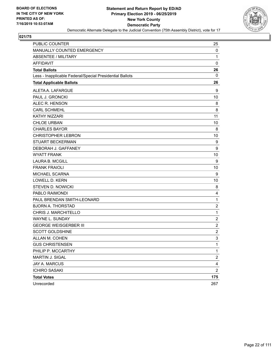

| <b>PUBLIC COUNTER</b>                                    | 25                      |
|----------------------------------------------------------|-------------------------|
| MANUALLY COUNTED EMERGENCY                               | 0                       |
| <b>ABSENTEE / MILITARY</b>                               | 1                       |
| <b>AFFIDAVIT</b>                                         | $\mathbf 0$             |
| <b>Total Ballots</b>                                     | 26                      |
| Less - Inapplicable Federal/Special Presidential Ballots | 0                       |
| <b>Total Applicable Ballots</b>                          | 26                      |
| ALETA A. LAFARGUE                                        | 9                       |
| PAUL J. GRONCKI                                          | 10                      |
| ALEC R. HENSON                                           | 8                       |
| <b>CARL SCHMEHL</b>                                      | 8                       |
| KATHY NIZZARI                                            | 11                      |
| <b>CHLOE URBAN</b>                                       | 10                      |
| <b>CHARLES BAYOR</b>                                     | 8                       |
| <b>CHRISTOPHER LEBRON</b>                                | 10                      |
| <b>STUART BECKERMAN</b>                                  | 9                       |
| DEBORAH J. GAFFANEY                                      | 9                       |
| <b>WYATT FRANK</b>                                       | 10                      |
| <b>LAURA B. MCGILL</b>                                   | 9                       |
| <b>FRANK FRAIOLI</b>                                     | 10                      |
| MICHAEL SCARNA                                           | 9                       |
| <b>LOWELL D. KERN</b>                                    | 10                      |
| <b>STEVEN D. NOWICKI</b>                                 | 8                       |
| PABLO RAIMONDI                                           | 4                       |
| PAUL BRENDAN SMITH-LEONARD                               | $\mathbf{1}$            |
| <b>BJORN A. THORSTAD</b>                                 | $\overline{c}$          |
| CHRIS J. MARCHITELLO                                     | 1                       |
| WAYNE L. SUNDAY                                          | $\boldsymbol{2}$        |
| <b>GEORGE WEISGERBER III</b>                             | $\overline{c}$          |
| <b>SCOTT GOLDSHINE</b>                                   | $\overline{\mathbf{c}}$ |
| ALLAN M. COHEN                                           | 3                       |
| <b>GUS CHRISTENSEN</b>                                   | 1                       |
| PHILIP P. MCCARTHY                                       | $\mathbf{1}$            |
| MARTIN J. SIGAL                                          | $\overline{\mathbf{c}}$ |
| <b>JAY A. MARCUS</b>                                     | 4                       |
| <b>ICHIRO SASAKI</b>                                     | $\overline{c}$          |
| <b>Total Votes</b>                                       | 175                     |
| Unrecorded                                               | 267                     |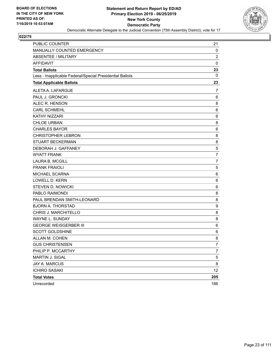

| <b>PUBLIC COUNTER</b>                                    | 21             |
|----------------------------------------------------------|----------------|
| MANUALLY COUNTED EMERGENCY                               | 0              |
| <b>ABSENTEE / MILITARY</b>                               | $\overline{c}$ |
| <b>AFFIDAVIT</b>                                         | $\mathbf 0$    |
| <b>Total Ballots</b>                                     | 23             |
| Less - Inapplicable Federal/Special Presidential Ballots | 0              |
| <b>Total Applicable Ballots</b>                          | 23             |
| ALETA A. LAFARGUE                                        | 7              |
| PAUL J. GRONCKI                                          | 6              |
| ALEC R. HENSON                                           | 8              |
| <b>CARL SCHMEHL</b>                                      | 6              |
| KATHY NIZZARI                                            | 6              |
| <b>CHLOE URBAN</b>                                       | 8              |
| <b>CHARLES BAYOR</b>                                     | 6              |
| <b>CHRISTOPHER LEBRON</b>                                | 8              |
| <b>STUART BECKERMAN</b>                                  | 8              |
| DEBORAH J. GAFFANEY                                      | 5              |
| <b>WYATT FRANK</b>                                       | 7              |
| <b>LAURA B. MCGILL</b>                                   | $\overline{7}$ |
| <b>FRANK FRAIOLI</b>                                     | 5              |
| MICHAEL SCARNA                                           | 6              |
| <b>LOWELL D. KERN</b>                                    | 6              |
| <b>STEVEN D. NOWICKI</b>                                 | 6              |
| PABLO RAIMONDI                                           | 8              |
| PAUL BRENDAN SMITH-LEONARD                               | 8              |
| <b>BJORN A. THORSTAD</b>                                 | 9              |
| CHRIS J. MARCHITELLO                                     | 8              |
| WAYNE L. SUNDAY                                          | 8              |
| <b>GEORGE WEISGERBER III</b>                             | 6              |
| <b>SCOTT GOLDSHINE</b>                                   | 6              |
| ALLAN M. COHEN                                           | 8              |
| <b>GUS CHRISTENSEN</b>                                   | 7              |
| PHILIP P. MCCARTHY                                       | 7              |
| MARTIN J. SIGAL                                          | 5              |
| JAY A. MARCUS                                            | 8              |
| <b>ICHIRO SASAKI</b>                                     | 12             |
| <b>Total Votes</b>                                       | 205            |
| Unrecorded                                               | 186            |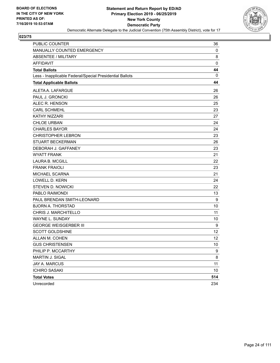

| PUBLIC COUNTER                                           | 36          |
|----------------------------------------------------------|-------------|
| MANUALLY COUNTED EMERGENCY                               | 0           |
| <b>ABSENTEE / MILITARY</b>                               | 8           |
| <b>AFFIDAVIT</b>                                         | $\mathbf 0$ |
| <b>Total Ballots</b>                                     | 44          |
| Less - Inapplicable Federal/Special Presidential Ballots | 0           |
| <b>Total Applicable Ballots</b>                          | 44          |
| ALETA A. LAFARGUE                                        | 26          |
| PAUL J. GRONCKI                                          | 26          |
| ALEC R. HENSON                                           | 25          |
| <b>CARL SCHMEHL</b>                                      | 23          |
| KATHY NIZZARI                                            | 27          |
| <b>CHLOE URBAN</b>                                       | 24          |
| <b>CHARLES BAYOR</b>                                     | 24          |
| <b>CHRISTOPHER LEBRON</b>                                | 23          |
| <b>STUART BECKERMAN</b>                                  | 26          |
| DEBORAH J. GAFFANEY                                      | 23          |
| <b>WYATT FRANK</b>                                       | 21          |
| <b>LAURA B. MCGILL</b>                                   | 22          |
| <b>FRANK FRAIOLI</b>                                     | 23          |
| MICHAEL SCARNA                                           | 21          |
| <b>LOWELL D. KERN</b>                                    | 24          |
| <b>STEVEN D. NOWICKI</b>                                 | 22          |
| PABLO RAIMONDI                                           | 13          |
| PAUL BRENDAN SMITH-LEONARD                               | 9           |
| <b>BJORN A. THORSTAD</b>                                 | 10          |
| CHRIS J. MARCHITELLO                                     | 11          |
| WAYNE L. SUNDAY                                          | 10          |
| <b>GEORGE WEISGERBER III</b>                             | 9           |
| <b>SCOTT GOLDSHINE</b>                                   | 12          |
| ALLAN M. COHEN                                           | 12          |
| <b>GUS CHRISTENSEN</b>                                   | 10          |
| PHILIP P. MCCARTHY                                       | 9           |
| <b>MARTIN J. SIGAL</b>                                   | 8           |
| JAY A. MARCUS                                            | 11          |
| <b>ICHIRO SASAKI</b>                                     | 10          |
| <b>Total Votes</b>                                       | 514         |
| Unrecorded                                               | 234         |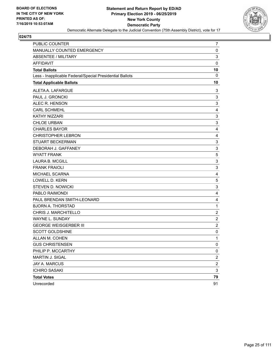

| <b>PUBLIC COUNTER</b>                                    | 7                         |
|----------------------------------------------------------|---------------------------|
| MANUALLY COUNTED EMERGENCY                               | 0                         |
| <b>ABSENTEE / MILITARY</b>                               | $\mathsf 3$               |
| <b>AFFIDAVIT</b>                                         | $\mathbf 0$               |
| <b>Total Ballots</b>                                     | 10                        |
| Less - Inapplicable Federal/Special Presidential Ballots | 0                         |
| <b>Total Applicable Ballots</b>                          | 10                        |
| ALETA A. LAFARGUE                                        | 3                         |
| PAUL J. GRONCKI                                          | 3                         |
| ALEC R. HENSON                                           | 3                         |
| <b>CARL SCHMEHL</b>                                      | 4                         |
| KATHY NIZZARI                                            | 3                         |
| <b>CHLOE URBAN</b>                                       | 3                         |
| <b>CHARLES BAYOR</b>                                     | 4                         |
| <b>CHRISTOPHER LEBRON</b>                                | 4                         |
| <b>STUART BECKERMAN</b>                                  | 3                         |
| DEBORAH J. GAFFANEY                                      | $\ensuremath{\mathsf{3}}$ |
| <b>WYATT FRANK</b>                                       | $\,$ 5 $\,$               |
| <b>LAURA B. MCGILL</b>                                   | 3                         |
| <b>FRANK FRAIOLI</b>                                     | $\mathsf 3$               |
| MICHAEL SCARNA                                           | 4                         |
| <b>LOWELL D. KERN</b>                                    | 5                         |
| <b>STEVEN D. NOWICKI</b>                                 | $\ensuremath{\mathsf{3}}$ |
| PABLO RAIMONDI                                           | 4                         |
| PAUL BRENDAN SMITH-LEONARD                               | $\overline{\mathbf{4}}$   |
| <b>BJORN A. THORSTAD</b>                                 | 1                         |
| CHRIS J. MARCHITELLO                                     | $\overline{2}$            |
| WAYNE L. SUNDAY                                          | $\overline{c}$            |
| <b>GEORGE WEISGERBER III</b>                             | $\overline{c}$            |
| <b>SCOTT GOLDSHINE</b>                                   | 0                         |
| ALLAN M. COHEN                                           | $\mathbf{1}$              |
| <b>GUS CHRISTENSEN</b>                                   | 0                         |
| PHILIP P. MCCARTHY                                       | 0                         |
| MARTIN J. SIGAL                                          | $\overline{\mathbf{c}}$   |
| <b>JAY A. MARCUS</b>                                     | $\boldsymbol{2}$          |
| <b>ICHIRO SASAKI</b>                                     | $\sqrt{3}$                |
| <b>Total Votes</b>                                       | 79                        |
| Unrecorded                                               | 91                        |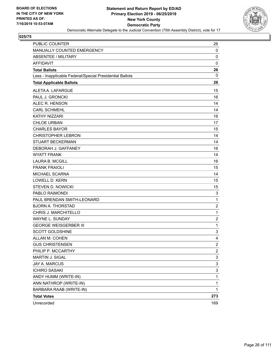

| PUBLIC COUNTER                                           | 26                      |
|----------------------------------------------------------|-------------------------|
| MANUALLY COUNTED EMERGENCY                               | 0                       |
| ABSENTEE / MILITARY                                      | 0                       |
| <b>AFFIDAVIT</b>                                         | $\mathbf 0$             |
| <b>Total Ballots</b>                                     | 26                      |
| Less - Inapplicable Federal/Special Presidential Ballots | 0                       |
| <b>Total Applicable Ballots</b>                          | 26                      |
| ALETA A. LAFARGUE                                        | 15                      |
| PAUL J. GRONCKI                                          | 16                      |
| ALEC R. HENSON                                           | 14                      |
| <b>CARL SCHMEHL</b>                                      | 14                      |
| <b>KATHY NIZZARI</b>                                     | 16                      |
| <b>CHLOE URBAN</b>                                       | 17                      |
| <b>CHARLES BAYOR</b>                                     | 15                      |
| <b>CHRISTOPHER LEBRON</b>                                | 14                      |
| <b>STUART BECKERMAN</b>                                  | 14                      |
| DEBORAH J. GAFFANEY                                      | 16                      |
| WYATT FRANK                                              | 14                      |
| <b>LAURA B. MCGILL</b>                                   | 16                      |
| <b>FRANK FRAIOLI</b>                                     | 15                      |
| MICHAEL SCARNA                                           | 14                      |
| <b>LOWELL D. KERN</b>                                    | 15                      |
| STEVEN D. NOWICKI                                        | 15                      |
| PABLO RAIMONDI                                           | 3                       |
| PAUL BRENDAN SMITH-LEONARD                               | 1                       |
| <b>BJORN A. THORSTAD</b>                                 | $\overline{\mathbf{c}}$ |
| CHRIS J. MARCHITELLO                                     | $\mathbf{1}$            |
| WAYNE L. SUNDAY                                          | $\overline{\mathbf{c}}$ |
| <b>GEORGE WEISGERBER III</b>                             | $\mathbf 1$             |
| <b>SCOTT GOLDSHINE</b>                                   | 3                       |
| ALLAN M. COHEN                                           | 4                       |
| <b>GUS CHRISTENSEN</b>                                   | $\overline{\mathbf{c}}$ |
| PHILIP P. MCCARTHY                                       | $\overline{a}$          |
| MARTIN J. SIGAL                                          | 3                       |
| JAY A. MARCUS                                            | 3                       |
| <b>ICHIRO SASAKI</b>                                     | 3                       |
| ANDY HUMM (WRITE-IN)                                     | 1                       |
| ANN NATHROP (WRITE-IN)                                   | 1                       |
| BARBARA RAAB (WRITE-IN)                                  | 1                       |
| <b>Total Votes</b>                                       | 273                     |
| Unrecorded                                               | 169                     |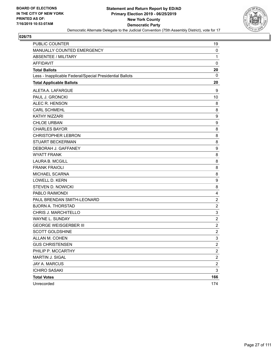

| <b>PUBLIC COUNTER</b>                                    | 19                      |
|----------------------------------------------------------|-------------------------|
| MANUALLY COUNTED EMERGENCY                               | 0                       |
| <b>ABSENTEE / MILITARY</b>                               | $\mathbf{1}$            |
| <b>AFFIDAVIT</b>                                         | $\mathbf 0$             |
| <b>Total Ballots</b>                                     | 20                      |
| Less - Inapplicable Federal/Special Presidential Ballots | 0                       |
| <b>Total Applicable Ballots</b>                          | 20                      |
| ALETA A. LAFARGUE                                        | 9                       |
| PAUL J. GRONCKI                                          | 10                      |
| ALEC R. HENSON                                           | 8                       |
| <b>CARL SCHMEHL</b>                                      | 8                       |
| KATHY NIZZARI                                            | 9                       |
| <b>CHLOE URBAN</b>                                       | 9                       |
| <b>CHARLES BAYOR</b>                                     | 8                       |
| <b>CHRISTOPHER LEBRON</b>                                | 8                       |
| <b>STUART BECKERMAN</b>                                  | 8                       |
| DEBORAH J. GAFFANEY                                      | 9                       |
| <b>WYATT FRANK</b>                                       | 8                       |
| <b>LAURA B. MCGILL</b>                                   | 8                       |
| <b>FRANK FRAIOLI</b>                                     | 8                       |
| MICHAEL SCARNA                                           | 8                       |
| <b>LOWELL D. KERN</b>                                    | 9                       |
| <b>STEVEN D. NOWICKI</b>                                 | 8                       |
| PABLO RAIMONDI                                           | 4                       |
| PAUL BRENDAN SMITH-LEONARD                               | $\boldsymbol{2}$        |
| <b>BJORN A. THORSTAD</b>                                 | $\overline{c}$          |
| CHRIS J. MARCHITELLO                                     | 3                       |
| WAYNE L. SUNDAY                                          | $\overline{c}$          |
| <b>GEORGE WEISGERBER III</b>                             | $\overline{c}$          |
| <b>SCOTT GOLDSHINE</b>                                   | $\overline{c}$          |
| ALLAN M. COHEN                                           | 3                       |
| <b>GUS CHRISTENSEN</b>                                   | $\mathfrak{p}$          |
| PHILIP P. MCCARTHY                                       | $\overline{\mathbf{c}}$ |
| MARTIN J. SIGAL                                          | $\overline{\mathbf{c}}$ |
| <b>JAY A. MARCUS</b>                                     | $\boldsymbol{2}$        |
| <b>ICHIRO SASAKI</b>                                     | 3                       |
| <b>Total Votes</b>                                       | 166                     |
| Unrecorded                                               | 174                     |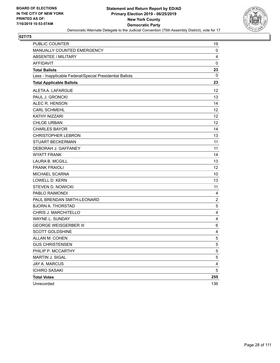

| PUBLIC COUNTER                                           | 19             |
|----------------------------------------------------------|----------------|
| MANUALLY COUNTED EMERGENCY                               | 0              |
| <b>ABSENTEE / MILITARY</b>                               | 4              |
| <b>AFFIDAVIT</b>                                         | $\mathbf 0$    |
| <b>Total Ballots</b>                                     | 23<br>0        |
| Less - Inapplicable Federal/Special Presidential Ballots |                |
| <b>Total Applicable Ballots</b>                          | 23             |
| ALETA A. LAFARGUE                                        | 12             |
| PAUL J. GRONCKI                                          | 13             |
| ALEC R. HENSON                                           | 14             |
| <b>CARL SCHMEHL</b>                                      | 12             |
| <b>KATHY NIZZARI</b>                                     | 12             |
| <b>CHLOE URBAN</b>                                       | 12             |
| <b>CHARLES BAYOR</b>                                     | 14             |
| <b>CHRISTOPHER LEBRON</b>                                | 13             |
| <b>STUART BECKERMAN</b>                                  | 11             |
| DEBORAH J. GAFFANEY                                      | 11             |
| <b>WYATT FRANK</b>                                       | 14             |
| <b>LAURA B. MCGILL</b>                                   | 13             |
| <b>FRANK FRAIOLI</b>                                     | 12             |
| MICHAEL SCARNA                                           | 10             |
| <b>LOWELL D. KERN</b>                                    | 13             |
| <b>STEVEN D. NOWICKI</b>                                 | 11             |
| PABLO RAIMONDI                                           | 4              |
| PAUL BRENDAN SMITH-LEONARD                               | $\overline{c}$ |
| <b>BJORN A. THORSTAD</b>                                 | 5              |
| CHRIS J. MARCHITELLO                                     | 4              |
| <b>WAYNE L. SUNDAY</b>                                   | 4              |
| <b>GEORGE WEISGERBER III</b>                             | 6              |
| <b>SCOTT GOLDSHINE</b>                                   | 4              |
| ALLAN M. COHEN                                           | 5              |
| <b>GUS CHRISTENSEN</b>                                   | 5              |
| PHILIP P. MCCARTHY                                       | 5              |
| MARTIN J. SIGAL                                          | 5              |
| <b>JAY A. MARCUS</b>                                     | 4              |
| <b>ICHIRO SASAKI</b>                                     | 5              |
| <b>Total Votes</b>                                       | 255            |
| Unrecorded                                               | 136            |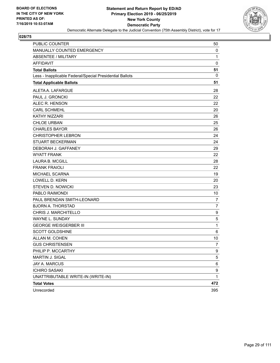

| PUBLIC COUNTER                                           | 50             |
|----------------------------------------------------------|----------------|
| MANUALLY COUNTED EMERGENCY                               | 0              |
| <b>ABSENTEE / MILITARY</b>                               | 1              |
| <b>AFFIDAVIT</b>                                         | $\mathbf 0$    |
| <b>Total Ballots</b>                                     | 51             |
| Less - Inapplicable Federal/Special Presidential Ballots | 0              |
| <b>Total Applicable Ballots</b>                          | 51             |
| ALETA A. LAFARGUE                                        | 28             |
| PAUL J. GRONCKI                                          | 22             |
| ALEC R. HENSON                                           | 22             |
| <b>CARL SCHMEHL</b>                                      | 20             |
| <b>KATHY NIZZARI</b>                                     | 26             |
| <b>CHLOE URBAN</b>                                       | 25             |
| <b>CHARLES BAYOR</b>                                     | 26             |
| <b>CHRISTOPHER LEBRON</b>                                | 24             |
| <b>STUART BECKERMAN</b>                                  | 24             |
| DEBORAH J. GAFFANEY                                      | 29             |
| <b>WYATT FRANK</b>                                       | 22             |
| <b>LAURA B. MCGILL</b>                                   | 28             |
| <b>FRANK FRAIOLI</b>                                     | 22             |
| MICHAEL SCARNA                                           | 19             |
| <b>LOWELL D. KERN</b>                                    | 20             |
| <b>STEVEN D. NOWICKI</b>                                 | 23             |
| PABLO RAIMONDI                                           | 10             |
| PAUL BRENDAN SMITH-LEONARD                               | $\overline{7}$ |
| <b>BJORN A. THORSTAD</b>                                 | 7              |
| CHRIS J. MARCHITELLO                                     | 9              |
| <b>WAYNE L. SUNDAY</b>                                   | $\mathbf 5$    |
| <b>GEORGE WEISGERBER III</b>                             | 1              |
| <b>SCOTT GOLDSHINE</b>                                   | 6              |
| ALLAN M. COHEN                                           | 10             |
| <b>GUS CHRISTENSEN</b>                                   | 7              |
| PHILIP P. MCCARTHY                                       | 9              |
| MARTIN J. SIGAL                                          | 5              |
| JAY A. MARCUS                                            | 6              |
| <b>ICHIRO SASAKI</b>                                     | 9              |
| UNATTRIBUTABLE WRITE-IN (WRITE-IN)                       | $\mathbf{1}$   |
| <b>Total Votes</b>                                       | 472            |
| Unrecorded                                               | 395            |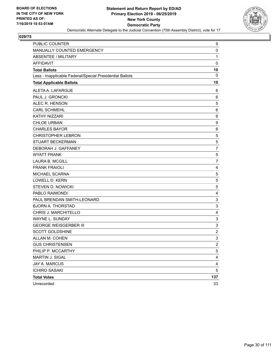

| PUBLIC COUNTER                                           | 9                |
|----------------------------------------------------------|------------------|
| MANUALLY COUNTED EMERGENCY                               | 0                |
| <b>ABSENTEE / MILITARY</b>                               | 1                |
| <b>AFFIDAVIT</b>                                         | $\mathbf 0$      |
| <b>Total Ballots</b>                                     | 10               |
| Less - Inapplicable Federal/Special Presidential Ballots | 0                |
| <b>Total Applicable Ballots</b>                          | 10               |
| ALETA A. LAFARGUE                                        | 6                |
| PAUL J. GRONCKI                                          | 6                |
| ALEC R. HENSON                                           | 5                |
| <b>CARL SCHMEHL</b>                                      | 6                |
| KATHY NIZZARI                                            | 6                |
| <b>CHLOE URBAN</b>                                       | $\boldsymbol{9}$ |
| <b>CHARLES BAYOR</b>                                     | 6                |
| <b>CHRISTOPHER LEBRON</b>                                | 5                |
| <b>STUART BECKERMAN</b>                                  | 5                |
| DEBORAH J. GAFFANEY                                      | 7                |
| <b>WYATT FRANK</b>                                       | 5                |
| <b>LAURA B. MCGILL</b>                                   | $\overline{7}$   |
| <b>FRANK FRAIOLI</b>                                     | 4                |
| MICHAEL SCARNA                                           | 5                |
| LOWELL D. KERN                                           | 5                |
| STEVEN D. NOWICKI                                        | 5                |
| PABLO RAIMONDI                                           | 4                |
| PAUL BRENDAN SMITH-LEONARD                               | $\mathsf 3$      |
| <b>BJORN A. THORSTAD</b>                                 | $\mathsf 3$      |
| CHRIS J. MARCHITELLO                                     | 4                |
| WAYNE L. SUNDAY                                          | 3                |
| <b>GEORGE WEISGERBER III</b>                             | $\mathsf 3$      |
| <b>SCOTT GOLDSHINE</b>                                   | $\overline{c}$   |
| ALLAN M. COHEN                                           | 3                |
| <b>GUS CHRISTENSEN</b>                                   | $\overline{2}$   |
| PHILIP P. MCCARTHY                                       | 5                |
| MARTIN J. SIGAL                                          | 4                |
| JAY A. MARCUS                                            | 4                |
| <b>ICHIRO SASAKI</b>                                     | 5                |
| <b>Total Votes</b>                                       | 137              |
| Unrecorded                                               | 33               |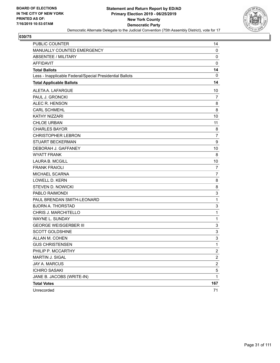

| PUBLIC COUNTER                                           | 14             |
|----------------------------------------------------------|----------------|
| MANUALLY COUNTED EMERGENCY                               | $\mathbf 0$    |
| <b>ABSENTEE / MILITARY</b>                               | 0              |
| <b>AFFIDAVIT</b>                                         | $\mathbf 0$    |
| <b>Total Ballots</b>                                     | 14             |
| Less - Inapplicable Federal/Special Presidential Ballots | 0              |
| <b>Total Applicable Ballots</b>                          | 14             |
| ALETA A. LAFARGUE                                        | 10             |
| PAUL J. GRONCKI                                          | 7              |
| ALEC R. HENSON                                           | 8              |
| <b>CARL SCHMEHL</b>                                      | 8              |
| <b>KATHY NIZZARI</b>                                     | 10             |
| <b>CHLOE URBAN</b>                                       | 11             |
| <b>CHARLES BAYOR</b>                                     | 8              |
| <b>CHRISTOPHER LEBRON</b>                                | $\overline{7}$ |
| <b>STUART BECKERMAN</b>                                  | 9              |
| DEBORAH J. GAFFANEY                                      | 10             |
| <b>WYATT FRANK</b>                                       | 8              |
| <b>LAURA B. MCGILL</b>                                   | 10             |
| <b>FRANK FRAIOLI</b>                                     | $\overline{7}$ |
| MICHAEL SCARNA                                           | $\overline{7}$ |
| <b>LOWELL D. KERN</b>                                    | 8              |
| <b>STEVEN D. NOWICKI</b>                                 | 8              |
| PABLO RAIMONDI                                           | 3              |
| PAUL BRENDAN SMITH-LEONARD                               | 1              |
| <b>BJORN A. THORSTAD</b>                                 | 3              |
| CHRIS J. MARCHITELLO                                     | 1              |
| <b>WAYNE L. SUNDAY</b>                                   | 1              |
| <b>GEORGE WEISGERBER III</b>                             | 3              |
| <b>SCOTT GOLDSHINE</b>                                   | 3              |
| ALLAN M. COHEN                                           | 3              |
| <b>GUS CHRISTENSEN</b>                                   | 1              |
| PHILIP P. MCCARTHY                                       | $\overline{c}$ |
| MARTIN J. SIGAL                                          | $\overline{c}$ |
| JAY A. MARCUS                                            | $\overline{c}$ |
| <b>ICHIRO SASAKI</b>                                     | 5              |
| JANE B. JACOBS (WRITE-IN)                                | $\mathbf{1}$   |
| <b>Total Votes</b>                                       | 167            |
| Unrecorded                                               | 71             |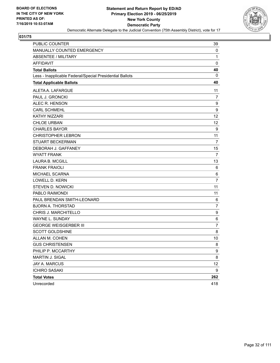

| PUBLIC COUNTER                                           | 39             |
|----------------------------------------------------------|----------------|
| MANUALLY COUNTED EMERGENCY                               | 0              |
| <b>ABSENTEE / MILITARY</b>                               | 1              |
| <b>AFFIDAVIT</b>                                         | $\mathbf 0$    |
| <b>Total Ballots</b>                                     | 40             |
| Less - Inapplicable Federal/Special Presidential Ballots | 0              |
| <b>Total Applicable Ballots</b>                          | 40             |
| ALETA A. LAFARGUE                                        | 11             |
| PAUL J. GRONCKI                                          | 7              |
| ALEC R. HENSON                                           | 9              |
| <b>CARL SCHMEHL</b>                                      | 9              |
| KATHY NIZZARI                                            | 12             |
| <b>CHLOE URBAN</b>                                       | 12             |
| <b>CHARLES BAYOR</b>                                     | 9              |
| <b>CHRISTOPHER LEBRON</b>                                | 11             |
| <b>STUART BECKERMAN</b>                                  | 7              |
| DEBORAH J. GAFFANEY                                      | 15             |
| <b>WYATT FRANK</b>                                       | $\overline{7}$ |
| <b>LAURA B. MCGILL</b>                                   | 13             |
| <b>FRANK FRAIOLI</b>                                     | 6              |
| MICHAEL SCARNA                                           | 6              |
| <b>LOWELL D. KERN</b>                                    | $\overline{7}$ |
| <b>STEVEN D. NOWICKI</b>                                 | 11             |
| PABLO RAIMONDI                                           | 11             |
| PAUL BRENDAN SMITH-LEONARD                               | 6              |
| <b>BJORN A. THORSTAD</b>                                 | $\overline{7}$ |
| CHRIS J. MARCHITELLO                                     | 9              |
| WAYNE L. SUNDAY                                          | $\,6$          |
| <b>GEORGE WEISGERBER III</b>                             | $\overline{7}$ |
| <b>SCOTT GOLDSHINE</b>                                   | 8              |
| ALLAN M. COHEN                                           | 10             |
| <b>GUS CHRISTENSEN</b>                                   | 8              |
| PHILIP P. MCCARTHY                                       | 9              |
| MARTIN J. SIGAL                                          | 8              |
| JAY A. MARCUS                                            | 12             |
| <b>ICHIRO SASAKI</b>                                     | 9              |
| <b>Total Votes</b>                                       | 262            |
| Unrecorded                                               | 418            |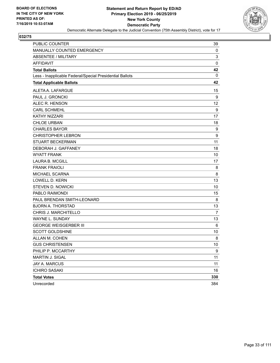

| PUBLIC COUNTER                                           | 39             |
|----------------------------------------------------------|----------------|
| MANUALLY COUNTED EMERGENCY                               | 0              |
| <b>ABSENTEE / MILITARY</b>                               | 3              |
| <b>AFFIDAVIT</b>                                         | $\pmb{0}$      |
| <b>Total Ballots</b>                                     | 42             |
| Less - Inapplicable Federal/Special Presidential Ballots | 0              |
| <b>Total Applicable Ballots</b>                          | 42             |
| ALETA A. LAFARGUE                                        | 15             |
| PAUL J. GRONCKI                                          | 9              |
| ALEC R. HENSON                                           | 12             |
| <b>CARL SCHMEHL</b>                                      | 9              |
| <b>KATHY NIZZARI</b>                                     | 17             |
| <b>CHLOE URBAN</b>                                       | 18             |
| <b>CHARLES BAYOR</b>                                     | 9              |
| <b>CHRISTOPHER LEBRON</b>                                | 9              |
| <b>STUART BECKERMAN</b>                                  | 11             |
| DEBORAH J. GAFFANEY                                      | 18             |
| <b>WYATT FRANK</b>                                       | 10             |
| <b>LAURA B. MCGILL</b>                                   | 17             |
| <b>FRANK FRAIOLI</b>                                     | 8              |
| MICHAEL SCARNA                                           | 8              |
| LOWELL D. KERN                                           | 13             |
| <b>STEVEN D. NOWICKI</b>                                 | 10             |
| PABLO RAIMONDI                                           | 15             |
| PAUL BRENDAN SMITH-LEONARD                               | 8              |
| <b>BJORN A. THORSTAD</b>                                 | 13             |
| CHRIS J. MARCHITELLO                                     | $\overline{7}$ |
| WAYNE L. SUNDAY                                          | 13             |
| <b>GEORGE WEISGERBER III</b>                             | 6              |
| <b>SCOTT GOLDSHINE</b>                                   | 10             |
| ALLAN M. COHEN                                           | 8              |
| <b>GUS CHRISTENSEN</b>                                   | 10             |
| PHILIP P. MCCARTHY                                       | 9              |
| MARTIN J. SIGAL                                          | 11             |
| JAY A. MARCUS                                            | 11             |
| <b>ICHIRO SASAKI</b>                                     | 16             |
| <b>Total Votes</b>                                       | 330            |
| Unrecorded                                               | 384            |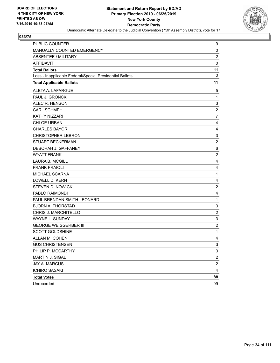

| PUBLIC COUNTER                                           | 9                         |
|----------------------------------------------------------|---------------------------|
| MANUALLY COUNTED EMERGENCY                               | 0                         |
| <b>ABSENTEE / MILITARY</b>                               | $\overline{2}$            |
| <b>AFFIDAVIT</b>                                         | $\pmb{0}$                 |
| <b>Total Ballots</b>                                     | 11                        |
| Less - Inapplicable Federal/Special Presidential Ballots | 0                         |
| <b>Total Applicable Ballots</b>                          | 11                        |
| ALETA A. LAFARGUE                                        | 5                         |
| PAUL J. GRONCKI                                          | $\mathbf{1}$              |
| ALEC R. HENSON                                           | $\ensuremath{\mathsf{3}}$ |
| <b>CARL SCHMEHL</b>                                      | $\overline{c}$            |
| <b>KATHY NIZZARI</b>                                     | $\overline{7}$            |
| <b>CHLOE URBAN</b>                                       | 4                         |
| <b>CHARLES BAYOR</b>                                     | 4                         |
| <b>CHRISTOPHER LEBRON</b>                                | 3                         |
| <b>STUART BECKERMAN</b>                                  | $\overline{2}$            |
| DEBORAH J. GAFFANEY                                      | 6                         |
| <b>WYATT FRANK</b>                                       | $\overline{c}$            |
| <b>LAURA B. MCGILL</b>                                   | 4                         |
| <b>FRANK FRAIOLI</b>                                     | 4                         |
| MICHAEL SCARNA                                           | $\mathbf{1}$              |
| <b>LOWELL D. KERN</b>                                    | 4                         |
| <b>STEVEN D. NOWICKI</b>                                 | $\overline{\mathbf{c}}$   |
| PABLO RAIMONDI                                           | 4                         |
| PAUL BRENDAN SMITH-LEONARD                               | $\mathbf{1}$              |
| <b>BJORN A. THORSTAD</b>                                 | 3                         |
| CHRIS J. MARCHITELLO                                     | $\overline{c}$            |
| WAYNE L. SUNDAY                                          | $\mathsf 3$               |
| <b>GEORGE WEISGERBER III</b>                             | $\overline{\mathbf{c}}$   |
| <b>SCOTT GOLDSHINE</b>                                   | $\mathbf 1$               |
| ALLAN M. COHEN                                           | 4                         |
| <b>GUS CHRISTENSEN</b>                                   | 3                         |
| PHILIP P. MCCARTHY                                       | 3                         |
| MARTIN J. SIGAL                                          | $\overline{c}$            |
| JAY A. MARCUS                                            | $\overline{c}$            |
| <b>ICHIRO SASAKI</b>                                     | $\overline{4}$            |
| <b>Total Votes</b>                                       | 88                        |
| Unrecorded                                               | 99                        |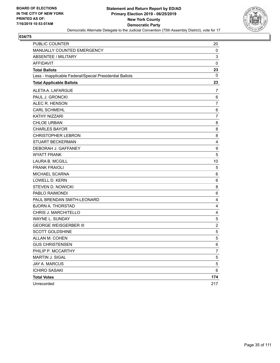

| <b>PUBLIC COUNTER</b>                                    | 20             |
|----------------------------------------------------------|----------------|
| MANUALLY COUNTED EMERGENCY                               | 0              |
| <b>ABSENTEE / MILITARY</b>                               | 3              |
| <b>AFFIDAVIT</b>                                         | $\mathbf 0$    |
| <b>Total Ballots</b>                                     | 23             |
| Less - Inapplicable Federal/Special Presidential Ballots | 0              |
| <b>Total Applicable Ballots</b>                          | 23             |
| ALETA A. LAFARGUE                                        | 7              |
| PAUL J. GRONCKI                                          | 6              |
| ALEC R. HENSON                                           | 7              |
| <b>CARL SCHMEHL</b>                                      | 6              |
| KATHY NIZZARI                                            | 7              |
| <b>CHLOE URBAN</b>                                       | 8              |
| <b>CHARLES BAYOR</b>                                     | 8              |
| <b>CHRISTOPHER LEBRON</b>                                | 8              |
| <b>STUART BECKERMAN</b>                                  | $\overline{4}$ |
| DEBORAH J. GAFFANEY                                      | 9              |
| <b>WYATT FRANK</b>                                       | 5              |
| <b>LAURA B. MCGILL</b>                                   | 10             |
| <b>FRANK FRAIOLI</b>                                     | 5              |
| MICHAEL SCARNA                                           | 6              |
| <b>LOWELL D. KERN</b>                                    | 6              |
| <b>STEVEN D. NOWICKI</b>                                 | 8              |
| PABLO RAIMONDI                                           | 6              |
| PAUL BRENDAN SMITH-LEONARD                               | $\overline{4}$ |
| <b>BJORN A. THORSTAD</b>                                 | 4              |
| CHRIS J. MARCHITELLO                                     | 4              |
| WAYNE L. SUNDAY                                          | 5              |
| <b>GEORGE WEISGERBER III</b>                             | $\overline{2}$ |
| <b>SCOTT GOLDSHINE</b>                                   | $\,$ 5 $\,$    |
| ALLAN M. COHEN                                           | 5              |
| <b>GUS CHRISTENSEN</b>                                   | 6              |
| PHILIP P. MCCARTHY                                       | 7              |
| MARTIN J. SIGAL                                          | 5              |
| <b>JAY A. MARCUS</b>                                     | 5              |
| <b>ICHIRO SASAKI</b>                                     | 6              |
| <b>Total Votes</b>                                       | 174            |
| Unrecorded                                               | 217            |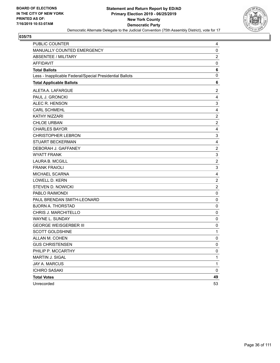

| PUBLIC COUNTER                                           | 4                         |
|----------------------------------------------------------|---------------------------|
| MANUALLY COUNTED EMERGENCY                               | 0                         |
| <b>ABSENTEE / MILITARY</b>                               | $\overline{2}$            |
| <b>AFFIDAVIT</b>                                         | 0                         |
| <b>Total Ballots</b>                                     | 6                         |
| Less - Inapplicable Federal/Special Presidential Ballots | 0                         |
| <b>Total Applicable Ballots</b>                          | 6                         |
| ALETA A. LAFARGUE                                        | 2                         |
| PAUL J. GRONCKI                                          | 4                         |
| ALEC R. HENSON                                           | $\ensuremath{\mathsf{3}}$ |
| <b>CARL SCHMEHL</b>                                      | 4                         |
| KATHY NIZZARI                                            | $\boldsymbol{2}$          |
| <b>CHLOE URBAN</b>                                       | $\overline{2}$            |
| <b>CHARLES BAYOR</b>                                     | 4                         |
| <b>CHRISTOPHER LEBRON</b>                                | 3                         |
| <b>STUART BECKERMAN</b>                                  | 4                         |
| DEBORAH J. GAFFANEY                                      | $\overline{\mathbf{c}}$   |
| <b>WYATT FRANK</b>                                       | 3                         |
| <b>LAURA B. MCGILL</b>                                   | $\overline{c}$            |
| <b>FRANK FRAIOLI</b>                                     | 3                         |
| MICHAEL SCARNA                                           | 4                         |
| <b>LOWELL D. KERN</b>                                    | $\overline{2}$            |
| <b>STEVEN D. NOWICKI</b>                                 | $\overline{c}$            |
| PABLO RAIMONDI                                           | $\pmb{0}$                 |
| PAUL BRENDAN SMITH-LEONARD                               | $\pmb{0}$                 |
| <b>BJORN A. THORSTAD</b>                                 | 0                         |
| CHRIS J. MARCHITELLO                                     | $\mathbf 0$               |
| <b>WAYNE L. SUNDAY</b>                                   | $\mathbf 0$               |
| <b>GEORGE WEISGERBER III</b>                             | 0                         |
| <b>SCOTT GOLDSHINE</b>                                   | $\mathbf{1}$              |
| ALLAN M. COHEN                                           | 0                         |
| <b>GUS CHRISTENSEN</b>                                   | 0                         |
| PHILIP P. MCCARTHY                                       | 0                         |
| MARTIN J. SIGAL                                          | 1                         |
| JAY A. MARCUS                                            | 1                         |
| <b>ICHIRO SASAKI</b>                                     | $\mathbf 0$               |
| <b>Total Votes</b>                                       | 49                        |
| Unrecorded                                               | 53                        |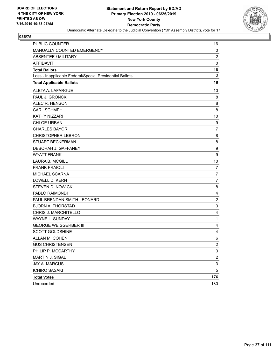

| PUBLIC COUNTER                                           | 16                        |
|----------------------------------------------------------|---------------------------|
| MANUALLY COUNTED EMERGENCY                               | 0                         |
| <b>ABSENTEE / MILITARY</b>                               | $\overline{c}$            |
| <b>AFFIDAVIT</b>                                         | $\mathbf 0$               |
| <b>Total Ballots</b>                                     | 18                        |
| Less - Inapplicable Federal/Special Presidential Ballots | 0                         |
| <b>Total Applicable Ballots</b>                          | 18                        |
| ALETA A. LAFARGUE                                        | 10                        |
| PAUL J. GRONCKI                                          | 8                         |
| ALEC R. HENSON                                           | 8                         |
| <b>CARL SCHMEHL</b>                                      | 8                         |
| KATHY NIZZARI                                            | 10                        |
| <b>CHLOE URBAN</b>                                       | 9                         |
| <b>CHARLES BAYOR</b>                                     | $\overline{7}$            |
| <b>CHRISTOPHER LEBRON</b>                                | 8                         |
| <b>STUART BECKERMAN</b>                                  | 8                         |
| DEBORAH J. GAFFANEY                                      | 9                         |
| <b>WYATT FRANK</b>                                       | 9                         |
| <b>LAURA B. MCGILL</b>                                   | 10                        |
| <b>FRANK FRAIOLI</b>                                     | $\overline{7}$            |
| MICHAEL SCARNA                                           | 7                         |
| <b>LOWELL D. KERN</b>                                    | $\overline{7}$            |
| <b>STEVEN D. NOWICKI</b>                                 | 8                         |
| PABLO RAIMONDI                                           | 4                         |
| PAUL BRENDAN SMITH-LEONARD                               | $\overline{c}$            |
| <b>BJORN A. THORSTAD</b>                                 | $\mathsf 3$               |
| CHRIS J. MARCHITELLO                                     | 4                         |
| WAYNE L. SUNDAY                                          | $\mathbf{1}$              |
| <b>GEORGE WEISGERBER III</b>                             | 4                         |
| <b>SCOTT GOLDSHINE</b>                                   | 4                         |
| ALLAN M. COHEN                                           | 6                         |
| <b>GUS CHRISTENSEN</b>                                   | $\mathfrak{p}$            |
| PHILIP P. MCCARTHY                                       | 3                         |
| MARTIN J. SIGAL                                          | $\boldsymbol{2}$          |
| JAY A. MARCUS                                            | $\ensuremath{\mathsf{3}}$ |
| <b>ICHIRO SASAKI</b>                                     | 5                         |
| <b>Total Votes</b>                                       | 176                       |
| Unrecorded                                               | 130                       |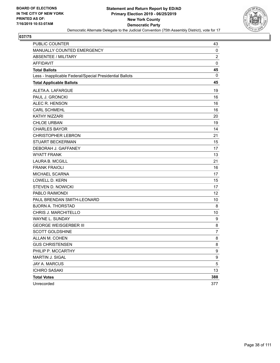

| <b>PUBLIC COUNTER</b>                                    | 43             |
|----------------------------------------------------------|----------------|
| MANUALLY COUNTED EMERGENCY                               | 0              |
| <b>ABSENTEE / MILITARY</b>                               | $\overline{c}$ |
| <b>AFFIDAVIT</b>                                         | $\mathbf 0$    |
| <b>Total Ballots</b>                                     | 45             |
| Less - Inapplicable Federal/Special Presidential Ballots | 0              |
| <b>Total Applicable Ballots</b>                          | 45             |
| ALETA A. LAFARGUE                                        | 19             |
| PAUL J. GRONCKI                                          | 16             |
| ALEC R. HENSON                                           | 16             |
| <b>CARL SCHMEHL</b>                                      | 16             |
| KATHY NIZZARI                                            | 20             |
| <b>CHLOE URBAN</b>                                       | 19             |
| <b>CHARLES BAYOR</b>                                     | 14             |
| <b>CHRISTOPHER LEBRON</b>                                | 21             |
| <b>STUART BECKERMAN</b>                                  | 15             |
| DEBORAH J. GAFFANEY                                      | 17             |
| <b>WYATT FRANK</b>                                       | 13             |
| <b>LAURA B. MCGILL</b>                                   | 21             |
| <b>FRANK FRAIOLI</b>                                     | 16             |
| MICHAEL SCARNA                                           | 17             |
| LOWELL D. KERN                                           | 15             |
| <b>STEVEN D. NOWICKI</b>                                 | 17             |
| PABLO RAIMONDI                                           | 12             |
| PAUL BRENDAN SMITH-LEONARD                               | 10             |
| <b>BJORN A. THORSTAD</b>                                 | 8              |
| CHRIS J. MARCHITELLO                                     | 10             |
| WAYNE L. SUNDAY                                          | 9              |
| <b>GEORGE WEISGERBER III</b>                             | 8              |
| <b>SCOTT GOLDSHINE</b>                                   | 7              |
| ALLAN M. COHEN                                           | 8              |
| <b>GUS CHRISTENSEN</b>                                   | 8              |
| PHILIP P. MCCARTHY                                       | 9              |
| MARTIN J. SIGAL                                          | 9              |
| JAY A. MARCUS                                            | 5              |
| <b>ICHIRO SASAKI</b>                                     | 13             |
| <b>Total Votes</b>                                       | 388            |
| Unrecorded                                               | 377            |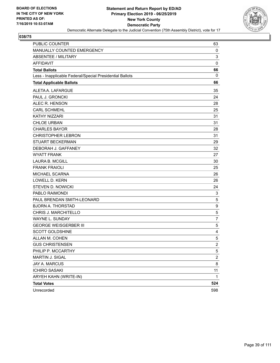

| PUBLIC COUNTER                                           | 63               |
|----------------------------------------------------------|------------------|
| MANUALLY COUNTED EMERGENCY                               | 0                |
| ABSENTEE / MILITARY                                      | 3                |
| <b>AFFIDAVIT</b>                                         | $\mathbf 0$      |
| <b>Total Ballots</b>                                     | 66               |
| Less - Inapplicable Federal/Special Presidential Ballots | 0                |
| <b>Total Applicable Ballots</b>                          | 66               |
| ALETA A. LAFARGUE                                        | 35               |
| PAUL J. GRONCKI                                          | 24               |
| ALEC R. HENSON                                           | 28               |
| <b>CARL SCHMEHL</b>                                      | 25               |
| <b>KATHY NIZZARI</b>                                     | 31               |
| <b>CHLOE URBAN</b>                                       | 31               |
| <b>CHARLES BAYOR</b>                                     | 28               |
| <b>CHRISTOPHER LEBRON</b>                                | 31               |
| <b>STUART BECKERMAN</b>                                  | 29               |
| DEBORAH J. GAFFANEY                                      | 32               |
| <b>WYATT FRANK</b>                                       | 27               |
| <b>LAURA B. MCGILL</b>                                   | 30               |
| <b>FRANK FRAIOLI</b>                                     | 25               |
| MICHAEL SCARNA                                           | 26               |
| LOWELL D. KERN                                           | 26               |
| <b>STEVEN D. NOWICKI</b>                                 | 24               |
| PABLO RAIMONDI                                           | 3                |
| PAUL BRENDAN SMITH-LEONARD                               | $\mathbf 5$      |
| <b>BJORN A. THORSTAD</b>                                 | $\boldsymbol{9}$ |
| CHRIS J. MARCHITELLO                                     | 5                |
| <b>WAYNE L. SUNDAY</b>                                   | $\overline{7}$   |
| <b>GEORGE WEISGERBER III</b>                             | 5                |
| <b>SCOTT GOLDSHINE</b>                                   | 4                |
| ALLAN M. COHEN                                           | 5                |
| <b>GUS CHRISTENSEN</b>                                   | $\boldsymbol{2}$ |
| PHILIP P. MCCARTHY                                       | 5                |
| MARTIN J. SIGAL                                          | $\overline{c}$   |
| <b>JAY A. MARCUS</b>                                     | 8                |
| <b>ICHIRO SASAKI</b>                                     | 11               |
| ARYEH KAHN (WRITE-IN)                                    | 1                |
| <b>Total Votes</b>                                       | 524              |
| Unrecorded                                               | 598              |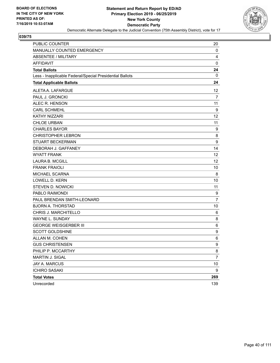

| PUBLIC COUNTER<br>MANUALLY COUNTED EMERGENCY             | 20<br>0          |
|----------------------------------------------------------|------------------|
| ABSENTEE / MILITARY                                      | 4                |
| <b>AFFIDAVIT</b>                                         | $\mathbf 0$      |
| <b>Total Ballots</b>                                     | 24               |
| Less - Inapplicable Federal/Special Presidential Ballots | 0                |
| <b>Total Applicable Ballots</b>                          | 24               |
|                                                          |                  |
| ALETA A. LAFARGUE                                        | 12               |
| PAUL J. GRONCKI                                          | $\overline{7}$   |
| ALEC R. HENSON                                           | 11               |
| <b>CARL SCHMEHL</b>                                      | $\boldsymbol{9}$ |
| <b>KATHY NIZZARI</b>                                     | 12               |
| <b>CHLOE URBAN</b>                                       | 11               |
| <b>CHARLES BAYOR</b>                                     | 9                |
| <b>CHRISTOPHER LEBRON</b>                                | 8                |
| <b>STUART BECKERMAN</b>                                  | 9                |
| DEBORAH J. GAFFANEY                                      | 14               |
| <b>WYATT FRANK</b>                                       | 12               |
| <b>LAURA B. MCGILL</b>                                   | 12               |
| <b>FRANK FRAIOLI</b>                                     | 10               |
| MICHAEL SCARNA                                           | 8                |
| <b>LOWELL D. KERN</b>                                    | 10               |
| <b>STEVEN D. NOWICKI</b>                                 | 11               |
| PABLO RAIMONDI                                           | 9                |
| PAUL BRENDAN SMITH-LEONARD                               | $\overline{7}$   |
| <b>BJORN A. THORSTAD</b>                                 | 10               |
| CHRIS J. MARCHITELLO                                     | 6                |
| <b>WAYNE L. SUNDAY</b>                                   | 8                |
| <b>GEORGE WEISGERBER III</b>                             | 6                |
| <b>SCOTT GOLDSHINE</b>                                   | 9                |
| ALLAN M. COHEN                                           | 6                |
| <b>GUS CHRISTENSEN</b>                                   | 9                |
| PHILIP P. MCCARTHY                                       | 8                |
| MARTIN J. SIGAL                                          | $\overline{7}$   |
| JAY A. MARCUS                                            | 10               |
| <b>ICHIRO SASAKI</b>                                     | 9                |
| <b>Total Votes</b>                                       | 269              |
| Unrecorded                                               | 139              |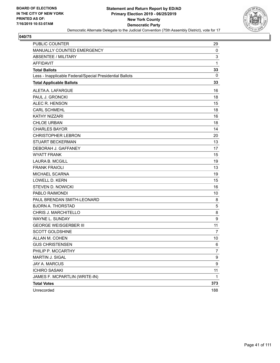

| PUBLIC COUNTER                                           | 29                        |
|----------------------------------------------------------|---------------------------|
| MANUALLY COUNTED EMERGENCY                               | 0                         |
| ABSENTEE / MILITARY                                      | $\ensuremath{\mathsf{3}}$ |
| <b>AFFIDAVIT</b>                                         | 1                         |
| <b>Total Ballots</b>                                     | 33                        |
| Less - Inapplicable Federal/Special Presidential Ballots | 0                         |
| <b>Total Applicable Ballots</b>                          | 33                        |
| ALETA A. LAFARGUE                                        | 16                        |
| PAUL J. GRONCKI                                          | 18                        |
| ALEC R. HENSON                                           | 15                        |
| <b>CARL SCHMEHL</b>                                      | 18                        |
| <b>KATHY NIZZARI</b>                                     | 16                        |
| <b>CHLOE URBAN</b>                                       | 18                        |
| <b>CHARLES BAYOR</b>                                     | 14                        |
| <b>CHRISTOPHER LEBRON</b>                                | 20                        |
| <b>STUART BECKERMAN</b>                                  | 13                        |
| DEBORAH J. GAFFANEY                                      | 17                        |
| <b>WYATT FRANK</b>                                       | 15                        |
| <b>LAURA B. MCGILL</b>                                   | 19                        |
| <b>FRANK FRAIOLI</b>                                     | 13                        |
| MICHAEL SCARNA                                           | 19                        |
| <b>LOWELL D. KERN</b>                                    | 15                        |
| <b>STEVEN D. NOWICKI</b>                                 | 16                        |
| PABLO RAIMONDI                                           | 10                        |
| PAUL BRENDAN SMITH-LEONARD                               | 8                         |
| <b>BJORN A. THORSTAD</b>                                 | 5                         |
| CHRIS J. MARCHITELLO                                     | 8                         |
| <b>WAYNE L. SUNDAY</b>                                   | $\boldsymbol{9}$          |
| <b>GEORGE WEISGERBER III</b>                             | 11                        |
| <b>SCOTT GOLDSHINE</b>                                   | 7                         |
| ALLAN M. COHEN                                           | 10                        |
| <b>GUS CHRISTENSEN</b>                                   | 6                         |
| PHILIP P. MCCARTHY                                       | 7                         |
| MARTIN J. SIGAL                                          | 9                         |
| JAY A. MARCUS                                            | 9                         |
| <b>ICHIRO SASAKI</b>                                     | 11                        |
| JAMES F. MCPARTLIN (WRITE-IN)                            | 1                         |
| <b>Total Votes</b>                                       | 373                       |
| Unrecorded                                               | 188                       |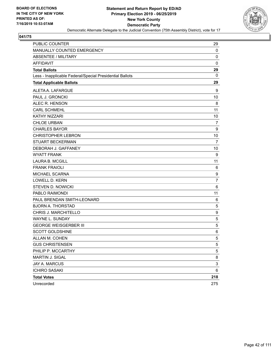

| <b>PUBLIC COUNTER</b>                                    | 29                        |
|----------------------------------------------------------|---------------------------|
| MANUALLY COUNTED EMERGENCY                               | 0                         |
| <b>ABSENTEE / MILITARY</b>                               | 0                         |
| <b>AFFIDAVIT</b>                                         | $\mathbf 0$               |
| <b>Total Ballots</b>                                     | 29                        |
| Less - Inapplicable Federal/Special Presidential Ballots | 0                         |
| <b>Total Applicable Ballots</b>                          | 29                        |
| ALETA A. LAFARGUE                                        | 9                         |
| PAUL J. GRONCKI                                          | 10                        |
| ALEC R. HENSON                                           | 8                         |
| <b>CARL SCHMEHL</b>                                      | 11                        |
| KATHY NIZZARI                                            | 10                        |
| <b>CHLOE URBAN</b>                                       | 7                         |
| <b>CHARLES BAYOR</b>                                     | 9                         |
| <b>CHRISTOPHER LEBRON</b>                                | 10                        |
| <b>STUART BECKERMAN</b>                                  | 7                         |
| DEBORAH J. GAFFANEY                                      | 10                        |
| <b>WYATT FRANK</b>                                       | 9                         |
| <b>LAURA B. MCGILL</b>                                   | 11                        |
| <b>FRANK FRAIOLI</b>                                     | 6                         |
| MICHAEL SCARNA                                           | 9                         |
| <b>LOWELL D. KERN</b>                                    | $\overline{7}$            |
| <b>STEVEN D. NOWICKI</b>                                 | 6                         |
| PABLO RAIMONDI                                           | 11                        |
| PAUL BRENDAN SMITH-LEONARD                               | 6                         |
| <b>BJORN A. THORSTAD</b>                                 | 5                         |
| CHRIS J. MARCHITELLO                                     | 9                         |
| WAYNE L. SUNDAY                                          | $\mathbf 5$               |
| <b>GEORGE WEISGERBER III</b>                             | 5                         |
| <b>SCOTT GOLDSHINE</b>                                   | 6                         |
| ALLAN M. COHEN                                           | 5                         |
| <b>GUS CHRISTENSEN</b>                                   | 5                         |
| PHILIP P. MCCARTHY                                       | $\sqrt{5}$                |
| MARTIN J. SIGAL                                          | 8                         |
| JAY A. MARCUS                                            | $\ensuremath{\mathsf{3}}$ |
| <b>ICHIRO SASAKI</b>                                     | 6                         |
| <b>Total Votes</b>                                       | 218                       |
| Unrecorded                                               | 275                       |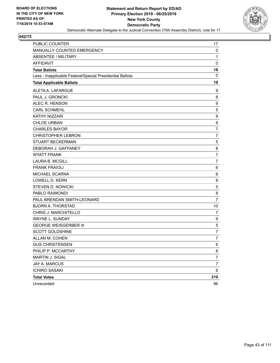

| PUBLIC COUNTER                                           | 17               |
|----------------------------------------------------------|------------------|
| MANUALLY COUNTED EMERGENCY                               | $\mathbf 0$      |
| <b>ABSENTEE / MILITARY</b>                               | $\mathbf{1}$     |
| <b>AFFIDAVIT</b>                                         | $\mathbf 0$      |
| <b>Total Ballots</b>                                     | 18               |
| Less - Inapplicable Federal/Special Presidential Ballots | 0                |
| <b>Total Applicable Ballots</b>                          | 18               |
| ALETA A. LAFARGUE                                        | 9                |
| PAUL J. GRONCKI                                          | 8                |
| ALEC R. HENSON                                           | 9                |
| <b>CARL SCHMEHL</b>                                      | 5                |
| <b>KATHY NIZZARI</b>                                     | $\boldsymbol{9}$ |
| <b>CHLOE URBAN</b>                                       | 8                |
| <b>CHARLES BAYOR</b>                                     | $\overline{7}$   |
| <b>CHRISTOPHER LEBRON</b>                                | $\overline{7}$   |
| <b>STUART BECKERMAN</b>                                  | 5                |
| DEBORAH J. GAFFANEY                                      | 8                |
| <b>WYATT FRANK</b>                                       | $\overline{7}$   |
| <b>LAURA B. MCGILL</b>                                   | $\overline{7}$   |
| <b>FRANK FRAIOLI</b>                                     | 6                |
| MICHAEL SCARNA                                           | 6                |
| <b>LOWELL D. KERN</b>                                    | 8                |
| <b>STEVEN D. NOWICKI</b>                                 | 5                |
| PABLO RAIMONDI                                           | 8                |
| PAUL BRENDAN SMITH-LEONARD                               | $\overline{7}$   |
| <b>BJORN A. THORSTAD</b>                                 | 10               |
| CHRIS J. MARCHITELLO                                     | $\overline{7}$   |
| WAYNE L. SUNDAY                                          | 9                |
| <b>GEORGE WEISGERBER III</b>                             | 5                |
| <b>SCOTT GOLDSHINE</b>                                   | $\overline{7}$   |
| ALLAN M. COHEN                                           | 7                |
| <b>GUS CHRISTENSEN</b>                                   | 6                |
| PHILIP P. MCCARTHY                                       | 8                |
| MARTIN J. SIGAL                                          | 7                |
| JAY A. MARCUS                                            | $\boldsymbol{7}$ |
| <b>ICHIRO SASAKI</b>                                     | 8                |
| <b>Total Votes</b>                                       | 210              |
| Unrecorded                                               | 96               |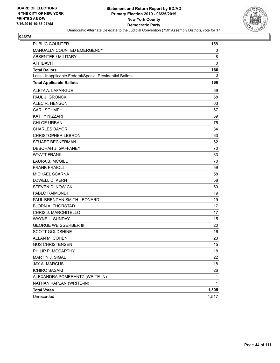

| PUBLIC COUNTER                                           | 158          |
|----------------------------------------------------------|--------------|
| MANUALLY COUNTED EMERGENCY                               | 0            |
| ABSENTEE / MILITARY                                      | 8            |
| <b>AFFIDAVIT</b>                                         | $\mathbf 0$  |
| <b>Total Ballots</b>                                     | 166          |
| Less - Inapplicable Federal/Special Presidential Ballots | 0            |
| <b>Total Applicable Ballots</b>                          | 166          |
| ALETA A. LAFARGUE                                        | 69           |
| PAUL J. GRONCKI                                          | 68           |
| ALEC R. HENSON                                           | 63           |
| <b>CARL SCHMEHL</b>                                      | 67           |
| <b>KATHY NIZZARI</b>                                     | 69           |
| <b>CHLOE URBAN</b>                                       | 75           |
| <b>CHARLES BAYOR</b>                                     | 84           |
| <b>CHRISTOPHER LEBRON</b>                                | 63           |
| <b>STUART BECKERMAN</b>                                  | 62           |
| DEBORAH J. GAFFANEY                                      | 70           |
| <b>WYATT FRANK</b>                                       | 63           |
| <b>LAURA B. MCGILL</b>                                   | 70           |
| <b>FRANK FRAIOLI</b>                                     | 59           |
| MICHAEL SCARNA                                           | 58           |
| LOWELL D. KERN                                           | 58           |
| <b>STEVEN D. NOWICKI</b>                                 | 60           |
| PABLO RAIMONDI                                           | 19           |
| PAUL BRENDAN SMITH-LEONARD                               | 19           |
| <b>BJORN A. THORSTAD</b>                                 | 17           |
| <b>CHRIS J. MARCHITELLO</b>                              | 17           |
| <b>WAYNE L. SUNDAY</b>                                   | 15           |
| <b>GEORGE WEISGERBER III</b>                             | 20           |
| <b>SCOTT GOLDSHINE</b>                                   | 16           |
| ALLAN M. COHEN                                           | 23           |
| <b>GUS CHRISTENSEN</b>                                   | $15\,$       |
| PHILIP P. MCCARTHY                                       | 18           |
| MARTIN J. SIGAL                                          | 22           |
| JAY A. MARCUS                                            | 18           |
| <b>ICHIRO SASAKI</b>                                     | 26           |
| ALEXANDRA POMERANTZ (WRITE-IN)                           | 1            |
| NATHAN KAPLAN (WRITE-IN)                                 | $\mathbf{1}$ |
| <b>Total Votes</b>                                       | 1,305        |
| Unrecorded                                               | 1,517        |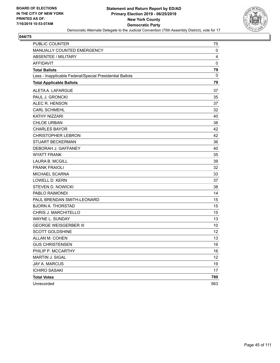

| PUBLIC COUNTER                                           | 75  |
|----------------------------------------------------------|-----|
| MANUALLY COUNTED EMERGENCY                               | 0   |
| <b>ABSENTEE / MILITARY</b>                               | 4   |
| <b>AFFIDAVIT</b>                                         | 0   |
| <b>Total Ballots</b>                                     | 79  |
| Less - Inapplicable Federal/Special Presidential Ballots | 0   |
| <b>Total Applicable Ballots</b>                          | 79  |
| ALETA A. LAFARGUE                                        | 37  |
| PAUL J. GRONCKI                                          | 35  |
| ALEC R. HENSON                                           | 37  |
| <b>CARL SCHMEHL</b>                                      | 32  |
| <b>KATHY NIZZARI</b>                                     | 40  |
| <b>CHLOE URBAN</b>                                       | 38  |
| <b>CHARLES BAYOR</b>                                     | 42  |
| <b>CHRISTOPHER LEBRON</b>                                | 42  |
| <b>STUART BECKERMAN</b>                                  | 36  |
| DEBORAH J. GAFFANEY                                      | 40  |
| <b>WYATT FRANK</b>                                       | 35  |
| <b>LAURA B. MCGILL</b>                                   | 39  |
| <b>FRANK FRAIOLI</b>                                     | 32  |
| <b>MICHAEL SCARNA</b>                                    | 33  |
| LOWELL D. KERN                                           | 37  |
| <b>STEVEN D. NOWICKI</b>                                 | 38  |
| PABLO RAIMONDI                                           | 14  |
| PAUL BRENDAN SMITH-LEONARD                               | 15  |
| <b>BJORN A. THORSTAD</b>                                 | 15  |
| CHRIS J. MARCHITELLO                                     | 15  |
| WAYNE L. SUNDAY                                          | 13  |
| <b>GEORGE WEISGERBER III</b>                             | 10  |
| <b>SCOTT GOLDSHINE</b>                                   | 12  |
| ALLAN M. COHEN                                           | 13  |
| <b>GUS CHRISTENSEN</b>                                   | 16  |
| PHILIP P. MCCARTHY                                       | 16  |
| MARTIN J. SIGAL                                          | 12  |
| JAY A. MARCUS                                            | 19  |
| <b>ICHIRO SASAKI</b>                                     | 17  |
| <b>Total Votes</b>                                       | 780 |
| Unrecorded                                               | 563 |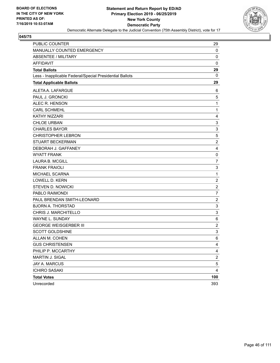

| <b>PUBLIC COUNTER</b>                                    | 29                        |
|----------------------------------------------------------|---------------------------|
| MANUALLY COUNTED EMERGENCY                               | 0                         |
| <b>ABSENTEE / MILITARY</b>                               | 0                         |
| <b>AFFIDAVIT</b>                                         | 0                         |
| <b>Total Ballots</b>                                     | 29                        |
| Less - Inapplicable Federal/Special Presidential Ballots | 0                         |
| <b>Total Applicable Ballots</b>                          | 29                        |
| ALETA A. LAFARGUE                                        | 6                         |
| PAUL J. GRONCKI                                          | $\,$ 5 $\,$               |
| ALEC R. HENSON                                           | $\mathbf{1}$              |
| <b>CARL SCHMEHL</b>                                      | 1                         |
| KATHY NIZZARI                                            | 4                         |
| <b>CHLOE URBAN</b>                                       | 3                         |
| <b>CHARLES BAYOR</b>                                     | $\mathsf 3$               |
| <b>CHRISTOPHER LEBRON</b>                                | 5                         |
| <b>STUART BECKERMAN</b>                                  | $\overline{c}$            |
| DEBORAH J. GAFFANEY                                      | 4                         |
| <b>WYATT FRANK</b>                                       | 0                         |
| <b>LAURA B. MCGILL</b>                                   | $\overline{7}$            |
| <b>FRANK FRAIOLI</b>                                     | $\ensuremath{\mathsf{3}}$ |
| MICHAEL SCARNA                                           | 1                         |
| <b>LOWELL D. KERN</b>                                    | $\overline{c}$            |
| <b>STEVEN D. NOWICKI</b>                                 | $\overline{c}$            |
| PABLO RAIMONDI                                           | 7                         |
| PAUL BRENDAN SMITH-LEONARD                               | $\overline{c}$            |
| <b>BJORN A. THORSTAD</b>                                 | $\ensuremath{\mathsf{3}}$ |
| CHRIS J. MARCHITELLO                                     | 3                         |
| WAYNE L. SUNDAY                                          | 6                         |
| <b>GEORGE WEISGERBER III</b>                             | $\overline{2}$            |
| <b>SCOTT GOLDSHINE</b>                                   | 3                         |
| ALLAN M. COHEN                                           | 6                         |
| <b>GUS CHRISTENSEN</b>                                   | 4                         |
| PHILIP P. MCCARTHY                                       | 4                         |
| <b>MARTIN J. SIGAL</b>                                   | $\overline{\mathbf{c}}$   |
| JAY A. MARCUS                                            | 5                         |
| <b>ICHIRO SASAKI</b>                                     | 4                         |
| <b>Total Votes</b>                                       | 100                       |
| Unrecorded                                               | 393                       |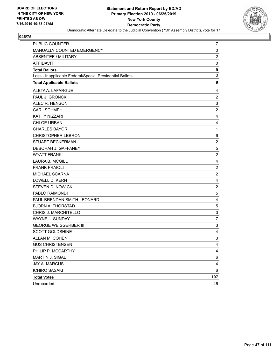

| <b>PUBLIC COUNTER</b>                                    | 7              |
|----------------------------------------------------------|----------------|
| MANUALLY COUNTED EMERGENCY                               | $\mathbf 0$    |
| <b>ABSENTEE / MILITARY</b>                               | $\overline{2}$ |
| <b>AFFIDAVIT</b>                                         | 0              |
| <b>Total Ballots</b>                                     | 9              |
| Less - Inapplicable Federal/Special Presidential Ballots | $\mathbf 0$    |
| <b>Total Applicable Ballots</b>                          | 9              |
| ALETA A. LAFARGUE                                        | 4              |
| PAUL J. GRONCKI                                          | $\overline{2}$ |
| ALEC R. HENSON                                           | 3              |
| <b>CARL SCHMEHL</b>                                      | $\overline{c}$ |
| KATHY NIZZARI                                            | 4              |
| <b>CHLOE URBAN</b>                                       | 4              |
| <b>CHARLES BAYOR</b>                                     | $\mathbf{1}$   |
| <b>CHRISTOPHER LEBRON</b>                                | 6              |
| STUART BECKERMAN                                         | $\overline{2}$ |
| DEBORAH J. GAFFANEY                                      | 5              |
| <b>WYATT FRANK</b>                                       | $\overline{c}$ |
| <b>LAURA B. MCGILL</b>                                   | 4              |
| <b>FRANK FRAIOLI</b>                                     | $\overline{c}$ |
| MICHAEL SCARNA                                           | $\overline{c}$ |
| <b>LOWELL D. KERN</b>                                    | 4              |
| STEVEN D. NOWICKI                                        | $\overline{c}$ |
| PABLO RAIMONDI                                           | $\mathbf 5$    |
| PAUL BRENDAN SMITH-LEONARD                               | 4              |
| <b>BJORN A. THORSTAD</b>                                 | 5              |
| CHRIS J. MARCHITELLO                                     | $\mathsf 3$    |
| WAYNE L. SUNDAY                                          | 7              |
| <b>GEORGE WEISGERBER III</b>                             | 3              |
| <b>SCOTT GOLDSHINE</b>                                   | 4              |
| ALLAN M. COHEN                                           | 3              |
| <b>GUS CHRISTENSEN</b>                                   | 4              |
| PHILIP P. MCCARTHY                                       | 4              |
| MARTIN J. SIGAL                                          | 6              |
| <b>JAY A. MARCUS</b>                                     | $\overline{4}$ |
| <b>ICHIRO SASAKI</b>                                     | 6              |
| <b>Total Votes</b>                                       | 107            |
| Unrecorded                                               | 46             |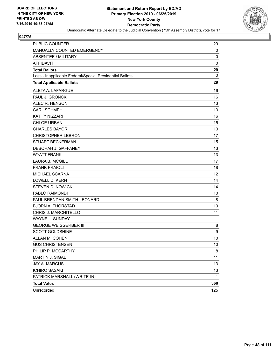

| <b>PUBLIC COUNTER</b>                                    | 29  |
|----------------------------------------------------------|-----|
| MANUALLY COUNTED EMERGENCY                               | 0   |
| <b>ABSENTEE / MILITARY</b>                               | 0   |
| <b>AFFIDAVIT</b>                                         | 0   |
| <b>Total Ballots</b>                                     | 29  |
| Less - Inapplicable Federal/Special Presidential Ballots | 0   |
| <b>Total Applicable Ballots</b>                          | 29  |
| ALETA A. LAFARGUE                                        | 16  |
| PAUL J. GRONCKI                                          | 16  |
| ALEC R. HENSON                                           | 13  |
| <b>CARL SCHMEHL</b>                                      | 13  |
| <b>KATHY NIZZARI</b>                                     | 16  |
| <b>CHLOE URBAN</b>                                       | 15  |
| <b>CHARLES BAYOR</b>                                     | 13  |
| <b>CHRISTOPHER LEBRON</b>                                | 17  |
| <b>STUART BECKERMAN</b>                                  | 15  |
| DEBORAH J. GAFFANEY                                      | 13  |
| <b>WYATT FRANK</b>                                       | 13  |
| <b>LAURA B. MCGILL</b>                                   | 17  |
| <b>FRANK FRAIOLI</b>                                     | 18  |
| <b>MICHAEL SCARNA</b>                                    | 12  |
| LOWELL D. KERN                                           | 14  |
| <b>STEVEN D. NOWICKI</b>                                 | 14  |
| PABLO RAIMONDI                                           | 10  |
| PAUL BRENDAN SMITH-LEONARD                               | 8   |
| <b>BJORN A. THORSTAD</b>                                 | 10  |
| CHRIS J. MARCHITELLO                                     | 11  |
| WAYNE L. SUNDAY                                          | 11  |
| <b>GEORGE WEISGERBER III</b>                             | 8   |
| <b>SCOTT GOLDSHINE</b>                                   | 9   |
| ALLAN M. COHEN                                           | 10  |
| <b>GUS CHRISTENSEN</b>                                   | 10  |
| PHILIP P. MCCARTHY                                       | 8   |
| MARTIN J. SIGAL                                          | 11  |
| JAY A. MARCUS                                            | 13  |
| <b>ICHIRO SASAKI</b>                                     | 13  |
| PATRICK MARSHALL (WRITE-IN)                              | 1   |
| <b>Total Votes</b>                                       | 368 |
| Unrecorded                                               | 125 |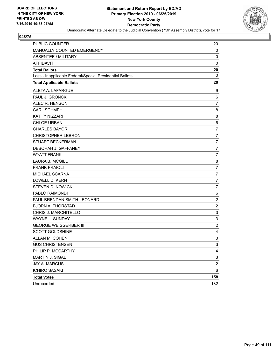

| <b>PUBLIC COUNTER</b>                                    | 20                        |
|----------------------------------------------------------|---------------------------|
| MANUALLY COUNTED EMERGENCY                               | 0                         |
| <b>ABSENTEE / MILITARY</b>                               | 0                         |
| <b>AFFIDAVIT</b>                                         | $\mathbf 0$               |
| <b>Total Ballots</b>                                     | 20                        |
| Less - Inapplicable Federal/Special Presidential Ballots | 0                         |
| <b>Total Applicable Ballots</b>                          | 20                        |
| ALETA A. LAFARGUE                                        | 9                         |
| PAUL J. GRONCKI                                          | 6                         |
| ALEC R. HENSON                                           | 7                         |
| <b>CARL SCHMEHL</b>                                      | 8                         |
| KATHY NIZZARI                                            | 8                         |
| <b>CHLOE URBAN</b>                                       | 6                         |
| <b>CHARLES BAYOR</b>                                     | $\overline{7}$            |
| <b>CHRISTOPHER LEBRON</b>                                | 7                         |
| <b>STUART BECKERMAN</b>                                  | $\overline{7}$            |
| DEBORAH J. GAFFANEY                                      | $\overline{7}$            |
| <b>WYATT FRANK</b>                                       | 7                         |
| <b>LAURA B. MCGILL</b>                                   | 8                         |
| <b>FRANK FRAIOLI</b>                                     | $\overline{7}$            |
| MICHAEL SCARNA                                           | 7                         |
| <b>LOWELL D. KERN</b>                                    | $\overline{7}$            |
| <b>STEVEN D. NOWICKI</b>                                 | $\overline{7}$            |
| PABLO RAIMONDI                                           | 6                         |
| PAUL BRENDAN SMITH-LEONARD                               | $\boldsymbol{2}$          |
| <b>BJORN A. THORSTAD</b>                                 | $\overline{c}$            |
| CHRIS J. MARCHITELLO                                     | 3                         |
| WAYNE L. SUNDAY                                          | 3                         |
| <b>GEORGE WEISGERBER III</b>                             | $\overline{2}$            |
| <b>SCOTT GOLDSHINE</b>                                   | 4                         |
| ALLAN M. COHEN                                           | 3                         |
| <b>GUS CHRISTENSEN</b>                                   | 3                         |
| PHILIP P. MCCARTHY                                       | 4                         |
| MARTIN J. SIGAL                                          | $\ensuremath{\mathsf{3}}$ |
| JAY A. MARCUS                                            | $\overline{c}$            |
| <b>ICHIRO SASAKI</b>                                     | 6                         |
| <b>Total Votes</b>                                       | 158                       |
| Unrecorded                                               | 182                       |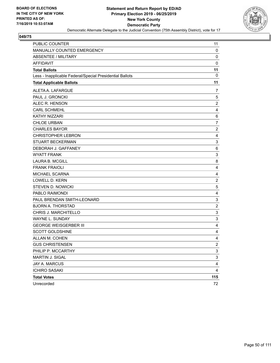

| <b>PUBLIC COUNTER</b>                                    | 11             |
|----------------------------------------------------------|----------------|
| MANUALLY COUNTED EMERGENCY                               | 0              |
| <b>ABSENTEE / MILITARY</b>                               | 0              |
| <b>AFFIDAVIT</b>                                         | $\mathbf 0$    |
| <b>Total Ballots</b>                                     | 11             |
| Less - Inapplicable Federal/Special Presidential Ballots | 0              |
| <b>Total Applicable Ballots</b>                          | 11             |
| ALETA A. LAFARGUE                                        | 7              |
| PAUL J. GRONCKI                                          | 5              |
| ALEC R. HENSON                                           | $\overline{c}$ |
| <b>CARL SCHMEHL</b>                                      | 4              |
| KATHY NIZZARI                                            | 6              |
| <b>CHLOE URBAN</b>                                       | $\overline{7}$ |
| <b>CHARLES BAYOR</b>                                     | $\overline{c}$ |
| <b>CHRISTOPHER LEBRON</b>                                | 4              |
| <b>STUART BECKERMAN</b>                                  | 3              |
| DEBORAH J. GAFFANEY                                      | 6              |
| <b>WYATT FRANK</b>                                       | 3              |
| <b>LAURA B. MCGILL</b>                                   | 8              |
| <b>FRANK FRAIOLI</b>                                     | 4              |
| MICHAEL SCARNA                                           | 4              |
| <b>LOWELL D. KERN</b>                                    | $\overline{c}$ |
| <b>STEVEN D. NOWICKI</b>                                 | 5              |
| PABLO RAIMONDI                                           | 4              |
| PAUL BRENDAN SMITH-LEONARD                               | 3              |
| <b>BJORN A. THORSTAD</b>                                 | $\overline{c}$ |
| CHRIS J. MARCHITELLO                                     | 3              |
| WAYNE L. SUNDAY                                          | 3              |
| <b>GEORGE WEISGERBER III</b>                             | 4              |
| <b>SCOTT GOLDSHINE</b>                                   | 4              |
| ALLAN M. COHEN                                           | $\overline{4}$ |
| <b>GUS CHRISTENSEN</b>                                   | $\mathfrak{p}$ |
| PHILIP P. MCCARTHY                                       | 3              |
| MARTIN J. SIGAL                                          | 3              |
| <b>JAY A. MARCUS</b>                                     | 4              |
| <b>ICHIRO SASAKI</b>                                     | 4              |
| <b>Total Votes</b>                                       | 115            |
| Unrecorded                                               | 72             |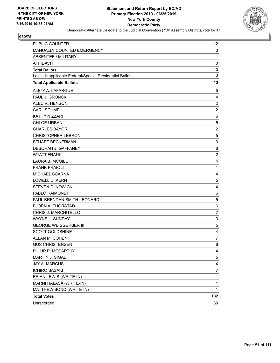

| PUBLIC COUNTER                                           | 12                        |
|----------------------------------------------------------|---------------------------|
| MANUALLY COUNTED EMERGENCY                               | 0                         |
| <b>ABSENTEE / MILITARY</b>                               | 1                         |
| <b>AFFIDAVIT</b>                                         | $\mathbf 0$               |
| <b>Total Ballots</b>                                     | 13                        |
| Less - Inapplicable Federal/Special Presidential Ballots | 0                         |
| <b>Total Applicable Ballots</b>                          | 13                        |
| ALETA A. LAFARGUE                                        | 5                         |
| PAUL J. GRONCKI                                          | 4                         |
| ALEC R. HENSON                                           | $\boldsymbol{2}$          |
| <b>CARL SCHMEHL</b>                                      | $\overline{c}$            |
| <b>KATHY NIZZARI</b>                                     | 6                         |
| <b>CHLOE URBAN</b>                                       | 5                         |
| <b>CHARLES BAYOR</b>                                     | $\boldsymbol{2}$          |
| <b>CHRISTOPHER LEBRON</b>                                | 5                         |
| <b>STUART BECKERMAN</b>                                  | $\ensuremath{\mathsf{3}}$ |
| DEBORAH J. GAFFANEY                                      | 6                         |
| <b>WYATT FRANK</b>                                       | $\overline{c}$            |
| <b>LAURA B. MCGILL</b>                                   | 4                         |
| <b>FRANK FRAIOLI</b>                                     | 1                         |
| MICHAEL SCARNA                                           | 4                         |
| <b>LOWELL D. KERN</b>                                    | 5                         |
| <b>STEVEN D. NOWICKI</b>                                 | 4                         |
| PABLO RAIMONDI                                           | 6                         |
| PAUL BRENDAN SMITH-LEONARD                               | 5                         |
| <b>BJORN A. THORSTAD</b>                                 | 6                         |
| CHRIS J. MARCHITELLO                                     | 7                         |
| <b>WAYNE L. SUNDAY</b>                                   | $\ensuremath{\mathsf{3}}$ |
| <b>GEORGE WEISGERBER III</b>                             | 5                         |
| <b>SCOTT GOLDSHINE</b>                                   | 4                         |
| ALLAN M. COHEN                                           | $\overline{7}$            |
| <b>GUS CHRISTENSEN</b>                                   | 6                         |
| PHILIP P. MCCARTHY                                       | 4                         |
| MARTIN J. SIGAL                                          | 5                         |
| JAY A. MARCUS                                            | 4                         |
| <b>ICHIRO SASAKI</b>                                     | $\overline{7}$            |
| <b>BRIAN LEWIS (WRITE-IN)</b>                            | 1                         |
| MARNI HALASA (WRITE-IN)                                  | 1                         |
| MATTHEW BOND (WRITE-IN)                                  | $\mathbf{1}$              |
| <b>Total Votes</b>                                       | 132                       |
| Unrecorded                                               | 89                        |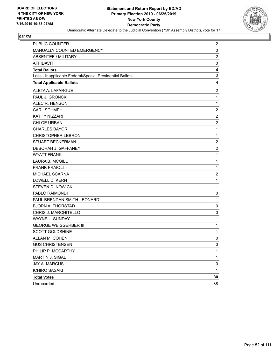

| PUBLIC COUNTER                                           | 2                |
|----------------------------------------------------------|------------------|
| MANUALLY COUNTED EMERGENCY                               | 0                |
| <b>ABSENTEE / MILITARY</b>                               | $\overline{c}$   |
| <b>AFFIDAVIT</b>                                         | 0                |
| <b>Total Ballots</b>                                     | 4                |
| Less - Inapplicable Federal/Special Presidential Ballots | 0                |
| <b>Total Applicable Ballots</b>                          | 4                |
| ALETA A. LAFARGUE                                        | $\overline{c}$   |
| PAUL J. GRONCKI                                          | $\mathbf{1}$     |
| ALEC R. HENSON                                           | $\mathbf 1$      |
| <b>CARL SCHMEHL</b>                                      | $\boldsymbol{2}$ |
| KATHY NIZZARI                                            | $\overline{2}$   |
| <b>CHLOE URBAN</b>                                       | $\overline{c}$   |
| <b>CHARLES BAYOR</b>                                     | $\mathbf{1}$     |
| <b>CHRISTOPHER LEBRON</b>                                | $\mathbf{1}$     |
| <b>STUART BECKERMAN</b>                                  | $\overline{c}$   |
| DEBORAH J. GAFFANEY                                      | $\overline{c}$   |
| <b>WYATT FRANK</b>                                       | $\mathbf{1}$     |
| <b>LAURA B. MCGILL</b>                                   | $\mathbf{1}$     |
| <b>FRANK FRAIOLI</b>                                     | $\mathbf{1}$     |
| MICHAEL SCARNA                                           | $\overline{2}$   |
| <b>LOWELL D. KERN</b>                                    | $\mathbf{1}$     |
| <b>STEVEN D. NOWICKI</b>                                 | $\mathbf{1}$     |
| PABLO RAIMONDI                                           | 0                |
| PAUL BRENDAN SMITH-LEONARD                               | $\mathbf{1}$     |
| <b>BJORN A. THORSTAD</b>                                 | 0                |
| CHRIS J. MARCHITELLO                                     | 0                |
| WAYNE L. SUNDAY                                          | $\mathbf{1}$     |
| <b>GEORGE WEISGERBER III</b>                             | $\mathbf{1}$     |
| <b>SCOTT GOLDSHINE</b>                                   | $\mathbf{1}$     |
| ALLAN M. COHEN                                           | 0                |
| <b>GUS CHRISTENSEN</b>                                   | 0                |
| PHILIP P. MCCARTHY                                       | 1                |
| MARTIN J. SIGAL                                          | 1                |
| <b>JAY A. MARCUS</b>                                     | 0                |
| <b>ICHIRO SASAKI</b>                                     | $\mathbf{1}$     |
| <b>Total Votes</b>                                       | 30               |
| Unrecorded                                               | 38               |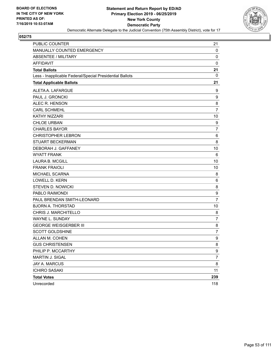

| PUBLIC COUNTER                                           | 21               |
|----------------------------------------------------------|------------------|
| MANUALLY COUNTED EMERGENCY                               | $\mathbf 0$      |
| ABSENTEE / MILITARY                                      | 0                |
| <b>AFFIDAVIT</b>                                         | 0                |
| <b>Total Ballots</b>                                     | 21               |
| Less - Inapplicable Federal/Special Presidential Ballots | 0                |
| <b>Total Applicable Ballots</b>                          | 21               |
| ALETA A. LAFARGUE                                        | 9                |
| PAUL J. GRONCKI                                          | $\boldsymbol{9}$ |
| ALEC R. HENSON                                           | 8                |
| <b>CARL SCHMEHL</b>                                      | $\overline{7}$   |
| KATHY NIZZARI                                            | 10               |
| <b>CHLOE URBAN</b>                                       | 9                |
| <b>CHARLES BAYOR</b>                                     | 7                |
| <b>CHRISTOPHER LEBRON</b>                                | 6                |
| <b>STUART BECKERMAN</b>                                  | 8                |
| DEBORAH J. GAFFANEY                                      | 10               |
| <b>WYATT FRANK</b>                                       | 6                |
| <b>LAURA B. MCGILL</b>                                   | 10               |
| <b>FRANK FRAIOLI</b>                                     | 10               |
| MICHAEL SCARNA                                           | 8                |
| <b>LOWELL D. KERN</b>                                    | 6                |
| <b>STEVEN D. NOWICKI</b>                                 | 8                |
| PABLO RAIMONDI                                           | $\boldsymbol{9}$ |
| PAUL BRENDAN SMITH-LEONARD                               | $\overline{7}$   |
| <b>BJORN A. THORSTAD</b>                                 | 10               |
| CHRIS J. MARCHITELLO                                     | 8                |
| <b>WAYNE L. SUNDAY</b>                                   | $\overline{7}$   |
| <b>GEORGE WEISGERBER III</b>                             | 8                |
| <b>SCOTT GOLDSHINE</b>                                   | $\overline{7}$   |
| ALLAN M. COHEN                                           | 9                |
| <b>GUS CHRISTENSEN</b>                                   | 8                |
| PHILIP P. MCCARTHY                                       | 9                |
| MARTIN J. SIGAL                                          | $\overline{7}$   |
| JAY A. MARCUS                                            | 8                |
| <b>ICHIRO SASAKI</b>                                     | 11               |
| <b>Total Votes</b>                                       | 239              |
| Unrecorded                                               | 118              |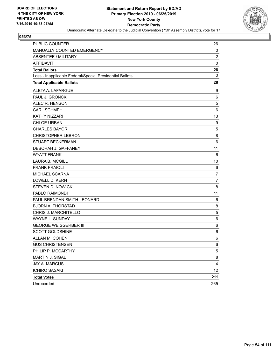

| PUBLIC COUNTER                                           | 26             |
|----------------------------------------------------------|----------------|
| MANUALLY COUNTED EMERGENCY                               | 0              |
| ABSENTEE / MILITARY                                      | $\overline{c}$ |
| <b>AFFIDAVIT</b>                                         | $\mathbf 0$    |
| <b>Total Ballots</b>                                     | 28             |
| Less - Inapplicable Federal/Special Presidential Ballots | 0              |
| <b>Total Applicable Ballots</b>                          | 28             |
| ALETA A. LAFARGUE                                        | 9              |
| PAUL J. GRONCKI                                          | 6              |
| ALEC R. HENSON                                           | 5              |
| <b>CARL SCHMEHL</b>                                      | 6              |
| <b>KATHY NIZZARI</b>                                     | 13             |
| <b>CHLOE URBAN</b>                                       | 9              |
| <b>CHARLES BAYOR</b>                                     | 5              |
| <b>CHRISTOPHER LEBRON</b>                                | 8              |
| <b>STUART BECKERMAN</b>                                  | 6              |
| DEBORAH J. GAFFANEY                                      | 11             |
| <b>WYATT FRANK</b>                                       | 6              |
| <b>LAURA B. MCGILL</b>                                   | 10             |
| <b>FRANK FRAIOLI</b>                                     | 6              |
| MICHAEL SCARNA                                           | 7              |
| <b>LOWELL D. KERN</b>                                    | $\overline{7}$ |
| <b>STEVEN D. NOWICKI</b>                                 | 8              |
| PABLO RAIMONDI                                           | 11             |
| PAUL BRENDAN SMITH-LEONARD                               | 6              |
| <b>BJORN A. THORSTAD</b>                                 | 8              |
| CHRIS J. MARCHITELLO                                     | 5              |
| WAYNE L. SUNDAY                                          | 6              |
| <b>GEORGE WEISGERBER III</b>                             | 6              |
| <b>SCOTT GOLDSHINE</b>                                   | 6              |
| ALLAN M. COHEN                                           | 6              |
| <b>GUS CHRISTENSEN</b>                                   | 6              |
| PHILIP P. MCCARTHY                                       | 5              |
| MARTIN J. SIGAL                                          | 8              |
| JAY A. MARCUS                                            | 4              |
| <b>ICHIRO SASAKI</b>                                     | 12             |
| <b>Total Votes</b>                                       | 211            |
| Unrecorded                                               | 265            |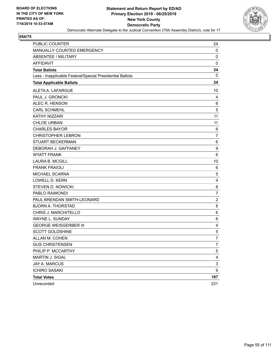

| <b>PUBLIC COUNTER</b>                                    | 24                        |
|----------------------------------------------------------|---------------------------|
| MANUALLY COUNTED EMERGENCY                               | 0                         |
| <b>ABSENTEE / MILITARY</b>                               | 0                         |
| <b>AFFIDAVIT</b>                                         | $\mathbf 0$               |
| <b>Total Ballots</b>                                     | 24                        |
| Less - Inapplicable Federal/Special Presidential Ballots | 0                         |
| <b>Total Applicable Ballots</b>                          | 24                        |
| ALETA A. LAFARGUE                                        | 10                        |
| PAUL J. GRONCKI                                          | 4                         |
| ALEC R. HENSON                                           | 6                         |
| <b>CARL SCHMEHL</b>                                      | 5                         |
| KATHY NIZZARI                                            | 11                        |
| <b>CHLOE URBAN</b>                                       | 11                        |
| <b>CHARLES BAYOR</b>                                     | 6                         |
| <b>CHRISTOPHER LEBRON</b>                                | 7                         |
| <b>STUART BECKERMAN</b>                                  | 6                         |
| DEBORAH J. GAFFANEY                                      | 9                         |
| <b>WYATT FRANK</b>                                       | 6                         |
| <b>LAURA B. MCGILL</b>                                   | 10                        |
| <b>FRANK FRAIOLI</b>                                     | 6                         |
| MICHAEL SCARNA                                           | 5                         |
| <b>LOWELL D. KERN</b>                                    | $\overline{4}$            |
| <b>STEVEN D. NOWICKI</b>                                 | 8                         |
| PABLO RAIMONDI                                           | 7                         |
| PAUL BRENDAN SMITH-LEONARD                               | $\overline{c}$            |
| <b>BJORN A. THORSTAD</b>                                 | 8                         |
| CHRIS J. MARCHITELLO                                     | 6                         |
| WAYNE L. SUNDAY                                          | 6                         |
| <b>GEORGE WEISGERBER III</b>                             | 4                         |
| <b>SCOTT GOLDSHINE</b>                                   | $\,$ 5 $\,$               |
| ALLAN M. COHEN                                           | $\overline{7}$            |
| <b>GUS CHRISTENSEN</b>                                   | $\overline{7}$            |
| PHILIP P. MCCARTHY                                       | 5                         |
| MARTIN J. SIGAL                                          | $\overline{4}$            |
| <b>JAY A. MARCUS</b>                                     | $\ensuremath{\mathsf{3}}$ |
| <b>ICHIRO SASAKI</b>                                     | 9                         |
| <b>Total Votes</b>                                       | 187                       |
| Unrecorded                                               | 221                       |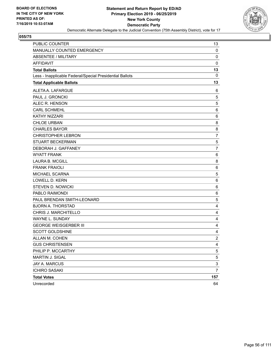

| PUBLIC COUNTER                                           | 13             |
|----------------------------------------------------------|----------------|
| MANUALLY COUNTED EMERGENCY                               | $\mathbf 0$    |
| ABSENTEE / MILITARY                                      | 0              |
| <b>AFFIDAVIT</b>                                         | 0              |
| <b>Total Ballots</b>                                     | 13             |
| Less - Inapplicable Federal/Special Presidential Ballots | 0              |
| <b>Total Applicable Ballots</b>                          | 13             |
| ALETA A. LAFARGUE                                        | 6              |
| PAUL J. GRONCKI                                          | 5              |
| ALEC R. HENSON                                           | 5              |
| <b>CARL SCHMEHL</b>                                      | 6              |
| <b>KATHY NIZZARI</b>                                     | 6              |
| <b>CHLOE URBAN</b>                                       | 8              |
| <b>CHARLES BAYOR</b>                                     | 8              |
| <b>CHRISTOPHER LEBRON</b>                                | 7              |
| <b>STUART BECKERMAN</b>                                  | 5              |
| DEBORAH J. GAFFANEY                                      | $\overline{7}$ |
| <b>WYATT FRANK</b>                                       | 6              |
| <b>LAURA B. MCGILL</b>                                   | 8              |
| <b>FRANK FRAIOLI</b>                                     | 6              |
| MICHAEL SCARNA                                           | 5              |
| <b>LOWELL D. KERN</b>                                    | 6              |
| <b>STEVEN D. NOWICKI</b>                                 | 6              |
| PABLO RAIMONDI                                           | 6              |
| PAUL BRENDAN SMITH-LEONARD                               | 5              |
| <b>BJORN A. THORSTAD</b>                                 | 4              |
| CHRIS J. MARCHITELLO                                     | 4              |
| WAYNE L. SUNDAY                                          | 4              |
| <b>GEORGE WEISGERBER III</b>                             | 4              |
| <b>SCOTT GOLDSHINE</b>                                   | 4              |
| ALLAN M. COHEN                                           | $\overline{c}$ |
| <b>GUS CHRISTENSEN</b>                                   | 4              |
| PHILIP P. MCCARTHY                                       | 5              |
| MARTIN J. SIGAL                                          | 5              |
| JAY A. MARCUS                                            | 3              |
| <b>ICHIRO SASAKI</b>                                     | $\overline{7}$ |
| <b>Total Votes</b>                                       | 157            |
| Unrecorded                                               | 64             |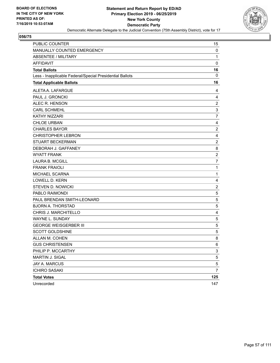

| <b>PUBLIC COUNTER</b>                                    | 15                        |
|----------------------------------------------------------|---------------------------|
| MANUALLY COUNTED EMERGENCY                               | 0                         |
| <b>ABSENTEE / MILITARY</b>                               | $\mathbf{1}$              |
| <b>AFFIDAVIT</b>                                         | $\mathbf 0$               |
| <b>Total Ballots</b>                                     | 16                        |
| Less - Inapplicable Federal/Special Presidential Ballots | 0                         |
| <b>Total Applicable Ballots</b>                          | 16                        |
| ALETA A. LAFARGUE                                        | 4                         |
| PAUL J. GRONCKI                                          | 4                         |
| ALEC R. HENSON                                           | $\overline{\mathbf{c}}$   |
| <b>CARL SCHMEHL</b>                                      | $\ensuremath{\mathsf{3}}$ |
| KATHY NIZZARI                                            | 7                         |
| <b>CHLOE URBAN</b>                                       | $\overline{\mathbf{4}}$   |
| <b>CHARLES BAYOR</b>                                     | $\overline{c}$            |
| <b>CHRISTOPHER LEBRON</b>                                | 4                         |
| <b>STUART BECKERMAN</b>                                  | $\overline{c}$            |
| DEBORAH J. GAFFANEY                                      | 8                         |
| <b>WYATT FRANK</b>                                       | $\overline{\mathbf{c}}$   |
| <b>LAURA B. MCGILL</b>                                   | $\overline{7}$            |
| <b>FRANK FRAIOLI</b>                                     | 1                         |
| MICHAEL SCARNA                                           | 1                         |
| <b>LOWELL D. KERN</b>                                    | 4                         |
| <b>STEVEN D. NOWICKI</b>                                 | $\overline{c}$            |
| PABLO RAIMONDI                                           | $\,$ 5 $\,$               |
| PAUL BRENDAN SMITH-LEONARD                               | 5                         |
| <b>BJORN A. THORSTAD</b>                                 | 5                         |
| CHRIS J. MARCHITELLO                                     | 4                         |
| <b>WAYNE L. SUNDAY</b>                                   | 5                         |
| <b>GEORGE WEISGERBER III</b>                             | $\,$ 5 $\,$               |
| <b>SCOTT GOLDSHINE</b>                                   | $\,$ 5 $\,$               |
| ALLAN M. COHEN                                           | 8                         |
| <b>GUS CHRISTENSEN</b>                                   | 6                         |
| PHILIP P. MCCARTHY                                       | 3                         |
| MARTIN J. SIGAL                                          | 5                         |
| <b>JAY A. MARCUS</b>                                     | 5                         |
| <b>ICHIRO SASAKI</b>                                     | 7                         |
| <b>Total Votes</b>                                       | 125                       |
| Unrecorded                                               | 147                       |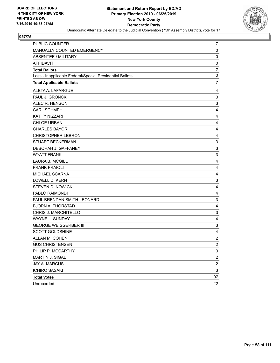

| PUBLIC COUNTER                                           | 7                       |
|----------------------------------------------------------|-------------------------|
| MANUALLY COUNTED EMERGENCY                               | $\pmb{0}$               |
| <b>ABSENTEE / MILITARY</b>                               | $\mathbf 0$             |
| <b>AFFIDAVIT</b>                                         | 0                       |
| <b>Total Ballots</b>                                     | $\overline{7}$          |
| Less - Inapplicable Federal/Special Presidential Ballots | 0                       |
| <b>Total Applicable Ballots</b>                          | 7                       |
| ALETA A. LAFARGUE                                        | 4                       |
| PAUL J. GRONCKI                                          | 3                       |
| ALEC R. HENSON                                           | $\mathbf{3}$            |
| <b>CARL SCHMEHL</b>                                      | 4                       |
| <b>KATHY NIZZARI</b>                                     | 4                       |
| <b>CHLOE URBAN</b>                                       | 4                       |
| <b>CHARLES BAYOR</b>                                     | 4                       |
| <b>CHRISTOPHER LEBRON</b>                                | 4                       |
| <b>STUART BECKERMAN</b>                                  | 3                       |
| DEBORAH J. GAFFANEY                                      | 3                       |
| <b>WYATT FRANK</b>                                       | $\mathsf 3$             |
| <b>LAURA B. MCGILL</b>                                   | 4                       |
| <b>FRANK FRAIOLI</b>                                     | 4                       |
| MICHAEL SCARNA                                           | 4                       |
| <b>LOWELL D. KERN</b>                                    | 3                       |
| <b>STEVEN D. NOWICKI</b>                                 | 4                       |
| PABLO RAIMONDI                                           | 4                       |
| PAUL BRENDAN SMITH-LEONARD                               | $\mathsf 3$             |
| <b>BJORN A. THORSTAD</b>                                 | 4                       |
| CHRIS J. MARCHITELLO                                     | 3                       |
| WAYNE L. SUNDAY                                          | 4                       |
| <b>GEORGE WEISGERBER III</b>                             | 3                       |
| <b>SCOTT GOLDSHINE</b>                                   | 4                       |
| ALLAN M. COHEN                                           | $\overline{c}$          |
| <b>GUS CHRISTENSEN</b>                                   | $\overline{2}$          |
| PHILIP P. MCCARTHY                                       | 3                       |
| MARTIN J. SIGAL                                          | $\overline{\mathbf{c}}$ |
| JAY A. MARCUS                                            | $\overline{2}$          |
| <b>ICHIRO SASAKI</b>                                     | 3                       |
| <b>Total Votes</b>                                       | 97                      |
| Unrecorded                                               | 22                      |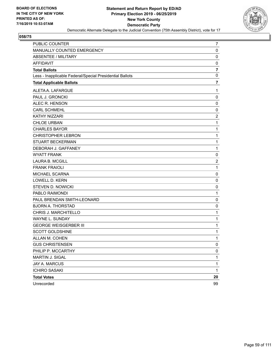

| PUBLIC COUNTER                                           | 7                       |
|----------------------------------------------------------|-------------------------|
| MANUALLY COUNTED EMERGENCY                               | 0                       |
| <b>ABSENTEE / MILITARY</b>                               | 0                       |
| <b>AFFIDAVIT</b>                                         | 0                       |
| <b>Total Ballots</b>                                     | $\overline{\mathbf{r}}$ |
| Less - Inapplicable Federal/Special Presidential Ballots | 0                       |
| <b>Total Applicable Ballots</b>                          | $\overline{7}$          |
| ALETA A. LAFARGUE                                        | 1                       |
| PAUL J. GRONCKI                                          | 0                       |
| ALEC R. HENSON                                           | 0                       |
| <b>CARL SCHMEHL</b>                                      | 0                       |
| KATHY NIZZARI                                            | $\boldsymbol{2}$        |
| <b>CHLOE URBAN</b>                                       | 1                       |
| <b>CHARLES BAYOR</b>                                     | 1                       |
| <b>CHRISTOPHER LEBRON</b>                                | $\mathbf{1}$            |
| <b>STUART BECKERMAN</b>                                  | $\mathbf{1}$            |
| DEBORAH J. GAFFANEY                                      | $\mathbf{1}$            |
| <b>WYATT FRANK</b>                                       | 0                       |
| <b>LAURA B. MCGILL</b>                                   | $\overline{c}$          |
| <b>FRANK FRAIOLI</b>                                     | $\mathbf 1$             |
| MICHAEL SCARNA                                           | 0                       |
| LOWELL D. KERN                                           | 0                       |
| STEVEN D. NOWICKI                                        | 0                       |
| PABLO RAIMONDI                                           | $\mathbf{1}$            |
| PAUL BRENDAN SMITH-LEONARD                               | 0                       |
| <b>BJORN A. THORSTAD</b>                                 | 0                       |
| CHRIS J. MARCHITELLO                                     | $\mathbf{1}$            |
| WAYNE L. SUNDAY                                          | $\mathbf{1}$            |
| <b>GEORGE WEISGERBER III</b>                             | 1                       |
| <b>SCOTT GOLDSHINE</b>                                   | 1                       |
| ALLAN M. COHEN                                           | 1                       |
| <b>GUS CHRISTENSEN</b>                                   | 0                       |
| PHILIP P. MCCARTHY                                       | 0                       |
| MARTIN J. SIGAL                                          | 1                       |
| JAY A. MARCUS                                            | $\mathbf{1}$            |
| <b>ICHIRO SASAKI</b>                                     | $\mathbf{1}$            |
| <b>Total Votes</b>                                       | 20                      |
| Unrecorded                                               | 99                      |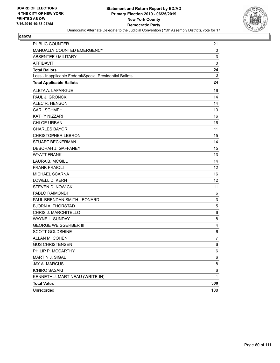

| <b>PUBLIC COUNTER</b>                                    | 21          |
|----------------------------------------------------------|-------------|
| MANUALLY COUNTED EMERGENCY                               | 0           |
| ABSENTEE / MILITARY                                      | 3           |
| <b>AFFIDAVIT</b>                                         | $\mathbf 0$ |
| <b>Total Ballots</b>                                     | 24          |
| Less - Inapplicable Federal/Special Presidential Ballots | 0           |
| <b>Total Applicable Ballots</b>                          | 24          |
| ALETA A. LAFARGUE                                        | 16          |
| PAUL J. GRONCKI                                          | 14          |
| ALEC R. HENSON                                           | 14          |
| <b>CARL SCHMEHL</b>                                      | 13          |
| <b>KATHY NIZZARI</b>                                     | 16          |
| <b>CHLOE URBAN</b>                                       | 16          |
| <b>CHARLES BAYOR</b>                                     | 11          |
| <b>CHRISTOPHER LEBRON</b>                                | 15          |
| <b>STUART BECKERMAN</b>                                  | 14          |
| DEBORAH J. GAFFANEY                                      | 15          |
| <b>WYATT FRANK</b>                                       | 13          |
| <b>LAURA B. MCGILL</b>                                   | 14          |
| <b>FRANK FRAIOLI</b>                                     | 12          |
| <b>MICHAEL SCARNA</b>                                    | 16          |
| LOWELL D. KERN                                           | 12          |
| <b>STEVEN D. NOWICKI</b>                                 | 11          |
| PABLO RAIMONDI                                           | 6           |
| PAUL BRENDAN SMITH-LEONARD                               | 3           |
| <b>BJORN A. THORSTAD</b>                                 | 5           |
| CHRIS J. MARCHITELLO                                     | 6           |
| WAYNE L. SUNDAY                                          | 8           |
| <b>GEORGE WEISGERBER III</b>                             | 4           |
| <b>SCOTT GOLDSHINE</b>                                   | 6           |
| ALLAN M. COHEN                                           | 7           |
| <b>GUS CHRISTENSEN</b>                                   | 6           |
| PHILIP P. MCCARTHY                                       | 6           |
| MARTIN J. SIGAL                                          | 6           |
| JAY A. MARCUS                                            | 8           |
| <b>ICHIRO SASAKI</b>                                     | 6           |
| KENNETH J. MARTINEAU (WRITE-IN)                          | 1           |
| <b>Total Votes</b>                                       | 300         |
| Unrecorded                                               | 108         |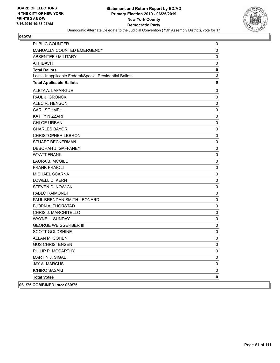

| <b>PUBLIC COUNTER</b>                                    | 0           |
|----------------------------------------------------------|-------------|
| MANUALLY COUNTED EMERGENCY                               | $\mathbf 0$ |
| <b>ABSENTEE / MILITARY</b>                               | 0           |
| <b>AFFIDAVIT</b>                                         | 0           |
| <b>Total Ballots</b>                                     | 0           |
| Less - Inapplicable Federal/Special Presidential Ballots | $\mathbf 0$ |
| <b>Total Applicable Ballots</b>                          | $\mathbf 0$ |
| ALETA A. LAFARGUE                                        | 0           |
| PAUL J. GRONCKI                                          | $\mathbf 0$ |
| ALEC R. HENSON                                           | 0           |
| <b>CARL SCHMEHL</b>                                      | 0           |
| KATHY NIZZARI                                            | 0           |
| <b>CHLOE URBAN</b>                                       | 0           |
| <b>CHARLES BAYOR</b>                                     | 0           |
| <b>CHRISTOPHER LEBRON</b>                                | $\mathbf 0$ |
| <b>STUART BECKERMAN</b>                                  | 0           |
| DEBORAH J. GAFFANEY                                      | 0           |
| <b>WYATT FRANK</b>                                       | 0           |
| LAURA B. MCGILL                                          | 0           |
| <b>FRANK FRAIOLI</b>                                     | 0           |
| <b>MICHAEL SCARNA</b>                                    | $\mathbf 0$ |
| <b>LOWELL D. KERN</b>                                    | 0           |
| <b>STEVEN D. NOWICKI</b>                                 | 0           |
| PABLO RAIMONDI                                           | 0           |
| PAUL BRENDAN SMITH-LEONARD                               | 0           |
| <b>BJORN A. THORSTAD</b>                                 | 0           |
| CHRIS J. MARCHITELLO                                     | $\mathbf 0$ |
| WAYNE L. SUNDAY                                          | 0           |
| <b>GEORGE WEISGERBER III</b>                             | 0           |
| <b>SCOTT GOLDSHINE</b>                                   | 0           |
| ALLAN M. COHEN                                           | $\mathbf 0$ |
| <b>GUS CHRISTENSEN</b>                                   | 0           |
| PHILIP P. MCCARTHY                                       | 0           |
| <b>MARTIN J. SIGAL</b>                                   | 0           |
| JAY A. MARCUS                                            | 0           |
| <b>ICHIRO SASAKI</b>                                     | 0           |
| <b>Total Votes</b>                                       | 0           |
| 061/75 COMBINED into: 060/75                             |             |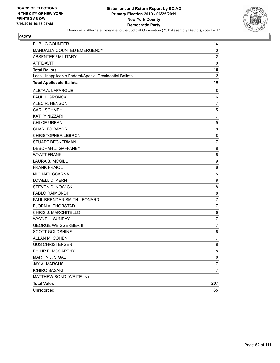

| <b>PUBLIC COUNTER</b>                                    | 14               |
|----------------------------------------------------------|------------------|
| MANUALLY COUNTED EMERGENCY                               | 0                |
| <b>ABSENTEE / MILITARY</b>                               | 2                |
| <b>AFFIDAVIT</b>                                         | $\pmb{0}$        |
| <b>Total Ballots</b>                                     | 16               |
| Less - Inapplicable Federal/Special Presidential Ballots | 0                |
| <b>Total Applicable Ballots</b>                          | 16               |
| ALETA A. LAFARGUE                                        | 8                |
| PAUL J. GRONCKI                                          | 6                |
| ALEC R. HENSON                                           | $\overline{7}$   |
| <b>CARL SCHMEHL</b>                                      | 5                |
| KATHY NIZZARI                                            | $\overline{7}$   |
| <b>CHLOE URBAN</b>                                       | 9                |
| <b>CHARLES BAYOR</b>                                     | 8                |
| <b>CHRISTOPHER LEBRON</b>                                | 8                |
| <b>STUART BECKERMAN</b>                                  | $\overline{7}$   |
| DEBORAH J. GAFFANEY                                      | 8                |
| <b>WYATT FRANK</b>                                       | 6                |
| <b>LAURA B. MCGILL</b>                                   | $\boldsymbol{9}$ |
| <b>FRANK FRAIOLI</b>                                     | 6                |
| MICHAEL SCARNA                                           | 5                |
| <b>LOWELL D. KERN</b>                                    | 8                |
| <b>STEVEN D. NOWICKI</b>                                 | 8                |
| PABLO RAIMONDI                                           | 8                |
| PAUL BRENDAN SMITH-LEONARD                               | $\overline{7}$   |
| <b>BJORN A. THORSTAD</b>                                 | 7                |
| CHRIS J. MARCHITELLO                                     | 6                |
| <b>WAYNE L. SUNDAY</b>                                   | $\overline{7}$   |
| <b>GEORGE WEISGERBER III</b>                             | 7                |
| <b>SCOTT GOLDSHINE</b>                                   | 6                |
| ALLAN M. COHEN                                           | 7                |
| <b>GUS CHRISTENSEN</b>                                   | 8                |
| PHILIP P. MCCARTHY                                       | 8                |
| MARTIN J. SIGAL                                          | 6                |
| JAY A. MARCUS                                            | 7                |
| <b>ICHIRO SASAKI</b>                                     | $\overline{7}$   |
| MATTHEW BOND (WRITE-IN)                                  | $\mathbf{1}$     |
| <b>Total Votes</b>                                       | 207              |
| Unrecorded                                               | 65               |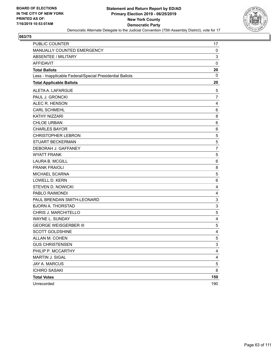

| PUBLIC COUNTER                                           | 17                        |
|----------------------------------------------------------|---------------------------|
| MANUALLY COUNTED EMERGENCY                               | 0                         |
| <b>ABSENTEE / MILITARY</b>                               | 3                         |
| <b>AFFIDAVIT</b>                                         | 0                         |
| <b>Total Ballots</b>                                     | 20                        |
| Less - Inapplicable Federal/Special Presidential Ballots | 0                         |
| <b>Total Applicable Ballots</b>                          | 20                        |
| ALETA A. LAFARGUE                                        | 5                         |
| PAUL J. GRONCKI                                          | $\overline{7}$            |
| ALEC R. HENSON                                           | 4                         |
| <b>CARL SCHMEHL</b>                                      | 6                         |
| KATHY NIZZARI                                            | 8                         |
| <b>CHLOE URBAN</b>                                       | 6                         |
| <b>CHARLES BAYOR</b>                                     | 6                         |
| <b>CHRISTOPHER LEBRON</b>                                | 5                         |
| <b>STUART BECKERMAN</b>                                  | $\mathbf 5$               |
| DEBORAH J. GAFFANEY                                      | 7                         |
| <b>WYATT FRANK</b>                                       | 5                         |
| <b>LAURA B. MCGILL</b>                                   | 6                         |
| <b>FRANK FRAIOLI</b>                                     | 8                         |
| MICHAEL SCARNA                                           | 5                         |
| <b>LOWELL D. KERN</b>                                    | 6                         |
| <b>STEVEN D. NOWICKI</b>                                 | 4                         |
| PABLO RAIMONDI                                           | $\overline{4}$            |
| PAUL BRENDAN SMITH-LEONARD                               | $\ensuremath{\mathsf{3}}$ |
| <b>BJORN A. THORSTAD</b>                                 | 3                         |
| CHRIS J. MARCHITELLO                                     | 5                         |
| WAYNE L. SUNDAY                                          | 4                         |
| <b>GEORGE WEISGERBER III</b>                             | 5                         |
| <b>SCOTT GOLDSHINE</b>                                   | $\overline{4}$            |
| ALLAN M. COHEN                                           | 5                         |
| <b>GUS CHRISTENSEN</b>                                   | 3                         |
| PHILIP P. MCCARTHY                                       | 4                         |
| MARTIN J. SIGAL                                          | 4                         |
| JAY A. MARCUS                                            | $\,$ 5 $\,$               |
| <b>ICHIRO SASAKI</b>                                     | 8                         |
| <b>Total Votes</b>                                       | 150                       |
| Unrecorded                                               | 190                       |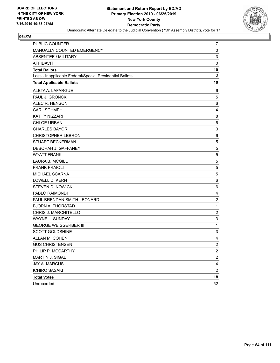

| PUBLIC COUNTER                                           | 7                         |
|----------------------------------------------------------|---------------------------|
| MANUALLY COUNTED EMERGENCY                               | 0                         |
| <b>ABSENTEE / MILITARY</b>                               | 3                         |
| <b>AFFIDAVIT</b>                                         | $\mathbf 0$               |
| <b>Total Ballots</b>                                     | 10                        |
| Less - Inapplicable Federal/Special Presidential Ballots | 0                         |
| <b>Total Applicable Ballots</b>                          | 10                        |
| ALETA A. LAFARGUE                                        | 6                         |
| PAUL J. GRONCKI                                          | 5                         |
| ALEC R. HENSON                                           | 6                         |
| <b>CARL SCHMEHL</b>                                      | 4                         |
| <b>KATHY NIZZARI</b>                                     | 8                         |
| <b>CHLOE URBAN</b>                                       | 6                         |
| <b>CHARLES BAYOR</b>                                     | 3                         |
| <b>CHRISTOPHER LEBRON</b>                                | 6                         |
| <b>STUART BECKERMAN</b>                                  | 5                         |
| DEBORAH J. GAFFANEY                                      | 5                         |
| <b>WYATT FRANK</b>                                       | 5                         |
| <b>LAURA B. MCGILL</b>                                   | 5                         |
| <b>FRANK FRAIOLI</b>                                     | 5                         |
| MICHAEL SCARNA                                           | 5                         |
| LOWELL D. KERN                                           | 6                         |
| <b>STEVEN D. NOWICKI</b>                                 | 6                         |
| PABLO RAIMONDI                                           | 4                         |
| PAUL BRENDAN SMITH-LEONARD                               | $\overline{c}$            |
| <b>BJORN A. THORSTAD</b>                                 | $\mathbf{1}$              |
| CHRIS J. MARCHITELLO                                     | $\overline{c}$            |
| WAYNE L. SUNDAY                                          | 3                         |
| <b>GEORGE WEISGERBER III</b>                             | $\mathbf{1}$              |
| <b>SCOTT GOLDSHINE</b>                                   | $\ensuremath{\mathsf{3}}$ |
| ALLAN M. COHEN                                           | 4                         |
| <b>GUS CHRISTENSEN</b>                                   | $\overline{2}$            |
| PHILIP P. MCCARTHY                                       | $\overline{\mathbf{c}}$   |
| MARTIN J. SIGAL                                          | $\overline{\mathbf{c}}$   |
| <b>JAY A. MARCUS</b>                                     | $\overline{\mathbf{4}}$   |
| <b>ICHIRO SASAKI</b>                                     | $\overline{2}$            |
| <b>Total Votes</b>                                       | 118                       |
| Unrecorded                                               | 52                        |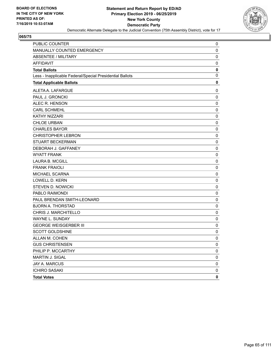

| PUBLIC COUNTER                                           | 0           |
|----------------------------------------------------------|-------------|
| MANUALLY COUNTED EMERGENCY                               | 0           |
| ABSENTEE / MILITARY                                      | 0           |
| <b>AFFIDAVIT</b>                                         | 0           |
| <b>Total Ballots</b>                                     | $\mathbf 0$ |
| Less - Inapplicable Federal/Special Presidential Ballots | $\mathbf 0$ |
| <b>Total Applicable Ballots</b>                          | 0           |
| ALETA A. LAFARGUE                                        | 0           |
| PAUL J. GRONCKI                                          | $\mathbf 0$ |
| ALEC R. HENSON                                           | 0           |
| <b>CARL SCHMEHL</b>                                      | 0           |
| <b>KATHY NIZZARI</b>                                     | 0           |
| <b>CHLOE URBAN</b>                                       | 0           |
| <b>CHARLES BAYOR</b>                                     | 0           |
| <b>CHRISTOPHER LEBRON</b>                                | 0           |
| STUART BECKERMAN                                         | 0           |
| DEBORAH J. GAFFANEY                                      | 0           |
| <b>WYATT FRANK</b>                                       | 0           |
| <b>LAURA B. MCGILL</b>                                   | 0           |
| <b>FRANK FRAIOLI</b>                                     | 0           |
| MICHAEL SCARNA                                           | 0           |
| <b>LOWELL D. KERN</b>                                    | 0           |
| <b>STEVEN D. NOWICKI</b>                                 | 0           |
| PABLO RAIMONDI                                           | 0           |
| PAUL BRENDAN SMITH-LEONARD                               | 0           |
| <b>BJORN A. THORSTAD</b>                                 | 0           |
| CHRIS J. MARCHITELLO                                     | 0           |
| WAYNE L. SUNDAY                                          | 0           |
| <b>GEORGE WEISGERBER III</b>                             | 0           |
| <b>SCOTT GOLDSHINE</b>                                   | 0           |
| ALLAN M. COHEN                                           | $\mathbf 0$ |
| <b>GUS CHRISTENSEN</b>                                   | 0           |
| PHILIP P. MCCARTHY                                       | 0           |
| MARTIN J. SIGAL                                          | 0           |
| JAY A. MARCUS                                            | 0           |
| <b>ICHIRO SASAKI</b>                                     | 0           |
| <b>Total Votes</b>                                       | 0           |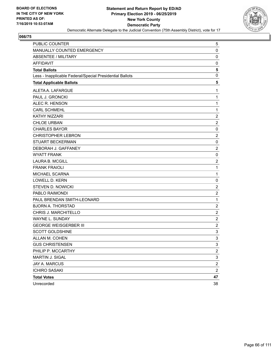

| <b>PUBLIC COUNTER</b>                                    | 5                         |
|----------------------------------------------------------|---------------------------|
| MANUALLY COUNTED EMERGENCY                               | $\mathbf 0$               |
| <b>ABSENTEE / MILITARY</b>                               | $\mathbf 0$               |
| <b>AFFIDAVIT</b>                                         | 0                         |
| <b>Total Ballots</b>                                     | 5                         |
| Less - Inapplicable Federal/Special Presidential Ballots | $\mathbf 0$               |
| <b>Total Applicable Ballots</b>                          | 5                         |
| ALETA A. LAFARGUE                                        | 1                         |
| PAUL J. GRONCKI                                          | $\mathbf{1}$              |
| ALEC R. HENSON                                           | $\mathbf{1}$              |
| <b>CARL SCHMEHL</b>                                      | $\mathbf{1}$              |
| KATHY NIZZARI                                            | $\overline{c}$            |
| <b>CHLOE URBAN</b>                                       | $\overline{2}$            |
| <b>CHARLES BAYOR</b>                                     | $\pmb{0}$                 |
| <b>CHRISTOPHER LEBRON</b>                                | $\overline{2}$            |
| STUART BECKERMAN                                         | $\mathbf 0$               |
| DEBORAH J. GAFFANEY                                      | $\overline{c}$            |
| <b>WYATT FRANK</b>                                       | $\pmb{0}$                 |
| <b>LAURA B. MCGILL</b>                                   | $\overline{c}$            |
| <b>FRANK FRAIOLI</b>                                     | $\mathbf{1}$              |
| MICHAEL SCARNA                                           | $\mathbf{1}$              |
| <b>LOWELL D. KERN</b>                                    | 0                         |
| <b>STEVEN D. NOWICKI</b>                                 | $\boldsymbol{2}$          |
| PABLO RAIMONDI                                           | $\overline{c}$            |
| PAUL BRENDAN SMITH-LEONARD                               | $\mathbf 1$               |
| <b>BJORN A. THORSTAD</b>                                 | $\boldsymbol{2}$          |
| CHRIS J. MARCHITELLO                                     | $\overline{2}$            |
| WAYNE L. SUNDAY                                          | $\overline{2}$            |
| <b>GEORGE WEISGERBER III</b>                             | $\boldsymbol{2}$          |
| <b>SCOTT GOLDSHINE</b>                                   | $\mathsf 3$               |
| ALLAN M. COHEN                                           | 3                         |
| <b>GUS CHRISTENSEN</b>                                   | 3                         |
| PHILIP P. MCCARTHY                                       | $\overline{c}$            |
| <b>MARTIN J. SIGAL</b>                                   | $\ensuremath{\mathsf{3}}$ |
| <b>JAY A. MARCUS</b>                                     | $\boldsymbol{2}$          |
| <b>ICHIRO SASAKI</b>                                     | $\overline{2}$            |
| <b>Total Votes</b>                                       | 47                        |
| Unrecorded                                               | 38                        |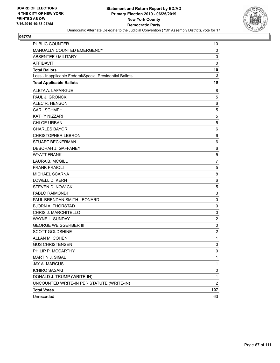

| PUBLIC COUNTER                                           | 10                      |
|----------------------------------------------------------|-------------------------|
| MANUALLY COUNTED EMERGENCY                               | 0                       |
| ABSENTEE / MILITARY                                      | 0                       |
| <b>AFFIDAVIT</b>                                         | $\mathbf 0$             |
| <b>Total Ballots</b>                                     | 10                      |
| Less - Inapplicable Federal/Special Presidential Ballots | 0                       |
| <b>Total Applicable Ballots</b>                          | 10                      |
| ALETA A. LAFARGUE                                        | 8                       |
| PAUL J. GRONCKI                                          | 5                       |
| ALEC R. HENSON                                           | 6                       |
| <b>CARL SCHMEHL</b>                                      | 5                       |
| KATHY NIZZARI                                            | $\mathbf 5$             |
| <b>CHLOE URBAN</b>                                       | 5                       |
| <b>CHARLES BAYOR</b>                                     | 6                       |
| <b>CHRISTOPHER LEBRON</b>                                | 6                       |
| <b>STUART BECKERMAN</b>                                  | 6                       |
| DEBORAH J. GAFFANEY                                      | 6                       |
| <b>WYATT FRANK</b>                                       | $\sqrt{5}$              |
| <b>LAURA B. MCGILL</b>                                   | $\overline{7}$          |
| <b>FRANK FRAIOLI</b>                                     | 5                       |
| MICHAEL SCARNA                                           | 8                       |
| LOWELL D. KERN                                           | 6                       |
| <b>STEVEN D. NOWICKI</b>                                 | 5                       |
| PABLO RAIMONDI                                           | $\mathsf 3$             |
| PAUL BRENDAN SMITH-LEONARD                               | 0                       |
| <b>BJORN A. THORSTAD</b>                                 | 0                       |
| CHRIS J. MARCHITELLO                                     | 0                       |
| WAYNE L. SUNDAY                                          | $\overline{c}$          |
| <b>GEORGE WEISGERBER III</b>                             | 0                       |
| <b>SCOTT GOLDSHINE</b>                                   | $\overline{\mathbf{c}}$ |
| ALLAN M. COHEN                                           | 1                       |
| <b>GUS CHRISTENSEN</b>                                   | $\pmb{0}$               |
| PHILIP P. MCCARTHY                                       | 0                       |
| MARTIN J. SIGAL                                          | 1                       |
| JAY A. MARCUS                                            | 1                       |
| <b>ICHIRO SASAKI</b>                                     | 0                       |
| DONALD J. TRUMP (WRITE-IN)                               | 1                       |
| UNCOUNTED WRITE-IN PER STATUTE (WRITE-IN)                | $\overline{2}$          |
| <b>Total Votes</b>                                       | 107                     |
| Unrecorded                                               | 63                      |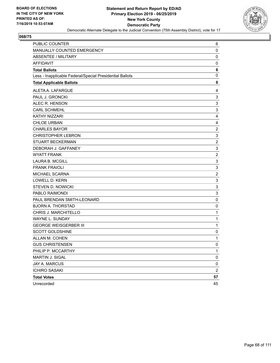

| <b>PUBLIC COUNTER</b>                                    | 6                         |
|----------------------------------------------------------|---------------------------|
| MANUALLY COUNTED EMERGENCY                               | 0                         |
| <b>ABSENTEE / MILITARY</b>                               | 0                         |
| <b>AFFIDAVIT</b>                                         | 0                         |
| <b>Total Ballots</b>                                     | 6                         |
| Less - Inapplicable Federal/Special Presidential Ballots | 0                         |
| <b>Total Applicable Ballots</b>                          | 6                         |
| ALETA A. LAFARGUE                                        | 4                         |
| PAUL J. GRONCKI                                          | $\ensuremath{\mathsf{3}}$ |
| ALEC R. HENSON                                           | 3                         |
| <b>CARL SCHMEHL</b>                                      | $\ensuremath{\mathsf{3}}$ |
| <b>KATHY NIZZARI</b>                                     | 4                         |
| <b>CHLOE URBAN</b>                                       | 4                         |
| <b>CHARLES BAYOR</b>                                     | $\boldsymbol{2}$          |
| <b>CHRISTOPHER LEBRON</b>                                | $\ensuremath{\mathsf{3}}$ |
| <b>STUART BECKERMAN</b>                                  | $\overline{c}$            |
| DEBORAH J. GAFFANEY                                      | $\ensuremath{\mathsf{3}}$ |
| <b>WYATT FRANK</b>                                       | $\overline{2}$            |
| <b>LAURA B. MCGILL</b>                                   | $\mathsf 3$               |
| <b>FRANK FRAIOLI</b>                                     | $\ensuremath{\mathsf{3}}$ |
| MICHAEL SCARNA                                           | $\overline{c}$            |
| <b>LOWELL D. KERN</b>                                    | $\mathbf{3}$              |
| <b>STEVEN D. NOWICKI</b>                                 | 3                         |
| PABLO RAIMONDI                                           | $\ensuremath{\mathsf{3}}$ |
| PAUL BRENDAN SMITH-LEONARD                               | $\pmb{0}$                 |
| <b>BJORN A. THORSTAD</b>                                 | 0                         |
| CHRIS J. MARCHITELLO                                     | 1                         |
| WAYNE L. SUNDAY                                          | 1                         |
| <b>GEORGE WEISGERBER III</b>                             | $\mathbf 1$               |
| <b>SCOTT GOLDSHINE</b>                                   | 0                         |
| ALLAN M. COHEN                                           | 1                         |
| <b>GUS CHRISTENSEN</b>                                   | 0                         |
| PHILIP P. MCCARTHY                                       | 1                         |
| MARTIN J. SIGAL                                          | 0                         |
| <b>JAY A. MARCUS</b>                                     | 0                         |
| <b>ICHIRO SASAKI</b>                                     | $\overline{c}$            |
| <b>Total Votes</b>                                       | 57                        |
| Unrecorded                                               | 45                        |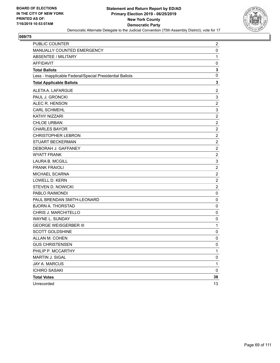

| PUBLIC COUNTER                                           | $\overline{2}$            |
|----------------------------------------------------------|---------------------------|
| MANUALLY COUNTED EMERGENCY                               | 0                         |
| <b>ABSENTEE / MILITARY</b>                               | 1                         |
| <b>AFFIDAVIT</b>                                         | 0                         |
| <b>Total Ballots</b>                                     | 3                         |
| Less - Inapplicable Federal/Special Presidential Ballots | 0                         |
| <b>Total Applicable Ballots</b>                          | 3                         |
| ALETA A. LAFARGUE                                        | $\overline{c}$            |
| PAUL J. GRONCKI                                          | 3                         |
| ALEC R. HENSON                                           | $\overline{c}$            |
| <b>CARL SCHMEHL</b>                                      | $\ensuremath{\mathsf{3}}$ |
| KATHY NIZZARI                                            | $\sqrt{2}$                |
| <b>CHLOE URBAN</b>                                       | $\boldsymbol{2}$          |
| <b>CHARLES BAYOR</b>                                     | $\overline{2}$            |
| <b>CHRISTOPHER LEBRON</b>                                | $\boldsymbol{2}$          |
| <b>STUART BECKERMAN</b>                                  | $\overline{c}$            |
| DEBORAH J. GAFFANEY                                      | $\overline{2}$            |
| <b>WYATT FRANK</b>                                       | $\sqrt{2}$                |
| <b>LAURA B. MCGILL</b>                                   | 3                         |
| <b>FRANK FRAIOLI</b>                                     | $\overline{2}$            |
| MICHAEL SCARNA                                           | $\overline{c}$            |
| LOWELL D. KERN                                           | $\overline{c}$            |
| STEVEN D. NOWICKI                                        | $\overline{2}$            |
| PABLO RAIMONDI                                           | $\mathbf 0$               |
| PAUL BRENDAN SMITH-LEONARD                               | $\pmb{0}$                 |
| <b>BJORN A. THORSTAD</b>                                 | 0                         |
| CHRIS J. MARCHITELLO                                     | 0                         |
| WAYNE L. SUNDAY                                          | 0                         |
| <b>GEORGE WEISGERBER III</b>                             | 1                         |
| <b>SCOTT GOLDSHINE</b>                                   | 0                         |
| ALLAN M. COHEN                                           | 0                         |
| <b>GUS CHRISTENSEN</b>                                   | $\mathbf 0$               |
| PHILIP P. MCCARTHY                                       | 1                         |
| MARTIN J. SIGAL                                          | $\pmb{0}$                 |
| JAY A. MARCUS                                            | 1                         |
| <b>ICHIRO SASAKI</b>                                     | $\mathbf 0$               |
| <b>Total Votes</b>                                       | 38                        |
| Unrecorded                                               | 13                        |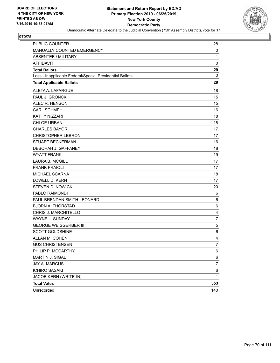

| PUBLIC COUNTER                                           | 28             |
|----------------------------------------------------------|----------------|
| MANUALLY COUNTED EMERGENCY                               | 0              |
| <b>ABSENTEE / MILITARY</b>                               | 1              |
| <b>AFFIDAVIT</b>                                         | $\mathbf 0$    |
| <b>Total Ballots</b>                                     | 29             |
| Less - Inapplicable Federal/Special Presidential Ballots | 0              |
| <b>Total Applicable Ballots</b>                          | 29             |
| ALETA A. LAFARGUE                                        | 18             |
| PAUL J. GRONCKI                                          | 15             |
| ALEC R. HENSON                                           | 15             |
| <b>CARL SCHMEHL</b>                                      | 16             |
| <b>KATHY NIZZARI</b>                                     | 18             |
| <b>CHLOE URBAN</b>                                       | 18             |
| <b>CHARLES BAYOR</b>                                     | 17             |
| <b>CHRISTOPHER LEBRON</b>                                | 17             |
| <b>STUART BECKERMAN</b>                                  | 16             |
| DEBORAH J. GAFFANEY                                      | 18             |
| <b>WYATT FRANK</b>                                       | 19             |
| <b>LAURA B. MCGILL</b>                                   | 17             |
| <b>FRANK FRAIOLI</b>                                     | 17             |
| MICHAEL SCARNA                                           | 18             |
| <b>LOWELL D. KERN</b>                                    | 17             |
| <b>STEVEN D. NOWICKI</b>                                 | 20             |
| PABLO RAIMONDI                                           | 6              |
| PAUL BRENDAN SMITH-LEONARD                               | 6              |
| <b>BJORN A. THORSTAD</b>                                 | 6              |
| CHRIS J. MARCHITELLO                                     | 4              |
| <b>WAYNE L. SUNDAY</b>                                   | $\overline{7}$ |
| <b>GEORGE WEISGERBER III</b>                             | 5              |
| <b>SCOTT GOLDSHINE</b>                                   | 6              |
| ALLAN M. COHEN                                           | 4              |
| <b>GUS CHRISTENSEN</b>                                   | 7              |
| PHILIP P. MCCARTHY                                       | 6              |
| MARTIN J. SIGAL                                          | 6              |
| JAY A. MARCUS                                            | 7              |
| <b>ICHIRO SASAKI</b>                                     | 6              |
| JACOB KERN (WRITE-IN)                                    | 1              |
| <b>Total Votes</b>                                       | 353            |
| Unrecorded                                               | 140            |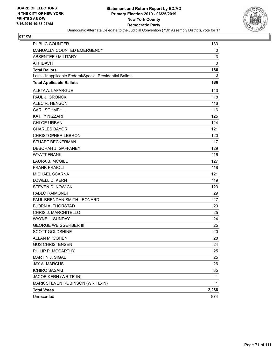

| <b>PUBLIC COUNTER</b>                                    | 183         |
|----------------------------------------------------------|-------------|
| MANUALLY COUNTED EMERGENCY                               | 0           |
| ABSENTEE / MILITARY                                      | 3           |
| <b>AFFIDAVIT</b>                                         | $\mathbf 0$ |
| <b>Total Ballots</b>                                     | 186         |
| Less - Inapplicable Federal/Special Presidential Ballots | 0           |
| <b>Total Applicable Ballots</b>                          | 186         |
| ALETA A. LAFARGUE                                        | 143         |
| PAUL J. GRONCKI                                          | 118         |
| ALEC R. HENSON                                           | 116         |
| <b>CARL SCHMEHL</b>                                      | 116         |
| <b>KATHY NIZZARI</b>                                     | 125         |
| <b>CHLOE URBAN</b>                                       | 124         |
| <b>CHARLES BAYOR</b>                                     | 121         |
| <b>CHRISTOPHER LEBRON</b>                                | 120         |
| <b>STUART BECKERMAN</b>                                  | 117         |
| DEBORAH J. GAFFANEY                                      | 129         |
| <b>WYATT FRANK</b>                                       | 116         |
| <b>LAURA B. MCGILL</b>                                   | 127         |
| <b>FRANK FRAIOLI</b>                                     | 118         |
| MICHAEL SCARNA                                           | 121         |
| <b>LOWELL D. KERN</b>                                    | 119         |
| <b>STEVEN D. NOWICKI</b>                                 | 123         |
| PABLO RAIMONDI                                           | 29          |
| PAUL BRENDAN SMITH-LEONARD                               | 27          |
| <b>BJORN A. THORSTAD</b>                                 | 20          |
| CHRIS J. MARCHITELLO                                     | 25          |
| <b>WAYNE L. SUNDAY</b>                                   | 24          |
| <b>GEORGE WEISGERBER III</b>                             | 25          |
| <b>SCOTT GOLDSHINE</b>                                   | 20          |
| ALLAN M. COHEN                                           | 28          |
| <b>GUS CHRISTENSEN</b>                                   | 24          |
| PHILIP P. MCCARTHY                                       | 25          |
| MARTIN J. SIGAL                                          | 25          |
| JAY A. MARCUS                                            | 26          |
| <b>ICHIRO SASAKI</b>                                     | 35          |
| JACOB KERN (WRITE-IN)                                    | 1           |
| MARK STEVEN ROBINSON (WRITE-IN)                          | 1           |
| <b>Total Votes</b>                                       | 2,288       |
| Unrecorded                                               | 874         |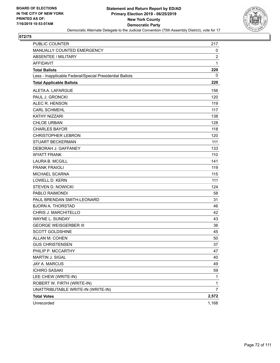

| <b>PUBLIC COUNTER</b>                                    | 217            |
|----------------------------------------------------------|----------------|
| MANUALLY COUNTED EMERGENCY                               | 0              |
| ABSENTEE / MILITARY                                      | $\overline{2}$ |
| <b>AFFIDAVIT</b>                                         | $\mathbf{1}$   |
| <b>Total Ballots</b>                                     | 220            |
| Less - Inapplicable Federal/Special Presidential Ballots | 0              |
| <b>Total Applicable Ballots</b>                          | 220            |
| ALETA A. LAFARGUE                                        | 156            |
| PAUL J. GRONCKI                                          | 120            |
| ALEC R. HENSON                                           | 119            |
| <b>CARL SCHMEHL</b>                                      | 117            |
| KATHY NIZZARI                                            | 138            |
| <b>CHLOE URBAN</b>                                       | 128            |
| <b>CHARLES BAYOR</b>                                     | 118            |
| <b>CHRISTOPHER LEBRON</b>                                | 120            |
| <b>STUART BECKERMAN</b>                                  | 111            |
| DEBORAH J. GAFFANEY                                      | 133            |
| <b>WYATT FRANK</b>                                       | 110            |
| <b>LAURA B. MCGILL</b>                                   | 141            |
| <b>FRANK FRAIOLI</b>                                     | 119            |
| MICHAEL SCARNA                                           | 115            |
| <b>LOWELL D. KERN</b>                                    | 111            |
| <b>STEVEN D. NOWICKI</b>                                 | 124            |
| PABLO RAIMONDI                                           | 58             |
| PAUL BRENDAN SMITH-LEONARD                               | 31             |
| <b>BJORN A. THORSTAD</b>                                 | 46             |
| CHRIS J. MARCHITELLO                                     | 42             |
| <b>WAYNE L. SUNDAY</b>                                   | 43             |
| <b>GEORGE WEISGERBER III</b>                             | 36             |
| <b>SCOTT GOLDSHINE</b>                                   | 45             |
| ALLAN M. COHEN                                           | 50             |
| <b>GUS CHRISTENSEN</b>                                   | 37             |
| PHILIP P. MCCARTHY                                       | 47             |
| MARTIN J. SIGAL                                          | 40             |
| JAY A. MARCUS                                            | 49             |
| <b>ICHIRO SASAKI</b>                                     | 59             |
| LEE CHEW (WRITE-IN)                                      | 1              |
| ROBERT W. FIRTH (WRITE-IN)                               | 1              |
| UNATTRIBUTABLE WRITE-IN (WRITE-IN)                       | $\overline{7}$ |
| <b>Total Votes</b>                                       | 2,572          |
| Unrecorded                                               | 1,168          |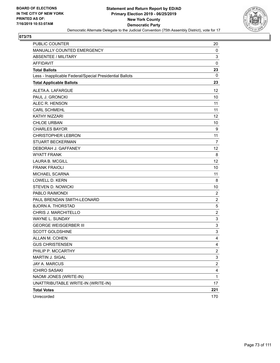

| <b>PUBLIC COUNTER</b>                                    | 20                        |
|----------------------------------------------------------|---------------------------|
| MANUALLY COUNTED EMERGENCY                               | 0                         |
| ABSENTEE / MILITARY                                      | 3                         |
| <b>AFFIDAVIT</b>                                         | 0                         |
| <b>Total Ballots</b>                                     | 23                        |
| Less - Inapplicable Federal/Special Presidential Ballots | 0                         |
| <b>Total Applicable Ballots</b>                          | 23                        |
| ALETA A. LAFARGUE                                        | 12                        |
| PAUL J. GRONCKI                                          | 10                        |
| ALEC R. HENSON                                           | 11                        |
| <b>CARL SCHMEHL</b>                                      | 11                        |
| KATHY NIZZARI                                            | 12                        |
| <b>CHLOE URBAN</b>                                       | 10                        |
| <b>CHARLES BAYOR</b>                                     | 9                         |
| <b>CHRISTOPHER LEBRON</b>                                | 11                        |
| <b>STUART BECKERMAN</b>                                  | 7                         |
| DEBORAH J. GAFFANEY                                      | 12                        |
| <b>WYATT FRANK</b>                                       | 8                         |
| <b>LAURA B. MCGILL</b>                                   | 12                        |
| <b>FRANK FRAIOLI</b>                                     | 10                        |
| MICHAEL SCARNA                                           | 11                        |
| LOWELL D. KERN                                           | 8                         |
| <b>STEVEN D. NOWICKI</b>                                 | 10                        |
| PABLO RAIMONDI                                           | $\overline{c}$            |
| PAUL BRENDAN SMITH-LEONARD                               | $\overline{c}$            |
| <b>BJORN A. THORSTAD</b>                                 | 5                         |
| CHRIS J. MARCHITELLO                                     | $\overline{\mathbf{c}}$   |
| WAYNE L. SUNDAY                                          | 3                         |
| <b>GEORGE WEISGERBER III</b>                             | 3                         |
| <b>SCOTT GOLDSHINE</b>                                   | $\ensuremath{\mathsf{3}}$ |
| ALLAN M. COHEN                                           | 4                         |
| <b>GUS CHRISTENSEN</b>                                   | 4                         |
| PHILIP P. MCCARTHY                                       | 2                         |
| MARTIN J. SIGAL                                          | 3                         |
| JAY A. MARCUS                                            | $\overline{c}$            |
| <b>ICHIRO SASAKI</b>                                     | 4                         |
| NAOMI JONES (WRITE-IN)                                   | 1                         |
| UNATTRIBUTABLE WRITE-IN (WRITE-IN)                       | 17                        |
| <b>Total Votes</b>                                       | 221                       |
| Unrecorded                                               | 170                       |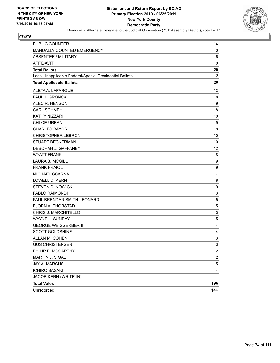

| PUBLIC COUNTER                                           | 14             |
|----------------------------------------------------------|----------------|
| MANUALLY COUNTED EMERGENCY                               | 0              |
| <b>ABSENTEE / MILITARY</b>                               | 6              |
| <b>AFFIDAVIT</b>                                         | $\mathbf 0$    |
| <b>Total Ballots</b>                                     | 20             |
| Less - Inapplicable Federal/Special Presidential Ballots | 0              |
| <b>Total Applicable Ballots</b>                          | 20             |
| ALETA A. LAFARGUE                                        | 13             |
| PAUL J. GRONCKI                                          | 8              |
| ALEC R. HENSON                                           | 9              |
| <b>CARL SCHMEHL</b>                                      | 8              |
| KATHY NIZZARI                                            | 10             |
| <b>CHLOE URBAN</b>                                       | 9              |
| <b>CHARLES BAYOR</b>                                     | 8              |
| <b>CHRISTOPHER LEBRON</b>                                | 10             |
| <b>STUART BECKERMAN</b>                                  | 10             |
| DEBORAH J. GAFFANEY                                      | 12             |
| <b>WYATT FRANK</b>                                       | 8              |
| <b>LAURA B. MCGILL</b>                                   | 9              |
| <b>FRANK FRAIOLI</b>                                     | 9              |
| MICHAEL SCARNA                                           | 7              |
| <b>LOWELL D. KERN</b>                                    | 8              |
| <b>STEVEN D. NOWICKI</b>                                 | 9              |
| PABLO RAIMONDI                                           | 3              |
| PAUL BRENDAN SMITH-LEONARD                               | 5              |
| <b>BJORN A. THORSTAD</b>                                 | 5              |
| CHRIS J. MARCHITELLO                                     | 3              |
| WAYNE L. SUNDAY                                          | 5              |
| <b>GEORGE WEISGERBER III</b>                             | 4              |
| <b>SCOTT GOLDSHINE</b>                                   | 4              |
| ALLAN M. COHEN                                           | 3              |
| <b>GUS CHRISTENSEN</b>                                   | 3              |
| PHILIP P. MCCARTHY                                       | $\overline{c}$ |
| MARTIN J. SIGAL                                          | $\overline{c}$ |
| JAY A. MARCUS                                            | 5              |
| <b>ICHIRO SASAKI</b>                                     | 4              |
| JACOB KERN (WRITE-IN)                                    | $\mathbf{1}$   |
| <b>Total Votes</b>                                       | 196            |
| Unrecorded                                               | 144            |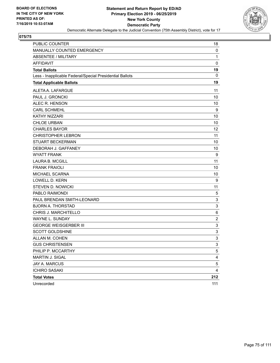

| PUBLIC COUNTER                                           | 18                        |
|----------------------------------------------------------|---------------------------|
| MANUALLY COUNTED EMERGENCY                               | 0                         |
| ABSENTEE / MILITARY                                      | 1                         |
| <b>AFFIDAVIT</b>                                         | $\mathbf 0$               |
| <b>Total Ballots</b>                                     | 19                        |
| Less - Inapplicable Federal/Special Presidential Ballots | 0                         |
| <b>Total Applicable Ballots</b>                          | 19                        |
| ALETA A. LAFARGUE                                        | 11                        |
| PAUL J. GRONCKI                                          | 10                        |
| ALEC R. HENSON                                           | 10                        |
| <b>CARL SCHMEHL</b>                                      | 9                         |
| <b>KATHY NIZZARI</b>                                     | 10                        |
| <b>CHLOE URBAN</b>                                       | 10                        |
| <b>CHARLES BAYOR</b>                                     | 12                        |
| <b>CHRISTOPHER LEBRON</b>                                | 11                        |
| <b>STUART BECKERMAN</b>                                  | 10                        |
| DEBORAH J. GAFFANEY                                      | 10                        |
| <b>WYATT FRANK</b>                                       | 9                         |
| <b>LAURA B. MCGILL</b>                                   | 11                        |
| <b>FRANK FRAIOLI</b>                                     | 10                        |
| <b>MICHAEL SCARNA</b>                                    | 10                        |
| <b>LOWELL D. KERN</b>                                    | 9                         |
| <b>STEVEN D. NOWICKI</b>                                 | 11                        |
| PABLO RAIMONDI                                           | $\,$ 5 $\,$               |
| PAUL BRENDAN SMITH-LEONARD                               | 3                         |
| <b>BJORN A. THORSTAD</b>                                 | 3                         |
| CHRIS J. MARCHITELLO                                     | 6                         |
| WAYNE L. SUNDAY                                          | $\overline{c}$            |
| <b>GEORGE WEISGERBER III</b>                             | $\ensuremath{\mathsf{3}}$ |
| <b>SCOTT GOLDSHINE</b>                                   | 3                         |
| ALLAN M. COHEN                                           | 3                         |
| <b>GUS CHRISTENSEN</b>                                   | 3                         |
| PHILIP P. MCCARTHY                                       | 5                         |
| MARTIN J. SIGAL                                          | 4                         |
| <b>JAY A. MARCUS</b>                                     | $\mathbf 5$               |
| <b>ICHIRO SASAKI</b>                                     | 4                         |
| <b>Total Votes</b>                                       | 212                       |
| Unrecorded                                               | 111                       |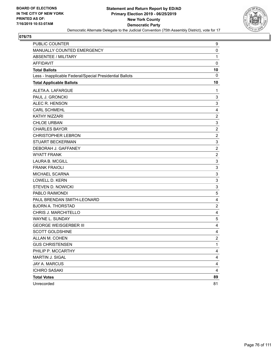

| PUBLIC COUNTER                                           | 9                         |
|----------------------------------------------------------|---------------------------|
| MANUALLY COUNTED EMERGENCY                               | 0                         |
| <b>ABSENTEE / MILITARY</b>                               | 1                         |
| <b>AFFIDAVIT</b>                                         | $\pmb{0}$                 |
| <b>Total Ballots</b>                                     | 10                        |
| Less - Inapplicable Federal/Special Presidential Ballots | 0                         |
| <b>Total Applicable Ballots</b>                          | 10                        |
| ALETA A. LAFARGUE                                        | 1                         |
| PAUL J. GRONCKI                                          | 3                         |
| ALEC R. HENSON                                           | $\mathbf{3}$              |
| <b>CARL SCHMEHL</b>                                      | 4                         |
| KATHY NIZZARI                                            | $\sqrt{2}$                |
| <b>CHLOE URBAN</b>                                       | $\ensuremath{\mathsf{3}}$ |
| <b>CHARLES BAYOR</b>                                     | $\boldsymbol{2}$          |
| <b>CHRISTOPHER LEBRON</b>                                | $\overline{c}$            |
| <b>STUART BECKERMAN</b>                                  | $\ensuremath{\mathsf{3}}$ |
| DEBORAH J. GAFFANEY                                      | $\boldsymbol{2}$          |
| <b>WYATT FRANK</b>                                       | $\overline{c}$            |
| <b>LAURA B. MCGILL</b>                                   | $\mathsf 3$               |
| <b>FRANK FRAIOLI</b>                                     | 3                         |
| MICHAEL SCARNA                                           | $\mathsf 3$               |
| <b>LOWELL D. KERN</b>                                    | $\mathsf 3$               |
| <b>STEVEN D. NOWICKI</b>                                 | 3                         |
| PABLO RAIMONDI                                           | 5                         |
| PAUL BRENDAN SMITH-LEONARD                               | $\overline{4}$            |
| <b>BJORN A. THORSTAD</b>                                 | $\overline{\mathbf{c}}$   |
| CHRIS J. MARCHITELLO                                     | 4                         |
| WAYNE L. SUNDAY                                          | 5                         |
| <b>GEORGE WEISGERBER III</b>                             | 4                         |
| <b>SCOTT GOLDSHINE</b>                                   | 4                         |
| ALLAN M. COHEN                                           | $\overline{c}$            |
| <b>GUS CHRISTENSEN</b>                                   | 1                         |
| PHILIP P. MCCARTHY                                       | $\overline{4}$            |
| MARTIN J. SIGAL                                          | 4                         |
| JAY A. MARCUS                                            | 4                         |
| <b>ICHIRO SASAKI</b>                                     | 4                         |
| <b>Total Votes</b>                                       | 89                        |
| Unrecorded                                               | 81                        |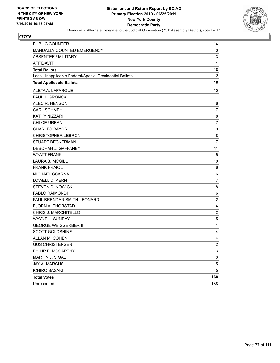

| <b>PUBLIC COUNTER</b>                                    | 14             |
|----------------------------------------------------------|----------------|
| MANUALLY COUNTED EMERGENCY                               | 0              |
| <b>ABSENTEE / MILITARY</b>                               | 3              |
| <b>AFFIDAVIT</b>                                         | $\mathbf{1}$   |
| <b>Total Ballots</b>                                     | 18             |
| Less - Inapplicable Federal/Special Presidential Ballots | 0              |
| <b>Total Applicable Ballots</b>                          | 18             |
| ALETA A. LAFARGUE                                        | 10             |
| PAUL J. GRONCKI                                          | $\overline{7}$ |
| ALEC R. HENSON                                           | 6              |
| <b>CARL SCHMEHL</b>                                      | 7              |
| KATHY NIZZARI                                            | 8              |
| <b>CHLOE URBAN</b>                                       | $\overline{7}$ |
| <b>CHARLES BAYOR</b>                                     | 9              |
| <b>CHRISTOPHER LEBRON</b>                                | 8              |
| <b>STUART BECKERMAN</b>                                  | $\overline{7}$ |
| DEBORAH J. GAFFANEY                                      | 11             |
| <b>WYATT FRANK</b>                                       | 5              |
| <b>LAURA B. MCGILL</b>                                   | 10             |
| <b>FRANK FRAIOLI</b>                                     | 6              |
| MICHAEL SCARNA                                           | 6              |
| <b>LOWELL D. KERN</b>                                    | $\overline{7}$ |
| <b>STEVEN D. NOWICKI</b>                                 | 8              |
| PABLO RAIMONDI                                           | 6              |
| PAUL BRENDAN SMITH-LEONARD                               | $\overline{2}$ |
| <b>BJORN A. THORSTAD</b>                                 | 4              |
| CHRIS J. MARCHITELLO                                     | $\overline{c}$ |
| <b>WAYNE L. SUNDAY</b>                                   | 5              |
| <b>GEORGE WEISGERBER III</b>                             | 1              |
| <b>SCOTT GOLDSHINE</b>                                   | 4              |
| ALLAN M. COHEN                                           | 4              |
| <b>GUS CHRISTENSEN</b>                                   | $\overline{c}$ |
| PHILIP P. MCCARTHY                                       | 3              |
| MARTIN J. SIGAL                                          | 3              |
| JAY A. MARCUS                                            | $\mathbf 5$    |
| <b>ICHIRO SASAKI</b>                                     | 5              |
| <b>Total Votes</b>                                       | 168            |
| Unrecorded                                               | 138            |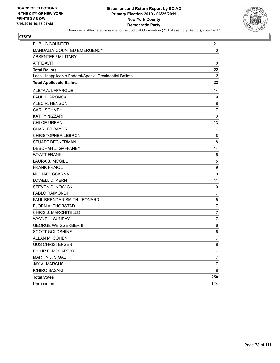

| PUBLIC COUNTER                                           | 21               |
|----------------------------------------------------------|------------------|
| MANUALLY COUNTED EMERGENCY                               | 0                |
| <b>ABSENTEE / MILITARY</b>                               | $\mathbf{1}$     |
| <b>AFFIDAVIT</b>                                         | $\mathbf 0$      |
| <b>Total Ballots</b>                                     | 22               |
| Less - Inapplicable Federal/Special Presidential Ballots | 0                |
| <b>Total Applicable Ballots</b>                          | 22               |
| ALETA A. LAFARGUE                                        | 14               |
| PAUL J. GRONCKI                                          | 9                |
| ALEC R. HENSON                                           | 8                |
| <b>CARL SCHMEHL</b>                                      | $\overline{7}$   |
| KATHY NIZZARI                                            | 13               |
| <b>CHLOE URBAN</b>                                       | 13               |
| <b>CHARLES BAYOR</b>                                     | 7                |
| <b>CHRISTOPHER LEBRON</b>                                | 8                |
| <b>STUART BECKERMAN</b>                                  | 8                |
| DEBORAH J. GAFFANEY                                      | 14               |
| <b>WYATT FRANK</b>                                       | 6                |
| <b>LAURA B. MCGILL</b>                                   | 15               |
| <b>FRANK FRAIOLI</b>                                     | 9                |
| MICHAEL SCARNA                                           | 9                |
| <b>LOWELL D. KERN</b>                                    | 11               |
| <b>STEVEN D. NOWICKI</b>                                 | 10               |
| PABLO RAIMONDI                                           | 7                |
| PAUL BRENDAN SMITH-LEONARD                               | 5                |
| <b>BJORN A. THORSTAD</b>                                 | $\overline{7}$   |
| CHRIS J. MARCHITELLO                                     | 7                |
| WAYNE L. SUNDAY                                          | 7                |
| <b>GEORGE WEISGERBER III</b>                             | 6                |
| <b>SCOTT GOLDSHINE</b>                                   | 6                |
| ALLAN M. COHEN                                           | $\overline{7}$   |
| <b>GUS CHRISTENSEN</b>                                   | 8                |
| PHILIP P. MCCARTHY                                       | 7                |
| MARTIN J. SIGAL                                          | $\boldsymbol{7}$ |
| JAY A. MARCUS                                            | $\overline{7}$   |
| <b>ICHIRO SASAKI</b>                                     | 8                |
| <b>Total Votes</b>                                       | 250              |
| Unrecorded                                               | 124              |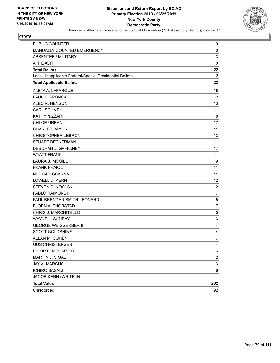

| PUBLIC COUNTER                                           | 19                        |
|----------------------------------------------------------|---------------------------|
| MANUALLY COUNTED EMERGENCY                               | 0                         |
| <b>ABSENTEE / MILITARY</b>                               | 3                         |
| <b>AFFIDAVIT</b>                                         | $\mathbf 0$               |
| <b>Total Ballots</b>                                     | 22                        |
| Less - Inapplicable Federal/Special Presidential Ballots | 0                         |
| <b>Total Applicable Ballots</b>                          | 22                        |
| ALETA A. LAFARGUE                                        | 16                        |
| PAUL J. GRONCKI                                          | 12                        |
| ALEC R. HENSON                                           | 13                        |
| <b>CARL SCHMEHL</b>                                      | 11                        |
| KATHY NIZZARI                                            | 18                        |
| <b>CHLOE URBAN</b>                                       | 17                        |
| <b>CHARLES BAYOR</b>                                     | 11                        |
| <b>CHRISTOPHER LEBRON</b>                                | 13                        |
| <b>STUART BECKERMAN</b>                                  | 11                        |
| DEBORAH J. GAFFANEY                                      | 17                        |
| <b>WYATT FRANK</b>                                       | 11                        |
| <b>LAURA B. MCGILL</b>                                   | 19                        |
| <b>FRANK FRAIOLI</b>                                     | 11                        |
| MICHAEL SCARNA                                           | 11                        |
| <b>LOWELL D. KERN</b>                                    | 12                        |
| <b>STEVEN D. NOWICKI</b>                                 | 12                        |
| PABLO RAIMONDI                                           | $\overline{7}$            |
| PAUL BRENDAN SMITH-LEONARD                               | 5                         |
| <b>BJORN A. THORSTAD</b>                                 | $\overline{7}$            |
| CHRIS J. MARCHITELLO                                     | $\,$ 5 $\,$               |
| WAYNE L. SUNDAY                                          | 6                         |
| <b>GEORGE WEISGERBER III</b>                             | 4                         |
| <b>SCOTT GOLDSHINE</b>                                   | 4                         |
| ALLAN M. COHEN                                           | 7                         |
| <b>GUS CHRISTENSEN</b>                                   | 4                         |
| PHILIP P. MCCARTHY                                       | 6                         |
| MARTIN J. SIGAL                                          | $\overline{\mathbf{c}}$   |
| JAY A. MARCUS                                            | $\ensuremath{\mathsf{3}}$ |
| <b>ICHIRO SASAKI</b>                                     | 6                         |
| JACOB KERN (WRITE-IN)                                    | 1                         |
| <b>Total Votes</b>                                       | 282                       |
| Unrecorded                                               | 92                        |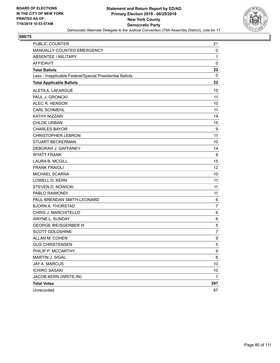

| PUBLIC COUNTER                                           | 21           |
|----------------------------------------------------------|--------------|
| MANUALLY COUNTED EMERGENCY                               | 0            |
| <b>ABSENTEE / MILITARY</b>                               | $\mathbf{1}$ |
| <b>AFFIDAVIT</b>                                         | $\mathbf 0$  |
| <b>Total Ballots</b>                                     | 22           |
| Less - Inapplicable Federal/Special Presidential Ballots | 0            |
| <b>Total Applicable Ballots</b>                          | 22           |
| ALETA A. LAFARGUE                                        | 15           |
| PAUL J. GRONCKI                                          | 11           |
| ALEC R. HENSON                                           | 10           |
| <b>CARL SCHMEHL</b>                                      | 11           |
| <b>KATHY NIZZARI</b>                                     | 14           |
| <b>CHLOE URBAN</b>                                       | 15           |
| <b>CHARLES BAYOR</b>                                     | 9            |
| <b>CHRISTOPHER LEBRON</b>                                | 11           |
| <b>STUART BECKERMAN</b>                                  | 10           |
| DEBORAH J. GAFFANEY                                      | 14           |
| <b>WYATT FRANK</b>                                       | 8            |
| <b>LAURA B. MCGILL</b>                                   | 15           |
| <b>FRANK FRAIOLI</b>                                     | 12           |
| MICHAEL SCARNA                                           | 10           |
| <b>LOWELL D. KERN</b>                                    | 11           |
| <b>STEVEN D. NOWICKI</b>                                 | 11           |
| PABLO RAIMONDI                                           | 11           |
| PAUL BRENDAN SMITH-LEONARD                               | 6            |
| <b>BJORN A. THORSTAD</b>                                 | 7            |
| CHRIS J. MARCHITELLO                                     | 6            |
| <b>WAYNE L. SUNDAY</b>                                   | 6            |
| <b>GEORGE WEISGERBER III</b>                             | 5            |
| <b>SCOTT GOLDSHINE</b>                                   | 7            |
| ALLAN M. COHEN                                           | 9            |
| <b>GUS CHRISTENSEN</b>                                   | 5            |
| PHILIP P. MCCARTHY                                       | 9            |
| MARTIN J. SIGAL                                          | 8            |
| JAY A. MARCUS                                            | 10           |
| <b>ICHIRO SASAKI</b>                                     | 10           |
| JACOB KERN (WRITE-IN)                                    | $\mathbf 1$  |
| <b>Total Votes</b>                                       | 287          |
| Unrecorded                                               | 87           |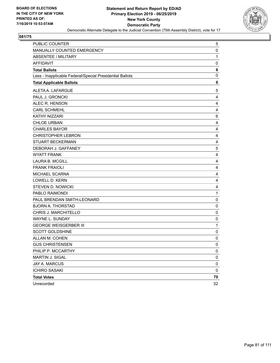

| PUBLIC COUNTER                                           | 5           |
|----------------------------------------------------------|-------------|
| MANUALLY COUNTED EMERGENCY                               | 0           |
| ABSENTEE / MILITARY                                      | 1           |
| <b>AFFIDAVIT</b>                                         | 0           |
| <b>Total Ballots</b>                                     | 6           |
| Less - Inapplicable Federal/Special Presidential Ballots | 0           |
| <b>Total Applicable Ballots</b>                          | 6           |
| ALETA A. LAFARGUE                                        | 5           |
| PAUL J. GRONCKI                                          | 4           |
| ALEC R. HENSON                                           | 4           |
| <b>CARL SCHMEHL</b>                                      | 4           |
| KATHY NIZZARI                                            | 6           |
| <b>CHLOE URBAN</b>                                       | 4           |
| <b>CHARLES BAYOR</b>                                     | 4           |
| <b>CHRISTOPHER LEBRON</b>                                | 4           |
| <b>STUART BECKERMAN</b>                                  | 4           |
| DEBORAH J. GAFFANEY                                      | 5           |
| <b>WYATT FRANK</b>                                       | 4           |
| <b>LAURA B. MCGILL</b>                                   | 4           |
| <b>FRANK FRAIOLI</b>                                     | 4           |
| MICHAEL SCARNA                                           | 4           |
| <b>LOWELL D. KERN</b>                                    | 4           |
| <b>STEVEN D. NOWICKI</b>                                 | 4           |
| PABLO RAIMONDI                                           | $\mathbf 1$ |
| PAUL BRENDAN SMITH-LEONARD                               | $\pmb{0}$   |
| <b>BJORN A. THORSTAD</b>                                 | 0           |
| CHRIS J. MARCHITELLO                                     | $\mathbf 0$ |
| <b>WAYNE L. SUNDAY</b>                                   | 0           |
| <b>GEORGE WEISGERBER III</b>                             | 1           |
| <b>SCOTT GOLDSHINE</b>                                   | $\mathbf 0$ |
| ALLAN M. COHEN                                           | $\mathbf 0$ |
| <b>GUS CHRISTENSEN</b>                                   | 0           |
| PHILIP P. MCCARTHY                                       | 0           |
| MARTIN J. SIGAL                                          | $\pmb{0}$   |
| JAY A. MARCUS                                            | 0           |
| <b>ICHIRO SASAKI</b>                                     | $\mathbf 0$ |
| <b>Total Votes</b>                                       | 70          |
| Unrecorded                                               | 32          |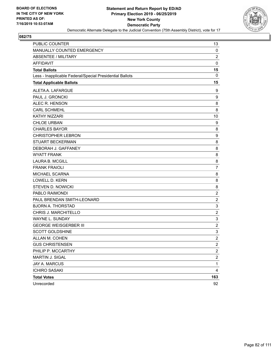

| PUBLIC COUNTER                                           | 13                        |
|----------------------------------------------------------|---------------------------|
| MANUALLY COUNTED EMERGENCY                               | 0                         |
| <b>ABSENTEE / MILITARY</b>                               | $\overline{c}$            |
| <b>AFFIDAVIT</b>                                         | $\mathbf 0$               |
| <b>Total Ballots</b>                                     | 15                        |
| Less - Inapplicable Federal/Special Presidential Ballots | 0                         |
| <b>Total Applicable Ballots</b>                          | 15                        |
| ALETA A. LAFARGUE                                        | 9                         |
| PAUL J. GRONCKI                                          | 9                         |
| ALEC R. HENSON                                           | 8                         |
| <b>CARL SCHMEHL</b>                                      | 8                         |
| <b>KATHY NIZZARI</b>                                     | 10                        |
| <b>CHLOE URBAN</b>                                       | 9                         |
| <b>CHARLES BAYOR</b>                                     | 8                         |
| <b>CHRISTOPHER LEBRON</b>                                | 9                         |
| <b>STUART BECKERMAN</b>                                  | 8                         |
| DEBORAH J. GAFFANEY                                      | 8                         |
| <b>WYATT FRANK</b>                                       | 8                         |
| <b>LAURA B. MCGILL</b>                                   | 8                         |
| <b>FRANK FRAIOLI</b>                                     | $\overline{7}$            |
| MICHAEL SCARNA                                           | 8                         |
| <b>LOWELL D. KERN</b>                                    | 8                         |
| <b>STEVEN D. NOWICKI</b>                                 | 8                         |
| PABLO RAIMONDI                                           | $\overline{2}$            |
| PAUL BRENDAN SMITH-LEONARD                               | $\overline{c}$            |
| <b>BJORN A. THORSTAD</b>                                 | $\ensuremath{\mathsf{3}}$ |
| CHRIS J. MARCHITELLO                                     | $\overline{c}$            |
| WAYNE L. SUNDAY                                          | $\ensuremath{\mathsf{3}}$ |
| <b>GEORGE WEISGERBER III</b>                             | $\boldsymbol{2}$          |
| <b>SCOTT GOLDSHINE</b>                                   | $\ensuremath{\mathsf{3}}$ |
| ALLAN M. COHEN                                           | $\overline{c}$            |
| <b>GUS CHRISTENSEN</b>                                   | $\overline{2}$            |
| PHILIP P. MCCARTHY                                       | $\overline{c}$            |
| MARTIN J. SIGAL                                          | $\overline{\mathbf{c}}$   |
| JAY A. MARCUS                                            | $\mathbf 1$               |
| <b>ICHIRO SASAKI</b>                                     | 4                         |
| <b>Total Votes</b>                                       | 163                       |
| Unrecorded                                               | 92                        |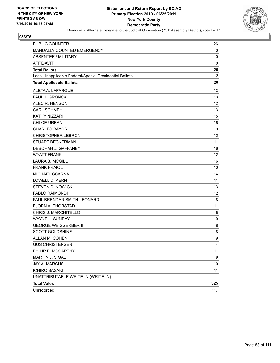

| PUBLIC COUNTER                                           | 26          |
|----------------------------------------------------------|-------------|
| MANUALLY COUNTED EMERGENCY                               | 0           |
| <b>ABSENTEE / MILITARY</b>                               | $\mathbf 0$ |
| <b>AFFIDAVIT</b>                                         | $\mathbf 0$ |
| <b>Total Ballots</b>                                     | 26          |
| Less - Inapplicable Federal/Special Presidential Ballots | 0           |
| <b>Total Applicable Ballots</b>                          | 26          |
| ALETA A. LAFARGUE                                        | 13          |
| PAUL J. GRONCKI                                          | 13          |
| ALEC R. HENSON                                           | 12          |
| <b>CARL SCHMEHL</b>                                      | 13          |
| <b>KATHY NIZZARI</b>                                     | 15          |
| <b>CHLOE URBAN</b>                                       | 16          |
| <b>CHARLES BAYOR</b>                                     | 9           |
| <b>CHRISTOPHER LEBRON</b>                                | 12          |
| <b>STUART BECKERMAN</b>                                  | 11          |
| DEBORAH J. GAFFANEY                                      | 16          |
| <b>WYATT FRANK</b>                                       | 12          |
| <b>LAURA B. MCGILL</b>                                   | 16          |
| <b>FRANK FRAIOLI</b>                                     | 10          |
| MICHAEL SCARNA                                           | 14          |
| <b>LOWELL D. KERN</b>                                    | 11          |
| <b>STEVEN D. NOWICKI</b>                                 | 13          |
| PABLO RAIMONDI                                           | 12          |
| PAUL BRENDAN SMITH-LEONARD                               | 8           |
| <b>BJORN A. THORSTAD</b>                                 | 11          |
| CHRIS J. MARCHITELLO                                     | 8           |
| <b>WAYNE L. SUNDAY</b>                                   | 9           |
| <b>GEORGE WEISGERBER III</b>                             | 8           |
| <b>SCOTT GOLDSHINE</b>                                   | 8           |
| ALLAN M. COHEN                                           | 9           |
| <b>GUS CHRISTENSEN</b>                                   | 4           |
| PHILIP P. MCCARTHY                                       | 11          |
| MARTIN J. SIGAL                                          | 9           |
| <b>JAY A. MARCUS</b>                                     | 10          |
| <b>ICHIRO SASAKI</b>                                     | 11          |
| UNATTRIBUTABLE WRITE-IN (WRITE-IN)                       | $\mathbf 1$ |
| <b>Total Votes</b>                                       | 325         |
| Unrecorded                                               | 117         |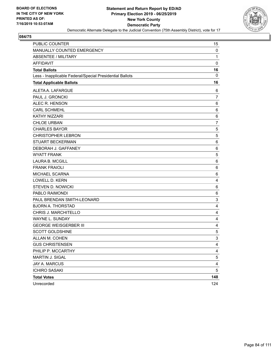

| PUBLIC COUNTER                                           | 15                      |
|----------------------------------------------------------|-------------------------|
| MANUALLY COUNTED EMERGENCY                               | 0                       |
| <b>ABSENTEE / MILITARY</b>                               | 1                       |
| <b>AFFIDAVIT</b>                                         | $\mathbf 0$             |
| <b>Total Ballots</b>                                     | 16                      |
| Less - Inapplicable Federal/Special Presidential Ballots | 0                       |
| <b>Total Applicable Ballots</b>                          | 16                      |
| ALETA A. LAFARGUE                                        | 6                       |
| PAUL J. GRONCKI                                          | 7                       |
| ALEC R. HENSON                                           | 6                       |
| <b>CARL SCHMEHL</b>                                      | 6                       |
| <b>KATHY NIZZARI</b>                                     | 6                       |
| <b>CHLOE URBAN</b>                                       | 7                       |
| <b>CHARLES BAYOR</b>                                     | $\sqrt{5}$              |
| <b>CHRISTOPHER LEBRON</b>                                | 5                       |
| <b>STUART BECKERMAN</b>                                  | 6                       |
| DEBORAH J. GAFFANEY                                      | 6                       |
| <b>WYATT FRANK</b>                                       | 5                       |
| <b>LAURA B. MCGILL</b>                                   | 6                       |
| <b>FRANK FRAIOLI</b>                                     | 6                       |
| MICHAEL SCARNA                                           | 6                       |
| <b>LOWELL D. KERN</b>                                    | 4                       |
| <b>STEVEN D. NOWICKI</b>                                 | 6                       |
| PABLO RAIMONDI                                           | 6                       |
| PAUL BRENDAN SMITH-LEONARD                               | 3                       |
| <b>BJORN A. THORSTAD</b>                                 | 4                       |
| CHRIS J. MARCHITELLO                                     | 4                       |
| WAYNE L. SUNDAY                                          | 4                       |
| <b>GEORGE WEISGERBER III</b>                             | 4                       |
| <b>SCOTT GOLDSHINE</b>                                   | $\,$ 5 $\,$             |
| ALLAN M. COHEN                                           | 3                       |
| <b>GUS CHRISTENSEN</b>                                   | 4                       |
| PHILIP P. MCCARTHY                                       | 4                       |
| MARTIN J. SIGAL                                          | 5                       |
| <b>JAY A. MARCUS</b>                                     | $\overline{\mathbf{4}}$ |
| <b>ICHIRO SASAKI</b>                                     | 5                       |
| <b>Total Votes</b>                                       | 148                     |
| Unrecorded                                               | 124                     |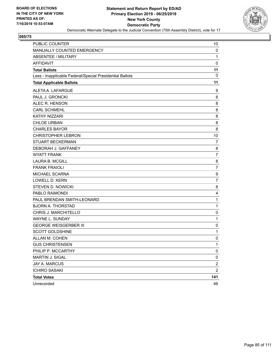

| <b>PUBLIC COUNTER</b>                                    | 10             |
|----------------------------------------------------------|----------------|
| MANUALLY COUNTED EMERGENCY                               | 0              |
| <b>ABSENTEE / MILITARY</b>                               | 1              |
| <b>AFFIDAVIT</b>                                         | $\mathbf 0$    |
| <b>Total Ballots</b>                                     | 11             |
| Less - Inapplicable Federal/Special Presidential Ballots | 0              |
| <b>Total Applicable Ballots</b>                          | 11             |
| ALETA A. LAFARGUE                                        | 9              |
| PAUL J. GRONCKI                                          | 8              |
| ALEC R. HENSON                                           | 8              |
| <b>CARL SCHMEHL</b>                                      | 8              |
| KATHY NIZZARI                                            | 8              |
| <b>CHLOE URBAN</b>                                       | 8              |
| <b>CHARLES BAYOR</b>                                     | 8              |
| <b>CHRISTOPHER LEBRON</b>                                | 10             |
| <b>STUART BECKERMAN</b>                                  | 7              |
| DEBORAH J. GAFFANEY                                      | 8              |
| <b>WYATT FRANK</b>                                       | 7              |
| <b>LAURA B. MCGILL</b>                                   | 8              |
| <b>FRANK FRAIOLI</b>                                     | $\overline{7}$ |
| MICHAEL SCARNA                                           | 9              |
| <b>LOWELL D. KERN</b>                                    | $\overline{7}$ |
| <b>STEVEN D. NOWICKI</b>                                 | 8              |
| PABLO RAIMONDI                                           | 4              |
| PAUL BRENDAN SMITH-LEONARD                               | $\mathbf{1}$   |
| <b>BJORN A. THORSTAD</b>                                 | 1              |
| CHRIS J. MARCHITELLO                                     | 0              |
| WAYNE L. SUNDAY                                          | $\mathbf{1}$   |
| <b>GEORGE WEISGERBER III</b>                             | 0              |
| <b>SCOTT GOLDSHINE</b>                                   | 1              |
| ALLAN M. COHEN                                           | $\mathbf 0$    |
| <b>GUS CHRISTENSEN</b>                                   | 1              |
| PHILIP P. MCCARTHY                                       | 0              |
| MARTIN J. SIGAL                                          | 0              |
| <b>JAY A. MARCUS</b>                                     | $\overline{2}$ |
| <b>ICHIRO SASAKI</b>                                     | $\overline{c}$ |
| <b>Total Votes</b>                                       | 141            |
| Unrecorded                                               | 46             |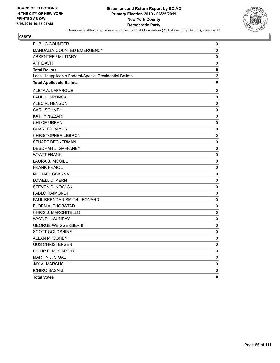

| PUBLIC COUNTER                                           | 0           |
|----------------------------------------------------------|-------------|
| MANUALLY COUNTED EMERGENCY                               | 0           |
| ABSENTEE / MILITARY                                      | 0           |
| <b>AFFIDAVIT</b>                                         | 0           |
| <b>Total Ballots</b>                                     | $\mathbf 0$ |
| Less - Inapplicable Federal/Special Presidential Ballots | $\mathbf 0$ |
| <b>Total Applicable Ballots</b>                          | 0           |
| ALETA A. LAFARGUE                                        | 0           |
| PAUL J. GRONCKI                                          | $\mathbf 0$ |
| ALEC R. HENSON                                           | 0           |
| <b>CARL SCHMEHL</b>                                      | 0           |
| <b>KATHY NIZZARI</b>                                     | 0           |
| <b>CHLOE URBAN</b>                                       | 0           |
| <b>CHARLES BAYOR</b>                                     | 0           |
| <b>CHRISTOPHER LEBRON</b>                                | 0           |
| STUART BECKERMAN                                         | 0           |
| DEBORAH J. GAFFANEY                                      | 0           |
| <b>WYATT FRANK</b>                                       | 0           |
| <b>LAURA B. MCGILL</b>                                   | 0           |
| <b>FRANK FRAIOLI</b>                                     | 0           |
| MICHAEL SCARNA                                           | 0           |
| <b>LOWELL D. KERN</b>                                    | 0           |
| <b>STEVEN D. NOWICKI</b>                                 | 0           |
| PABLO RAIMONDI                                           | 0           |
| PAUL BRENDAN SMITH-LEONARD                               | 0           |
| <b>BJORN A. THORSTAD</b>                                 | 0           |
| CHRIS J. MARCHITELLO                                     | 0           |
| WAYNE L. SUNDAY                                          | 0           |
| <b>GEORGE WEISGERBER III</b>                             | 0           |
| <b>SCOTT GOLDSHINE</b>                                   | 0           |
| ALLAN M. COHEN                                           | $\mathbf 0$ |
| <b>GUS CHRISTENSEN</b>                                   | 0           |
| PHILIP P. MCCARTHY                                       | 0           |
| MARTIN J. SIGAL                                          | 0           |
| JAY A. MARCUS                                            | 0           |
| <b>ICHIRO SASAKI</b>                                     | 0           |
| <b>Total Votes</b>                                       | 0           |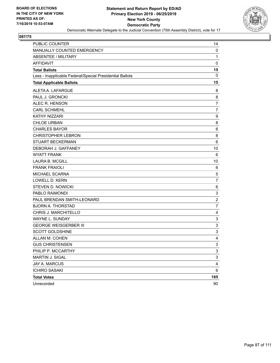

| <b>PUBLIC COUNTER</b>                                    | 14                        |
|----------------------------------------------------------|---------------------------|
| MANUALLY COUNTED EMERGENCY                               | 0                         |
| <b>ABSENTEE / MILITARY</b>                               | 1                         |
| <b>AFFIDAVIT</b>                                         | $\pmb{0}$                 |
| <b>Total Ballots</b>                                     | 15                        |
| Less - Inapplicable Federal/Special Presidential Ballots | 0                         |
| <b>Total Applicable Ballots</b>                          | 15                        |
| ALETA A. LAFARGUE                                        | 8                         |
| PAUL J. GRONCKI                                          | 8                         |
| ALEC R. HENSON                                           | $\overline{7}$            |
| <b>CARL SCHMEHL</b>                                      | 7                         |
| KATHY NIZZARI                                            | 9                         |
| <b>CHLOE URBAN</b>                                       | 8                         |
| <b>CHARLES BAYOR</b>                                     | 6                         |
| <b>CHRISTOPHER LEBRON</b>                                | 8                         |
| <b>STUART BECKERMAN</b>                                  | 6                         |
| DEBORAH J. GAFFANEY                                      | 10                        |
| <b>WYATT FRANK</b>                                       | 6                         |
| <b>LAURA B. MCGILL</b>                                   | 10                        |
| <b>FRANK FRAIOLI</b>                                     | 6                         |
| MICHAEL SCARNA                                           | 5                         |
| <b>LOWELL D. KERN</b>                                    | $\overline{7}$            |
| <b>STEVEN D. NOWICKI</b>                                 | 6                         |
| PABLO RAIMONDI                                           | 3                         |
| PAUL BRENDAN SMITH-LEONARD                               | $\overline{2}$            |
| <b>BJORN A. THORSTAD</b>                                 | 7                         |
| CHRIS J. MARCHITELLO                                     | 4                         |
| WAYNE L. SUNDAY                                          | $\ensuremath{\mathsf{3}}$ |
| <b>GEORGE WEISGERBER III</b>                             | 3                         |
| <b>SCOTT GOLDSHINE</b>                                   | 3                         |
| ALLAN M. COHEN                                           | 4                         |
| <b>GUS CHRISTENSEN</b>                                   | 3                         |
| PHILIP P. MCCARTHY                                       | 3                         |
| MARTIN J. SIGAL                                          | 3                         |
| JAY A. MARCUS                                            | 4                         |
| <b>ICHIRO SASAKI</b>                                     | 6                         |
| <b>Total Votes</b>                                       | 165                       |
| Unrecorded                                               | 90                        |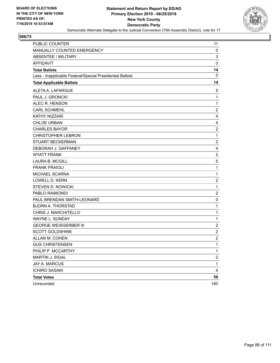

| <b>PUBLIC COUNTER</b>                                    | 11                      |
|----------------------------------------------------------|-------------------------|
| MANUALLY COUNTED EMERGENCY                               | 0                       |
| <b>ABSENTEE / MILITARY</b>                               | $\mathsf 3$             |
| <b>AFFIDAVIT</b>                                         | $\mathbf 0$             |
| <b>Total Ballots</b>                                     | 14                      |
| Less - Inapplicable Federal/Special Presidential Ballots | 0                       |
| <b>Total Applicable Ballots</b>                          | 14                      |
| ALETA A. LAFARGUE                                        | 5                       |
| PAUL J. GRONCKI                                          | 1                       |
| ALEC R. HENSON                                           | 1                       |
| <b>CARL SCHMEHL</b>                                      | $\overline{\mathbf{c}}$ |
| <b>KATHY NIZZARI</b>                                     | 4                       |
| <b>CHLOE URBAN</b>                                       | 4                       |
| <b>CHARLES BAYOR</b>                                     | $\boldsymbol{2}$        |
| <b>CHRISTOPHER LEBRON</b>                                | 1                       |
| <b>STUART BECKERMAN</b>                                  | $\overline{c}$          |
| DEBORAH J. GAFFANEY                                      | 4                       |
| <b>WYATT FRANK</b>                                       | $\sqrt{2}$              |
| <b>LAURA B. MCGILL</b>                                   | 5                       |
| <b>FRANK FRAIOLI</b>                                     | $\mathbf{1}$            |
| MICHAEL SCARNA                                           | 1                       |
| <b>LOWELL D. KERN</b>                                    | $\overline{c}$          |
| <b>STEVEN D. NOWICKI</b>                                 | $\mathbf 1$             |
| PABLO RAIMONDI                                           | $\overline{2}$          |
| PAUL BRENDAN SMITH-LEONARD                               | 0                       |
| <b>BJORN A. THORSTAD</b>                                 | $\mathbf 1$             |
| CHRIS J. MARCHITELLO                                     | 1                       |
| WAYNE L. SUNDAY                                          | 1                       |
| <b>GEORGE WEISGERBER III</b>                             | $\overline{\mathbf{c}}$ |
| <b>SCOTT GOLDSHINE</b>                                   | $\overline{2}$          |
| ALLAN M. COHEN                                           | $\overline{c}$          |
| <b>GUS CHRISTENSEN</b>                                   | 1                       |
| PHILIP P. MCCARTHY                                       | $\mathbf{1}$            |
| MARTIN J. SIGAL                                          | $\overline{\mathbf{c}}$ |
| JAY A. MARCUS                                            | $\mathbf 1$             |
| <b>ICHIRO SASAKI</b>                                     | 4                       |
| <b>Total Votes</b>                                       | 58                      |
| Unrecorded                                               | 180                     |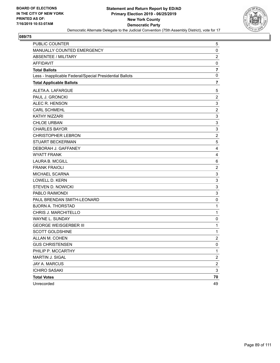

| PUBLIC COUNTER                                           | 5                         |
|----------------------------------------------------------|---------------------------|
| MANUALLY COUNTED EMERGENCY                               | 0                         |
| <b>ABSENTEE / MILITARY</b>                               | $\overline{2}$            |
| <b>AFFIDAVIT</b>                                         | 0                         |
| <b>Total Ballots</b>                                     | $\overline{\mathbf{r}}$   |
| Less - Inapplicable Federal/Special Presidential Ballots | $\mathbf 0$               |
| <b>Total Applicable Ballots</b>                          | 7                         |
| ALETA A. LAFARGUE                                        | 5                         |
| PAUL J. GRONCKI                                          | $\overline{c}$            |
| ALEC R. HENSON                                           | $\mathsf 3$               |
| <b>CARL SCHMEHL</b>                                      | $\overline{c}$            |
| KATHY NIZZARI                                            | 3                         |
| <b>CHLOE URBAN</b>                                       | $\mathsf 3$               |
| <b>CHARLES BAYOR</b>                                     | $\ensuremath{\mathsf{3}}$ |
| <b>CHRISTOPHER LEBRON</b>                                | $\overline{c}$            |
| <b>STUART BECKERMAN</b>                                  | 5                         |
| DEBORAH J. GAFFANEY                                      | 4                         |
| <b>WYATT FRANK</b>                                       | 4                         |
| <b>LAURA B. MCGILL</b>                                   | 6                         |
| <b>FRANK FRAIOLI</b>                                     | $\overline{\mathbf{c}}$   |
| MICHAEL SCARNA                                           | 3                         |
| <b>LOWELL D. KERN</b>                                    | $\mathsf 3$               |
| <b>STEVEN D. NOWICKI</b>                                 | 3                         |
| PABLO RAIMONDI                                           | $\mathsf 3$               |
| PAUL BRENDAN SMITH-LEONARD                               | 0                         |
| <b>BJORN A. THORSTAD</b>                                 | 1                         |
| CHRIS J. MARCHITELLO                                     | $\mathbf{1}$              |
| <b>WAYNE L. SUNDAY</b>                                   | 0                         |
| <b>GEORGE WEISGERBER III</b>                             | 1                         |
| <b>SCOTT GOLDSHINE</b>                                   | $\mathbf 1$               |
| ALLAN M. COHEN                                           | $\overline{c}$            |
| <b>GUS CHRISTENSEN</b>                                   | 0                         |
| PHILIP P. MCCARTHY                                       | $\mathbf{1}$              |
| MARTIN J. SIGAL                                          | $\overline{\mathbf{c}}$   |
| JAY A. MARCUS                                            | $\overline{\mathbf{c}}$   |
| <b>ICHIRO SASAKI</b>                                     | 3                         |
| <b>Total Votes</b>                                       | 70                        |
| Unrecorded                                               | 49                        |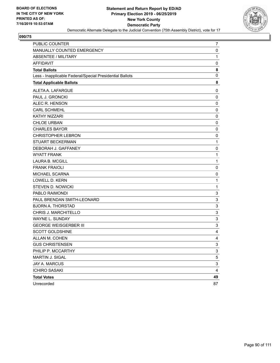

| PUBLIC COUNTER                                           | 7                         |
|----------------------------------------------------------|---------------------------|
| MANUALLY COUNTED EMERGENCY                               | 0                         |
| ABSENTEE / MILITARY                                      | $\mathbf{1}$              |
| <b>AFFIDAVIT</b>                                         | 0                         |
| <b>Total Ballots</b>                                     | 8                         |
| Less - Inapplicable Federal/Special Presidential Ballots | $\mathbf 0$               |
| <b>Total Applicable Ballots</b>                          | 8                         |
| ALETA A. LAFARGUE                                        | 0                         |
| PAUL J. GRONCKI                                          | 0                         |
| ALEC R. HENSON                                           | $\mathbf 0$               |
| <b>CARL SCHMEHL</b>                                      | $\pmb{0}$                 |
| KATHY NIZZARI                                            | 0                         |
| <b>CHLOE URBAN</b>                                       | $\mathbf 0$               |
| <b>CHARLES BAYOR</b>                                     | 0                         |
| <b>CHRISTOPHER LEBRON</b>                                | 0                         |
| <b>STUART BECKERMAN</b>                                  | $\mathbf{1}$              |
| DEBORAH J. GAFFANEY                                      | 0                         |
| <b>WYATT FRANK</b>                                       | 1                         |
| <b>LAURA B. MCGILL</b>                                   | $\mathbf{1}$              |
| <b>FRANK FRAIOLI</b>                                     | 0                         |
| MICHAEL SCARNA                                           | 0                         |
| <b>LOWELL D. KERN</b>                                    | $\mathbf{1}$              |
| <b>STEVEN D. NOWICKI</b>                                 | 1                         |
| PABLO RAIMONDI                                           | 3                         |
| PAUL BRENDAN SMITH-LEONARD                               | 3                         |
| <b>BJORN A. THORSTAD</b>                                 | $\sqrt{3}$                |
| CHRIS J. MARCHITELLO                                     | 3                         |
| WAYNE L. SUNDAY                                          | 3                         |
| <b>GEORGE WEISGERBER III</b>                             | $\sqrt{3}$                |
| <b>SCOTT GOLDSHINE</b>                                   | 4                         |
| ALLAN M. COHEN                                           | 4                         |
| <b>GUS CHRISTENSEN</b>                                   | 3                         |
| PHILIP P. MCCARTHY                                       | 3                         |
| MARTIN J. SIGAL                                          | 5                         |
| <b>JAY A. MARCUS</b>                                     | $\ensuremath{\mathsf{3}}$ |
| <b>ICHIRO SASAKI</b>                                     | 4                         |
| <b>Total Votes</b>                                       | 49                        |
| Unrecorded                                               | 87                        |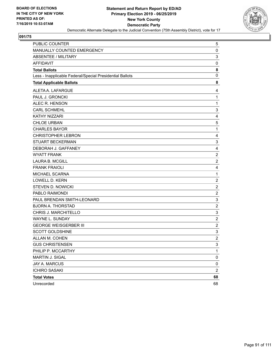

| PUBLIC COUNTER                                           | 5                         |
|----------------------------------------------------------|---------------------------|
| MANUALLY COUNTED EMERGENCY                               | $\pmb{0}$                 |
| ABSENTEE / MILITARY                                      | $\mathsf 3$               |
| <b>AFFIDAVIT</b>                                         | 0                         |
| <b>Total Ballots</b>                                     | 8                         |
| Less - Inapplicable Federal/Special Presidential Ballots | 0                         |
| <b>Total Applicable Ballots</b>                          | 8                         |
| ALETA A. LAFARGUE                                        | 4                         |
| PAUL J. GRONCKI                                          | 1                         |
| ALEC R. HENSON                                           | $\mathbf{1}$              |
| <b>CARL SCHMEHL</b>                                      | 3                         |
| KATHY NIZZARI                                            | 4                         |
| <b>CHLOE URBAN</b>                                       | 5                         |
| <b>CHARLES BAYOR</b>                                     | $\mathbf 1$               |
| <b>CHRISTOPHER LEBRON</b>                                | 4                         |
| <b>STUART BECKERMAN</b>                                  | $\ensuremath{\mathsf{3}}$ |
| DEBORAH J. GAFFANEY                                      | 4                         |
| <b>WYATT FRANK</b>                                       | $\boldsymbol{2}$          |
| <b>LAURA B. MCGILL</b>                                   | $\overline{2}$            |
| <b>FRANK FRAIOLI</b>                                     | 4                         |
| MICHAEL SCARNA                                           | $\mathbf{1}$              |
| <b>LOWELL D. KERN</b>                                    | $\overline{2}$            |
| <b>STEVEN D. NOWICKI</b>                                 | $\overline{\mathbf{c}}$   |
| PABLO RAIMONDI                                           | $\boldsymbol{2}$          |
| PAUL BRENDAN SMITH-LEONARD                               | $\mathsf 3$               |
| <b>BJORN A. THORSTAD</b>                                 | $\overline{c}$            |
| CHRIS J. MARCHITELLO                                     | 3                         |
| WAYNE L. SUNDAY                                          | $\overline{2}$            |
| <b>GEORGE WEISGERBER III</b>                             | $\overline{\mathbf{c}}$   |
| <b>SCOTT GOLDSHINE</b>                                   | 3                         |
| ALLAN M. COHEN                                           | $\overline{2}$            |
| <b>GUS CHRISTENSEN</b>                                   | 3                         |
| PHILIP P. MCCARTHY                                       | $\mathbf{1}$              |
| MARTIN J. SIGAL                                          | $\pmb{0}$                 |
| JAY A. MARCUS                                            | 0                         |
| <b>ICHIRO SASAKI</b>                                     | $\overline{2}$            |
| <b>Total Votes</b>                                       | 68                        |
| Unrecorded                                               | 68                        |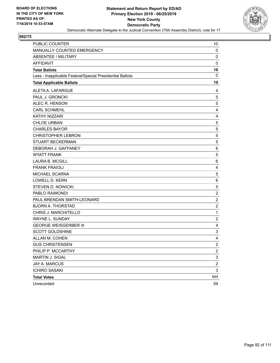

| PUBLIC COUNTER                                           | 10                      |
|----------------------------------------------------------|-------------------------|
| MANUALLY COUNTED EMERGENCY                               | 0                       |
| <b>ABSENTEE / MILITARY</b>                               | $\mathbf 0$             |
| <b>AFFIDAVIT</b>                                         | $\mathbf 0$             |
| <b>Total Ballots</b>                                     | 10                      |
| Less - Inapplicable Federal/Special Presidential Ballots | 0                       |
| <b>Total Applicable Ballots</b>                          | 10                      |
| ALETA A. LAFARGUE                                        | 4                       |
| PAUL J. GRONCKI                                          | 5                       |
| ALEC R. HENSON                                           | 5                       |
| <b>CARL SCHMEHL</b>                                      | 4                       |
| KATHY NIZZARI                                            | 4                       |
| <b>CHLOE URBAN</b>                                       | 5                       |
| <b>CHARLES BAYOR</b>                                     | 5                       |
| <b>CHRISTOPHER LEBRON</b>                                | 5                       |
| <b>STUART BECKERMAN</b>                                  | 5                       |
| DEBORAH J. GAFFANEY                                      | 6                       |
| <b>WYATT FRANK</b>                                       | 5                       |
| <b>LAURA B. MCGILL</b>                                   | 6                       |
| <b>FRANK FRAIOLI</b>                                     | 4                       |
| MICHAEL SCARNA                                           | 5                       |
| <b>LOWELL D. KERN</b>                                    | 6                       |
| <b>STEVEN D. NOWICKI</b>                                 | 5                       |
| PABLO RAIMONDI                                           | $\overline{\mathbf{c}}$ |
| PAUL BRENDAN SMITH-LEONARD                               | $\overline{c}$          |
| <b>BJORN A. THORSTAD</b>                                 | $\overline{c}$          |
| CHRIS J. MARCHITELLO                                     | $\mathbf{1}$            |
| WAYNE L. SUNDAY                                          | $\overline{\mathbf{c}}$ |
| <b>GEORGE WEISGERBER III</b>                             | 4                       |
| <b>SCOTT GOLDSHINE</b>                                   | 3                       |
| ALLAN M. COHEN                                           | 4                       |
| <b>GUS CHRISTENSEN</b>                                   | $\mathfrak{p}$          |
| PHILIP P. MCCARTHY                                       | $\overline{c}$          |
| MARTIN J. SIGAL                                          | 3                       |
| JAY A. MARCUS                                            | $\overline{c}$          |
| <b>ICHIRO SASAKI</b>                                     | 3                       |
| <b>Total Votes</b>                                       | 111                     |
| Unrecorded                                               | 59                      |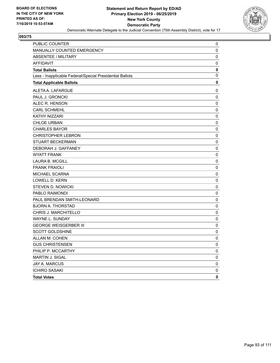

| <b>PUBLIC COUNTER</b>                                    | 0           |
|----------------------------------------------------------|-------------|
| MANUALLY COUNTED EMERGENCY                               | 0           |
| <b>ABSENTEE / MILITARY</b>                               | 0           |
| <b>AFFIDAVIT</b>                                         | 0           |
| <b>Total Ballots</b>                                     | 0           |
| Less - Inapplicable Federal/Special Presidential Ballots | 0           |
| <b>Total Applicable Ballots</b>                          | $\mathbf 0$ |
| ALETA A. LAFARGUE                                        | 0           |
| PAUL J. GRONCKI                                          | 0           |
| ALEC R. HENSON                                           | 0           |
| <b>CARL SCHMEHL</b>                                      | 0           |
| <b>KATHY NIZZARI</b>                                     | 0           |
| <b>CHLOE URBAN</b>                                       | 0           |
| <b>CHARLES BAYOR</b>                                     | 0           |
| <b>CHRISTOPHER LEBRON</b>                                | 0           |
| <b>STUART BECKERMAN</b>                                  | 0           |
| DEBORAH J. GAFFANEY                                      | 0           |
| <b>WYATT FRANK</b>                                       | 0           |
| <b>LAURA B. MCGILL</b>                                   | 0           |
| <b>FRANK FRAIOLI</b>                                     | 0           |
| MICHAEL SCARNA                                           | 0           |
| <b>LOWELL D. KERN</b>                                    | 0           |
| <b>STEVEN D. NOWICKI</b>                                 | 0           |
| PABLO RAIMONDI                                           | 0           |
| PAUL BRENDAN SMITH-LEONARD                               | 0           |
| <b>BJORN A. THORSTAD</b>                                 | 0           |
| CHRIS J. MARCHITELLO                                     | 0           |
| WAYNE L. SUNDAY                                          | 0           |
| <b>GEORGE WEISGERBER III</b>                             | 0           |
| <b>SCOTT GOLDSHINE</b>                                   | 0           |
| ALLAN M. COHEN                                           | $\mathbf 0$ |
| <b>GUS CHRISTENSEN</b>                                   | 0           |
| PHILIP P. MCCARTHY                                       | 0           |
| MARTIN J. SIGAL                                          | 0           |
| JAY A. MARCUS                                            | $\pmb{0}$   |
| <b>ICHIRO SASAKI</b>                                     | 0           |
| <b>Total Votes</b>                                       | 0           |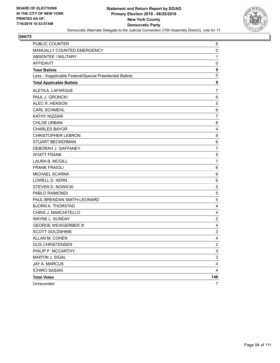

| PUBLIC COUNTER                                           | 8                         |
|----------------------------------------------------------|---------------------------|
| MANUALLY COUNTED EMERGENCY                               | 0                         |
| <b>ABSENTEE / MILITARY</b>                               | 1                         |
| <b>AFFIDAVIT</b>                                         | 0                         |
| <b>Total Ballots</b>                                     | 9                         |
| Less - Inapplicable Federal/Special Presidential Ballots | 0                         |
| <b>Total Applicable Ballots</b>                          | 9                         |
| ALETA A. LAFARGUE                                        | 7                         |
| PAUL J. GRONCKI                                          | 6                         |
| ALEC R. HENSON                                           | 5                         |
| <b>CARL SCHMEHL</b>                                      | 6                         |
| KATHY NIZZARI                                            | $\overline{7}$            |
| <b>CHLOE URBAN</b>                                       | 8                         |
| <b>CHARLES BAYOR</b>                                     | 4                         |
| <b>CHRISTOPHER LEBRON</b>                                | 8                         |
| <b>STUART BECKERMAN</b>                                  | 6                         |
| DEBORAH J. GAFFANEY                                      | 7                         |
| <b>WYATT FRANK</b>                                       | $\mathbf 5$               |
| <b>LAURA B. MCGILL</b>                                   | $\overline{7}$            |
| <b>FRANK FRAIOLI</b>                                     | 6                         |
| MICHAEL SCARNA                                           | 6                         |
| <b>LOWELL D. KERN</b>                                    | 6                         |
| STEVEN D. NOWICKI                                        | 5                         |
| PABLO RAIMONDI                                           | $\mathbf 5$               |
| PAUL BRENDAN SMITH-LEONARD                               | 5                         |
| <b>BJORN A. THORSTAD</b>                                 | 4                         |
| CHRIS J. MARCHITELLO                                     | 4                         |
| WAYNE L. SUNDAY                                          | $\overline{c}$            |
| <b>GEORGE WEISGERBER III</b>                             | 4                         |
| <b>SCOTT GOLDSHINE</b>                                   | $\ensuremath{\mathsf{3}}$ |
| ALLAN M. COHEN                                           | 4                         |
| <b>GUS CHRISTENSEN</b>                                   | $\overline{2}$            |
| PHILIP P. MCCARTHY                                       | $\mathbf{3}$              |
| MARTIN J. SIGAL                                          | 3                         |
| JAY A. MARCUS                                            | 4                         |
| <b>ICHIRO SASAKI</b>                                     | 4                         |
| <b>Total Votes</b>                                       | 146                       |
| Unrecorded                                               | $\overline{7}$            |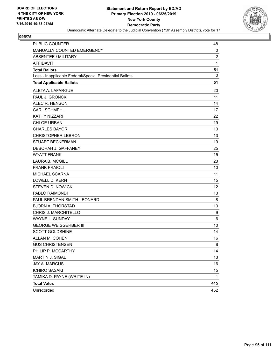

| PUBLIC COUNTER                                           | 48             |
|----------------------------------------------------------|----------------|
| MANUALLY COUNTED EMERGENCY                               | 0              |
| ABSENTEE / MILITARY                                      | $\overline{2}$ |
| <b>AFFIDAVIT</b>                                         | 1              |
| <b>Total Ballots</b>                                     | 51             |
| Less - Inapplicable Federal/Special Presidential Ballots | 0              |
| <b>Total Applicable Ballots</b>                          | 51             |
| ALETA A. LAFARGUE                                        | 20             |
| PAUL J. GRONCKI                                          | 11             |
| ALEC R. HENSON                                           | 14             |
| <b>CARL SCHMEHL</b>                                      | 17             |
| <b>KATHY NIZZARI</b>                                     | 22             |
| <b>CHLOE URBAN</b>                                       | 19             |
| <b>CHARLES BAYOR</b>                                     | 13             |
| <b>CHRISTOPHER LEBRON</b>                                | 13             |
| <b>STUART BECKERMAN</b>                                  | 19             |
| DEBORAH J. GAFFANEY                                      | 25             |
| <b>WYATT FRANK</b>                                       | 15             |
| <b>LAURA B. MCGILL</b>                                   | 23             |
| <b>FRANK FRAIOLI</b>                                     | 10             |
| MICHAEL SCARNA                                           | 11             |
| <b>LOWELL D. KERN</b>                                    | 15             |
| <b>STEVEN D. NOWICKI</b>                                 | 12             |
| PABLO RAIMONDI                                           | 13             |
| PAUL BRENDAN SMITH-LEONARD                               | 8              |
| <b>BJORN A. THORSTAD</b>                                 | 13             |
| CHRIS J. MARCHITELLO                                     | 9              |
| <b>WAYNE L. SUNDAY</b>                                   | 6              |
| <b>GEORGE WEISGERBER III</b>                             | 10             |
| <b>SCOTT GOLDSHINE</b>                                   | 14             |
| ALLAN M. COHEN                                           | 16             |
| <b>GUS CHRISTENSEN</b>                                   | 8              |
| PHILIP P. MCCARTHY                                       | 14             |
| MARTIN J. SIGAL                                          | 13             |
| <b>JAY A. MARCUS</b>                                     | 16             |
| <b>ICHIRO SASAKI</b>                                     | 15             |
| TAMIKA D. PAYNE (WRITE-IN)                               | 1              |
| <b>Total Votes</b>                                       | 415            |
| Unrecorded                                               | 452            |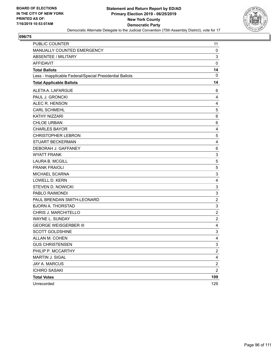

| PUBLIC COUNTER                                           | 11                      |
|----------------------------------------------------------|-------------------------|
| MANUALLY COUNTED EMERGENCY                               | 0                       |
| <b>ABSENTEE / MILITARY</b>                               | 3                       |
| <b>AFFIDAVIT</b>                                         | $\mathbf 0$             |
| <b>Total Ballots</b>                                     | 14                      |
| Less - Inapplicable Federal/Special Presidential Ballots | 0                       |
| <b>Total Applicable Ballots</b>                          | 14                      |
| ALETA A. LAFARGUE                                        | 6                       |
| PAUL J. GRONCKI                                          | 4                       |
| ALEC R. HENSON                                           | 4                       |
| <b>CARL SCHMEHL</b>                                      | $\,$ 5 $\,$             |
| KATHY NIZZARI                                            | 6                       |
| <b>CHLOE URBAN</b>                                       | 6                       |
| <b>CHARLES BAYOR</b>                                     | 4                       |
| <b>CHRISTOPHER LEBRON</b>                                | 5                       |
| <b>STUART BECKERMAN</b>                                  | $\overline{4}$          |
| DEBORAH J. GAFFANEY                                      | 6                       |
| <b>WYATT FRANK</b>                                       | 3                       |
| <b>LAURA B. MCGILL</b>                                   | 5                       |
| <b>FRANK FRAIOLI</b>                                     | 5                       |
| MICHAEL SCARNA                                           | 3                       |
| <b>LOWELL D. KERN</b>                                    | $\overline{\mathbf{4}}$ |
| <b>STEVEN D. NOWICKI</b>                                 | 3                       |
| PABLO RAIMONDI                                           | 3                       |
| PAUL BRENDAN SMITH-LEONARD                               | $\overline{c}$          |
| <b>BJORN A. THORSTAD</b>                                 | $\mathsf 3$             |
| CHRIS J. MARCHITELLO                                     | $\overline{c}$          |
| WAYNE L. SUNDAY                                          | $\overline{c}$          |
| <b>GEORGE WEISGERBER III</b>                             | 4                       |
| <b>SCOTT GOLDSHINE</b>                                   | 3                       |
| ALLAN M. COHEN                                           | $\overline{4}$          |
| <b>GUS CHRISTENSEN</b>                                   | 3                       |
| PHILIP P. MCCARTHY                                       | $\overline{\mathbf{c}}$ |
| MARTIN J. SIGAL                                          | $\overline{4}$          |
| <b>JAY A. MARCUS</b>                                     | $\boldsymbol{2}$        |
| <b>ICHIRO SASAKI</b>                                     | $\overline{c}$          |
| <b>Total Votes</b>                                       | 109                     |
| Unrecorded                                               | 129                     |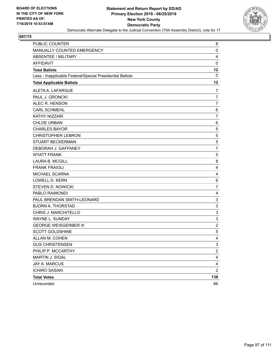

| <b>PUBLIC COUNTER</b>                                    | 8                         |
|----------------------------------------------------------|---------------------------|
| MANUALLY COUNTED EMERGENCY                               | $\mathbf 0$               |
| <b>ABSENTEE / MILITARY</b>                               | 4                         |
| <b>AFFIDAVIT</b>                                         | $\mathbf 0$               |
| <b>Total Ballots</b>                                     | 12                        |
| Less - Inapplicable Federal/Special Presidential Ballots | 0                         |
| <b>Total Applicable Ballots</b>                          | 12                        |
| ALETA A. LAFARGUE                                        | 7                         |
| PAUL J. GRONCKI                                          | $\overline{7}$            |
| ALEC R. HENSON                                           | 7                         |
| <b>CARL SCHMEHL</b>                                      | 6                         |
| KATHY NIZZARI                                            | $\overline{7}$            |
| <b>CHLOE URBAN</b>                                       | 6                         |
| <b>CHARLES BAYOR</b>                                     | 5                         |
| <b>CHRISTOPHER LEBRON</b>                                | 5                         |
| STUART BECKERMAN                                         | 5                         |
| DEBORAH J. GAFFANEY                                      | $\overline{7}$            |
| <b>WYATT FRANK</b>                                       | 5                         |
| <b>LAURA B. MCGILL</b>                                   | 8                         |
| <b>FRANK FRAIOLI</b>                                     | $\overline{4}$            |
| <b>MICHAEL SCARNA</b>                                    | 4                         |
| <b>LOWELL D. KERN</b>                                    | 6                         |
| <b>STEVEN D. NOWICKI</b>                                 | $\overline{7}$            |
| PABLO RAIMONDI                                           | 4                         |
| PAUL BRENDAN SMITH-LEONARD                               | 3                         |
| <b>BJORN A. THORSTAD</b>                                 | $\ensuremath{\mathsf{3}}$ |
| CHRIS J. MARCHITELLO                                     | $\mathsf 3$               |
| WAYNE L. SUNDAY                                          | 3                         |
| <b>GEORGE WEISGERBER III</b>                             | $\boldsymbol{2}$          |
| <b>SCOTT GOLDSHINE</b>                                   | 5                         |
| ALLAN M. COHEN                                           | 4                         |
| <b>GUS CHRISTENSEN</b>                                   | 3                         |
| PHILIP P. MCCARTHY                                       | $\overline{c}$            |
| MARTIN J. SIGAL                                          | $\overline{\mathbf{r}}$   |
| <b>JAY A. MARCUS</b>                                     | $\overline{4}$            |
| <b>ICHIRO SASAKI</b>                                     | $\overline{2}$            |
| <b>Total Votes</b>                                       | 138                       |
| Unrecorded                                               | 66                        |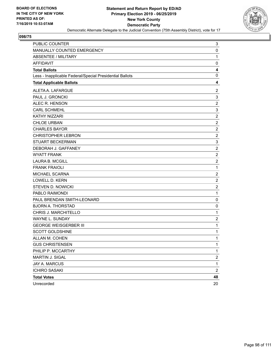

| PUBLIC COUNTER                                           | 3                       |
|----------------------------------------------------------|-------------------------|
| MANUALLY COUNTED EMERGENCY                               | 0                       |
| <b>ABSENTEE / MILITARY</b>                               | 1                       |
| <b>AFFIDAVIT</b>                                         | 0                       |
| <b>Total Ballots</b>                                     | 4                       |
| Less - Inapplicable Federal/Special Presidential Ballots | 0                       |
| <b>Total Applicable Ballots</b>                          | 4                       |
| ALETA A. LAFARGUE                                        | $\boldsymbol{2}$        |
| PAUL J. GRONCKI                                          | 3                       |
| ALEC R. HENSON                                           | $\overline{c}$          |
| <b>CARL SCHMEHL</b>                                      | 3                       |
| <b>KATHY NIZZARI</b>                                     | $\overline{2}$          |
| <b>CHLOE URBAN</b>                                       | $\overline{c}$          |
| <b>CHARLES BAYOR</b>                                     | $\boldsymbol{2}$        |
| <b>CHRISTOPHER LEBRON</b>                                | $\overline{c}$          |
| <b>STUART BECKERMAN</b>                                  | 3                       |
| DEBORAH J. GAFFANEY                                      | $\sqrt{2}$              |
| <b>WYATT FRANK</b>                                       | $\overline{c}$          |
| <b>LAURA B. MCGILL</b>                                   | $\overline{c}$          |
| <b>FRANK FRAIOLI</b>                                     | $\mathbf{1}$            |
| MICHAEL SCARNA                                           | $\overline{2}$          |
| <b>LOWELL D. KERN</b>                                    | $\overline{c}$          |
| <b>STEVEN D. NOWICKI</b>                                 | $\sqrt{2}$              |
| PABLO RAIMONDI                                           | $\mathbf 1$             |
| PAUL BRENDAN SMITH-LEONARD                               | 0                       |
| <b>BJORN A. THORSTAD</b>                                 | 0                       |
| CHRIS J. MARCHITELLO                                     | 1                       |
| WAYNE L. SUNDAY                                          | $\overline{\mathbf{c}}$ |
| <b>GEORGE WEISGERBER III</b>                             | $\mathbf 1$             |
| SCOTT GOLDSHINE                                          | 1                       |
| ALLAN M. COHEN                                           | 1                       |
| <b>GUS CHRISTENSEN</b>                                   | 1                       |
| PHILIP P. MCCARTHY                                       | 1                       |
| MARTIN J. SIGAL                                          | $\overline{\mathbf{c}}$ |
| <b>JAY A. MARCUS</b>                                     | $\mathbf 1$             |
| <b>ICHIRO SASAKI</b>                                     | $\overline{c}$          |
| <b>Total Votes</b>                                       | 48                      |
| Unrecorded                                               | 20                      |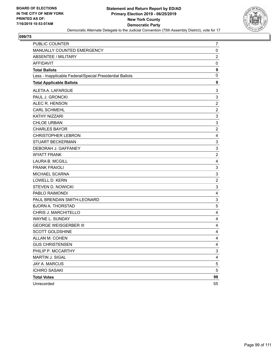

| PUBLIC COUNTER                                           | 7                         |
|----------------------------------------------------------|---------------------------|
| MANUALLY COUNTED EMERGENCY                               | 0                         |
| <b>ABSENTEE / MILITARY</b>                               | $\overline{c}$            |
| <b>AFFIDAVIT</b>                                         | 0                         |
| <b>Total Ballots</b>                                     | 9                         |
| Less - Inapplicable Federal/Special Presidential Ballots | 0                         |
| <b>Total Applicable Ballots</b>                          | 9                         |
| ALETA A. LAFARGUE                                        | 3                         |
| PAUL J. GRONCKI                                          | 3                         |
| ALEC R. HENSON                                           | $\overline{c}$            |
| <b>CARL SCHMEHL</b>                                      | $\overline{c}$            |
| <b>KATHY NIZZARI</b>                                     | $\ensuremath{\mathsf{3}}$ |
| <b>CHLOE URBAN</b>                                       | $\mathsf 3$               |
| <b>CHARLES BAYOR</b>                                     | $\boldsymbol{2}$          |
| <b>CHRISTOPHER LEBRON</b>                                | 4                         |
| <b>STUART BECKERMAN</b>                                  | $\mathbf{3}$              |
| DEBORAH J. GAFFANEY                                      | $\ensuremath{\mathsf{3}}$ |
| <b>WYATT FRANK</b>                                       | $\overline{c}$            |
| <b>LAURA B. MCGILL</b>                                   | 4                         |
| <b>FRANK FRAIOLI</b>                                     | 3                         |
| MICHAEL SCARNA                                           | $\ensuremath{\mathsf{3}}$ |
| LOWELL D. KERN                                           | $\overline{c}$            |
| <b>STEVEN D. NOWICKI</b>                                 | $\ensuremath{\mathsf{3}}$ |
| PABLO RAIMONDI                                           | 4                         |
| PAUL BRENDAN SMITH-LEONARD                               | $\mathsf 3$               |
| <b>BJORN A. THORSTAD</b>                                 | $\sqrt{5}$                |
| CHRIS J. MARCHITELLO                                     | 4                         |
| WAYNE L. SUNDAY                                          | 4                         |
| <b>GEORGE WEISGERBER III</b>                             | 4                         |
| <b>SCOTT GOLDSHINE</b>                                   | 4                         |
| ALLAN M. COHEN                                           | 4                         |
| <b>GUS CHRISTENSEN</b>                                   | 4                         |
| PHILIP P. MCCARTHY                                       | 3                         |
| MARTIN J. SIGAL                                          | $\overline{4}$            |
| <b>JAY A. MARCUS</b>                                     | $\mathbf 5$               |
| <b>ICHIRO SASAKI</b>                                     | 5                         |
| <b>Total Votes</b>                                       | 98                        |
| Unrecorded                                               | 55                        |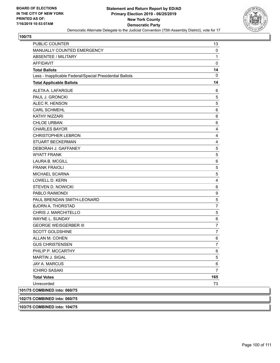

| <b>PUBLIC COUNTER</b>                                    | 13             |
|----------------------------------------------------------|----------------|
| MANUALLY COUNTED EMERGENCY                               | 0              |
| ABSENTEE / MILITARY                                      | 1              |
| <b>AFFIDAVIT</b>                                         | $\mathbf 0$    |
| <b>Total Ballots</b>                                     | 14             |
| Less - Inapplicable Federal/Special Presidential Ballots | 0              |
| <b>Total Applicable Ballots</b>                          | 14             |
| ALETA A. LAFARGUE                                        | 6              |
| PAUL J. GRONCKI                                          | 5              |
| ALEC R. HENSON                                           | 5              |
| <b>CARL SCHMEHL</b>                                      | 6              |
| <b>KATHY NIZZARI</b>                                     | 6              |
| <b>CHLOE URBAN</b>                                       | 6              |
| <b>CHARLES BAYOR</b>                                     | 4              |
| <b>CHRISTOPHER LEBRON</b>                                | 4              |
| <b>STUART BECKERMAN</b>                                  | 4              |
| DEBORAH J. GAFFANEY                                      | 5              |
| <b>WYATT FRANK</b>                                       | 5              |
| <b>LAURA B. MCGILL</b>                                   | $\,6$          |
| <b>FRANK FRAIOLI</b>                                     | 5              |
| MICHAEL SCARNA                                           | 5              |
| <b>LOWELL D. KERN</b>                                    | 4              |
| STEVEN D. NOWICKI                                        | 6              |
| PABLO RAIMONDI                                           | 9              |
| PAUL BRENDAN SMITH-LEONARD                               | 5              |
| <b>BJORN A. THORSTAD</b>                                 | $\overline{7}$ |
| CHRIS J. MARCHITELLO                                     | 5              |
| WAYNE L. SUNDAY                                          | $\,6$          |
| <b>GEORGE WEISGERBER III</b>                             | $\overline{7}$ |
| <b>SCOTT GOLDSHINE</b>                                   | 7              |
| ALLAN M. COHEN                                           | 6              |
| <b>GUS CHRISTENSEN</b>                                   | 7              |
| PHILIP P. MCCARTHY                                       | 6              |
| <b>MARTIN J. SIGAL</b>                                   | 5              |
| JAY A. MARCUS                                            | 6              |
| <b>ICHIRO SASAKI</b>                                     | $\overline{7}$ |
| <b>Total Votes</b>                                       | 165            |
| Unrecorded                                               | 73             |
| 101/75 COMBINED into: 060/75                             |                |
| 102/75 COMBINED into: 060/75                             |                |
| 103/75 COMBINED into: 104/75                             |                |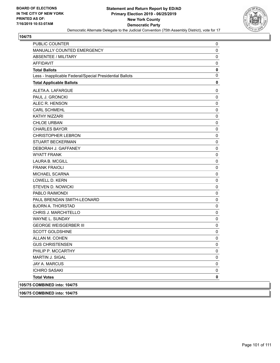

| PUBLIC COUNTER                                           | 0           |
|----------------------------------------------------------|-------------|
| MANUALLY COUNTED EMERGENCY                               | 0           |
| <b>ABSENTEE / MILITARY</b>                               | 0           |
| <b>AFFIDAVIT</b>                                         | 0           |
| <b>Total Ballots</b>                                     | 0<br>0      |
| Less - Inapplicable Federal/Special Presidential Ballots |             |
| <b>Total Applicable Ballots</b>                          | 0           |
| ALETA A. LAFARGUE                                        | 0           |
| PAUL J. GRONCKI                                          | $\mathbf 0$ |
| ALEC R. HENSON                                           | 0           |
| <b>CARL SCHMEHL</b>                                      | 0           |
| <b>KATHY NIZZARI</b>                                     | 0           |
| <b>CHLOE URBAN</b>                                       | 0           |
| <b>CHARLES BAYOR</b>                                     | 0           |
| <b>CHRISTOPHER LEBRON</b>                                | 0           |
| <b>STUART BECKERMAN</b>                                  | 0           |
| DEBORAH J. GAFFANEY                                      | 0           |
| <b>WYATT FRANK</b>                                       | 0           |
| LAURA B. MCGILL                                          | 0           |
| <b>FRANK FRAIOLI</b>                                     | 0           |
| MICHAEL SCARNA                                           | 0           |
| <b>LOWELL D. KERN</b>                                    | 0           |
| STEVEN D. NOWICKI                                        | 0           |
| PABLO RAIMONDI                                           | 0           |
| PAUL BRENDAN SMITH-LEONARD                               | 0           |
| <b>BJORN A. THORSTAD</b>                                 | 0           |
| CHRIS J. MARCHITELLO                                     | 0           |
| WAYNE L. SUNDAY                                          | 0           |
| <b>GEORGE WEISGERBER III</b>                             | 0           |
| <b>SCOTT GOLDSHINE</b>                                   | 0           |
| ALLAN M. COHEN                                           | 0           |
| <b>GUS CHRISTENSEN</b>                                   | 0           |
| PHILIP P. MCCARTHY                                       | 0           |
| <b>MARTIN J. SIGAL</b>                                   | 0           |
| JAY A. MARCUS                                            | 0           |
| <b>ICHIRO SASAKI</b>                                     | 0           |
| <b>Total Votes</b>                                       | 0           |
| 105/75 COMBINED into: 104/75                             |             |
|                                                          |             |

**106/75 COMBINED into: 104/75**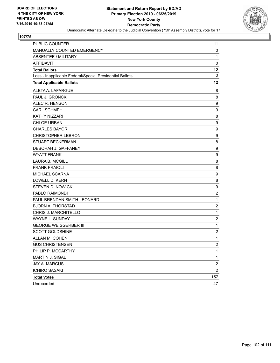

| <b>PUBLIC COUNTER</b>                                    | 11                      |
|----------------------------------------------------------|-------------------------|
| MANUALLY COUNTED EMERGENCY                               | 0                       |
| <b>ABSENTEE / MILITARY</b>                               | $\mathbf{1}$            |
| <b>AFFIDAVIT</b>                                         | $\mathbf 0$             |
| <b>Total Ballots</b>                                     | 12                      |
| Less - Inapplicable Federal/Special Presidential Ballots | 0                       |
| <b>Total Applicable Ballots</b>                          | 12                      |
| ALETA A. LAFARGUE                                        | 8                       |
| PAUL J. GRONCKI                                          | 8                       |
| ALEC R. HENSON                                           | 9                       |
| <b>CARL SCHMEHL</b>                                      | 9                       |
| KATHY NIZZARI                                            | 8                       |
| <b>CHLOE URBAN</b>                                       | 9                       |
| <b>CHARLES BAYOR</b>                                     | 9                       |
| <b>CHRISTOPHER LEBRON</b>                                | 9                       |
| <b>STUART BECKERMAN</b>                                  | 8                       |
| DEBORAH J. GAFFANEY                                      | 9                       |
| <b>WYATT FRANK</b>                                       | 9                       |
| <b>LAURA B. MCGILL</b>                                   | 8                       |
| <b>FRANK FRAIOLI</b>                                     | 8                       |
| MICHAEL SCARNA                                           | 9                       |
| <b>LOWELL D. KERN</b>                                    | 8                       |
| <b>STEVEN D. NOWICKI</b>                                 | 9                       |
| PABLO RAIMONDI                                           | $\overline{\mathbf{c}}$ |
| PAUL BRENDAN SMITH-LEONARD                               | 1                       |
| <b>BJORN A. THORSTAD</b>                                 | $\overline{c}$          |
| CHRIS J. MARCHITELLO                                     | 1                       |
| WAYNE L. SUNDAY                                          | $\overline{c}$          |
| <b>GEORGE WEISGERBER III</b>                             | 1                       |
| <b>SCOTT GOLDSHINE</b>                                   | $\overline{\mathbf{c}}$ |
| ALLAN M. COHEN                                           | $\mathbf{1}$            |
| <b>GUS CHRISTENSEN</b>                                   | $\mathfrak{p}$          |
| PHILIP P. MCCARTHY                                       | 1                       |
| MARTIN J. SIGAL                                          | $\mathbf{1}$            |
| <b>JAY A. MARCUS</b>                                     | $\boldsymbol{2}$        |
| <b>ICHIRO SASAKI</b>                                     | $\overline{c}$          |
| <b>Total Votes</b>                                       | 157                     |
| Unrecorded                                               | 47                      |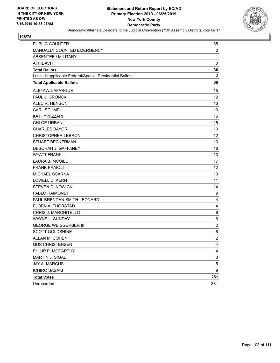

| <b>PUBLIC COUNTER</b>                                    | 35             |
|----------------------------------------------------------|----------------|
| MANUALLY COUNTED EMERGENCY                               | 0              |
| <b>ABSENTEE / MILITARY</b>                               | 1              |
| <b>AFFIDAVIT</b>                                         | $\mathbf 0$    |
| <b>Total Ballots</b>                                     | 36             |
| Less - Inapplicable Federal/Special Presidential Ballots | 0              |
| <b>Total Applicable Ballots</b>                          | 36             |
| ALETA A. LAFARGUE                                        | 15             |
| PAUL J. GRONCKI                                          | 12             |
| ALEC R. HENSON                                           | 13             |
| <b>CARL SCHMEHL</b>                                      | 13             |
| KATHY NIZZARI                                            | 16             |
| <b>CHLOE URBAN</b>                                       | 15             |
| <b>CHARLES BAYOR</b>                                     | 13             |
| <b>CHRISTOPHER LEBRON</b>                                | 12             |
| <b>STUART BECKERMAN</b>                                  | 13             |
| DEBORAH J. GAFFANEY                                      | 16             |
| <b>WYATT FRANK</b>                                       | 10             |
| <b>LAURA B. MCGILL</b>                                   | 17             |
| <b>FRANK FRAIOLI</b>                                     | 12             |
| MICHAEL SCARNA                                           | 13             |
| <b>LOWELL D. KERN</b>                                    | 11             |
| <b>STEVEN D. NOWICKI</b>                                 | 14             |
| PABLO RAIMONDI                                           | 9              |
| PAUL BRENDAN SMITH-LEONARD                               | $\overline{4}$ |
| <b>BJORN A. THORSTAD</b>                                 | 4              |
| CHRIS J. MARCHITELLO                                     | 6              |
| WAYNE L. SUNDAY                                          | 6              |
| <b>GEORGE WEISGERBER III</b>                             | $\overline{2}$ |
| <b>SCOTT GOLDSHINE</b>                                   | 8              |
| ALLAN M. COHEN                                           | $\overline{c}$ |
| <b>GUS CHRISTENSEN</b>                                   | 4              |
| PHILIP P. MCCARTHY                                       | 4              |
| MARTIN J. SIGAL                                          | 3              |
| JAY A. MARCUS                                            | 5              |
| <b>ICHIRO SASAKI</b>                                     | 9              |
| <b>Total Votes</b>                                       | 281            |
| Unrecorded                                               | 331            |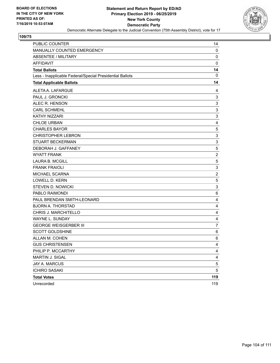

| <b>PUBLIC COUNTER</b>                                    | 14                        |
|----------------------------------------------------------|---------------------------|
| MANUALLY COUNTED EMERGENCY                               | 0                         |
| ABSENTEE / MILITARY                                      | 0                         |
| <b>AFFIDAVIT</b>                                         | $\mathbf 0$               |
| <b>Total Ballots</b>                                     | 14                        |
| Less - Inapplicable Federal/Special Presidential Ballots | 0                         |
| <b>Total Applicable Ballots</b>                          | 14                        |
| ALETA A. LAFARGUE                                        | 4                         |
| PAUL J. GRONCKI                                          | 3                         |
| ALEC R. HENSON                                           | 3                         |
| <b>CARL SCHMEHL</b>                                      | $\ensuremath{\mathsf{3}}$ |
| <b>KATHY NIZZARI</b>                                     | 3                         |
| <b>CHLOE URBAN</b>                                       | $\overline{\mathbf{4}}$   |
| <b>CHARLES BAYOR</b>                                     | $\mathbf 5$               |
| <b>CHRISTOPHER LEBRON</b>                                | 3                         |
| <b>STUART BECKERMAN</b>                                  | 3                         |
| DEBORAH J. GAFFANEY                                      | $\mathbf 5$               |
| <b>WYATT FRANK</b>                                       | $\overline{2}$            |
| <b>LAURA B. MCGILL</b>                                   | 5                         |
| <b>FRANK FRAIOLI</b>                                     | $\ensuremath{\mathsf{3}}$ |
| MICHAEL SCARNA                                           | $\overline{c}$            |
| LOWELL D. KERN                                           | 5                         |
| <b>STEVEN D. NOWICKI</b>                                 | 3                         |
| PABLO RAIMONDI                                           | 6                         |
| PAUL BRENDAN SMITH-LEONARD                               | 4                         |
| <b>BJORN A. THORSTAD</b>                                 | 4                         |
| CHRIS J. MARCHITELLO                                     | 4                         |
| WAYNE L. SUNDAY                                          | 4                         |
| <b>GEORGE WEISGERBER III</b>                             | $\overline{7}$            |
| SCOTT GOLDSHINE                                          | 6                         |
| ALLAN M. COHEN                                           | 6                         |
| <b>GUS CHRISTENSEN</b>                                   | 4                         |
| PHILIP P. MCCARTHY                                       | 4                         |
| MARTIN J. SIGAL                                          | $\overline{\mathbf{4}}$   |
| JAY A. MARCUS                                            | $\mathbf 5$               |
| <b>ICHIRO SASAKI</b>                                     | 5                         |
| <b>Total Votes</b>                                       | 119                       |
| Unrecorded                                               | 119                       |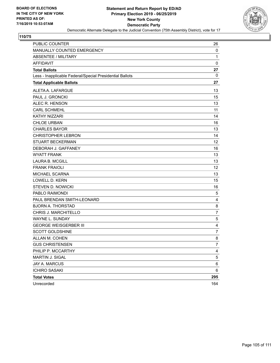

| PUBLIC COUNTER                                           | 26             |
|----------------------------------------------------------|----------------|
| MANUALLY COUNTED EMERGENCY                               | 0              |
| ABSENTEE / MILITARY                                      | 1              |
| <b>AFFIDAVIT</b>                                         | $\mathbf 0$    |
| <b>Total Ballots</b>                                     | 27             |
| Less - Inapplicable Federal/Special Presidential Ballots | 0              |
| <b>Total Applicable Ballots</b>                          | 27             |
| ALETA A. LAFARGUE                                        | 13             |
| PAUL J. GRONCKI                                          | 15             |
| ALEC R. HENSON                                           | 13             |
| <b>CARL SCHMEHL</b>                                      | 11             |
| <b>KATHY NIZZARI</b>                                     | 14             |
| <b>CHLOE URBAN</b>                                       | 16             |
| <b>CHARLES BAYOR</b>                                     | 13             |
| <b>CHRISTOPHER LEBRON</b>                                | 14             |
| <b>STUART BECKERMAN</b>                                  | 12             |
| DEBORAH J. GAFFANEY                                      | 16             |
| <b>WYATT FRANK</b>                                       | 13             |
| <b>LAURA B. MCGILL</b>                                   | 13             |
| <b>FRANK FRAIOLI</b>                                     | 12             |
| MICHAEL SCARNA                                           | 13             |
| <b>LOWELL D. KERN</b>                                    | 15             |
| <b>STEVEN D. NOWICKI</b>                                 | 16             |
| PABLO RAIMONDI                                           | 5              |
| PAUL BRENDAN SMITH-LEONARD                               | 4              |
| <b>BJORN A. THORSTAD</b>                                 | 8              |
| CHRIS J. MARCHITELLO                                     | 7              |
| <b>WAYNE L. SUNDAY</b>                                   | 5              |
| <b>GEORGE WEISGERBER III</b>                             | 4              |
| <b>SCOTT GOLDSHINE</b>                                   | 7              |
| ALLAN M. COHEN                                           | 8              |
| <b>GUS CHRISTENSEN</b>                                   | 7              |
| PHILIP P. MCCARTHY                                       | $\overline{4}$ |
| MARTIN J. SIGAL                                          | 5              |
| JAY A. MARCUS                                            | 6              |
| <b>ICHIRO SASAKI</b>                                     | 6              |
| <b>Total Votes</b>                                       | 295            |
| Unrecorded                                               | 164            |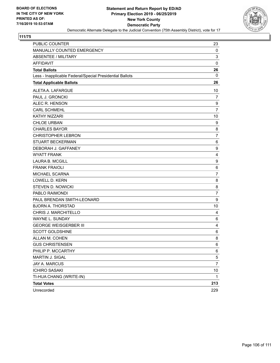

| <b>PUBLIC COUNTER</b>                                    | 23               |
|----------------------------------------------------------|------------------|
| MANUALLY COUNTED EMERGENCY                               | $\mathbf 0$      |
| ABSENTEE / MILITARY                                      | 3                |
| <b>AFFIDAVIT</b>                                         | $\mathbf 0$      |
| <b>Total Ballots</b>                                     | 26               |
| Less - Inapplicable Federal/Special Presidential Ballots | 0                |
| <b>Total Applicable Ballots</b>                          | 26               |
| ALETA A. LAFARGUE                                        | 10               |
| PAUL J. GRONCKI                                          | $\overline{7}$   |
| ALEC R. HENSON                                           | 9                |
| <b>CARL SCHMEHL</b>                                      | $\overline{7}$   |
| KATHY NIZZARI                                            | 10               |
| <b>CHLOE URBAN</b>                                       | 9                |
| <b>CHARLES BAYOR</b>                                     | 8                |
| <b>CHRISTOPHER LEBRON</b>                                | $\overline{7}$   |
| <b>STUART BECKERMAN</b>                                  | 6                |
| DEBORAH J. GAFFANEY                                      | 9                |
| <b>WYATT FRANK</b>                                       | 4                |
| <b>LAURA B. MCGILL</b>                                   | $\boldsymbol{9}$ |
| <b>FRANK FRAIOLI</b>                                     | 6                |
| MICHAEL SCARNA                                           | $\overline{7}$   |
| <b>LOWELL D. KERN</b>                                    | 8                |
| <b>STEVEN D. NOWICKI</b>                                 | 8                |
| PABLO RAIMONDI                                           | $\overline{7}$   |
| PAUL BRENDAN SMITH-LEONARD                               | 9                |
| <b>BJORN A. THORSTAD</b>                                 | 10               |
| CHRIS J. MARCHITELLO                                     | 4                |
| <b>WAYNE L. SUNDAY</b>                                   | 6                |
| <b>GEORGE WEISGERBER III</b>                             | 4                |
| <b>SCOTT GOLDSHINE</b>                                   | 6                |
| ALLAN M. COHEN                                           | 8                |
| <b>GUS CHRISTENSEN</b>                                   | 6                |
| PHILIP P. MCCARTHY                                       | 6                |
| MARTIN J. SIGAL                                          | 5                |
| JAY A. MARCUS                                            | 7                |
| <b>ICHIRO SASAKI</b>                                     | 10               |
| TI-HUA CHANG (WRITE-IN)                                  | 1                |
| <b>Total Votes</b>                                       | 213              |
| Unrecorded                                               | 229              |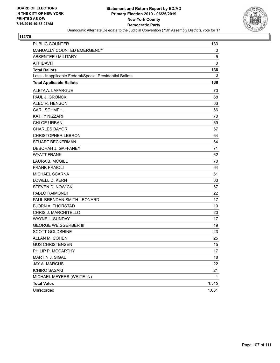

| PUBLIC COUNTER                                           | 133   |
|----------------------------------------------------------|-------|
| MANUALLY COUNTED EMERGENCY                               | 0     |
| ABSENTEE / MILITARY                                      | 5     |
| <b>AFFIDAVIT</b>                                         | 0     |
| <b>Total Ballots</b>                                     | 138   |
| Less - Inapplicable Federal/Special Presidential Ballots | 0     |
| <b>Total Applicable Ballots</b>                          | 138   |
| ALETA A. LAFARGUE                                        | 70    |
| PAUL J. GRONCKI                                          | 68    |
| ALEC R. HENSON                                           | 63    |
| <b>CARL SCHMEHL</b>                                      | 66    |
| <b>KATHY NIZZARI</b>                                     | 70    |
| <b>CHLOE URBAN</b>                                       | 69    |
| <b>CHARLES BAYOR</b>                                     | 67    |
| <b>CHRISTOPHER LEBRON</b>                                | 64    |
| <b>STUART BECKERMAN</b>                                  | 64    |
| DEBORAH J. GAFFANEY                                      | 71    |
| <b>WYATT FRANK</b>                                       | 62    |
| <b>LAURA B. MCGILL</b>                                   | 70    |
| <b>FRANK FRAIOLI</b>                                     | 64    |
| <b>MICHAEL SCARNA</b>                                    | 61    |
| <b>LOWELL D. KERN</b>                                    | 63    |
| <b>STEVEN D. NOWICKI</b>                                 | 67    |
| PABLO RAIMONDI                                           | 22    |
| PAUL BRENDAN SMITH-LEONARD                               | 17    |
| <b>BJORN A. THORSTAD</b>                                 | 19    |
| CHRIS J. MARCHITELLO                                     | 20    |
| WAYNE L. SUNDAY                                          | 17    |
| <b>GEORGE WEISGERBER III</b>                             | 19    |
| <b>SCOTT GOLDSHINE</b>                                   | 23    |
| ALLAN M. COHEN                                           | 25    |
| <b>GUS CHRISTENSEN</b>                                   | 15    |
| PHILIP P. MCCARTHY                                       | 17    |
| MARTIN J. SIGAL                                          | 18    |
| JAY A. MARCUS                                            | 22    |
| <b>ICHIRO SASAKI</b>                                     | 21    |
| MICHAEL MEYERS (WRITE-IN)                                | 1     |
| <b>Total Votes</b>                                       | 1,315 |
| Unrecorded                                               | 1,031 |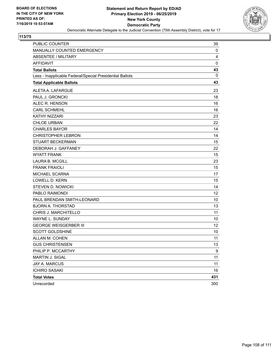

| PUBLIC COUNTER                                           | 39  |
|----------------------------------------------------------|-----|
| MANUALLY COUNTED EMERGENCY                               | 0   |
| <b>ABSENTEE / MILITARY</b>                               | 4   |
| <b>AFFIDAVIT</b>                                         | 0   |
| <b>Total Ballots</b>                                     | 43  |
| Less - Inapplicable Federal/Special Presidential Ballots | 0   |
| <b>Total Applicable Ballots</b>                          | 43  |
| ALETA A. LAFARGUE                                        | 23  |
| PAUL J. GRONCKI                                          | 18  |
| ALEC R. HENSON                                           | 16  |
| <b>CARL SCHMEHL</b>                                      | 16  |
| <b>KATHY NIZZARI</b>                                     | 23  |
| <b>CHLOE URBAN</b>                                       | 22  |
| <b>CHARLES BAYOR</b>                                     | 14  |
| <b>CHRISTOPHER LEBRON</b>                                | 14  |
| <b>STUART BECKERMAN</b>                                  | 15  |
| DEBORAH J. GAFFANEY                                      | 22  |
| <b>WYATT FRANK</b>                                       | 15  |
| <b>LAURA B. MCGILL</b>                                   | 23  |
| <b>FRANK FRAIOLI</b>                                     | 15  |
| <b>MICHAEL SCARNA</b>                                    | 17  |
| <b>LOWELL D. KERN</b>                                    | 15  |
| <b>STEVEN D. NOWICKI</b>                                 | 14  |
| PABLO RAIMONDI                                           | 12  |
| PAUL BRENDAN SMITH-LEONARD                               | 10  |
| <b>BJORN A. THORSTAD</b>                                 | 13  |
| CHRIS J. MARCHITELLO                                     | 11  |
| WAYNE L. SUNDAY                                          | 10  |
| <b>GEORGE WEISGERBER III</b>                             | 12  |
| <b>SCOTT GOLDSHINE</b>                                   | 10  |
| ALLAN M. COHEN                                           | 11  |
| <b>GUS CHRISTENSEN</b>                                   | 13  |
| PHILIP P. MCCARTHY                                       | 9   |
| MARTIN J. SIGAL                                          | 11  |
| JAY A. MARCUS                                            | 11  |
| <b>ICHIRO SASAKI</b>                                     | 16  |
| <b>Total Votes</b>                                       | 431 |
| Unrecorded                                               | 300 |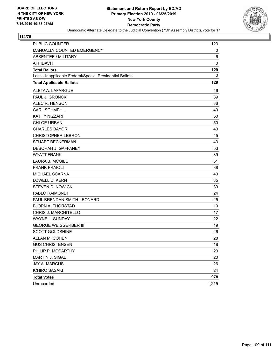

## **114/75**

| <b>PUBLIC COUNTER</b>                                    | 123   |
|----------------------------------------------------------|-------|
| MANUALLY COUNTED EMERGENCY                               | 0     |
| <b>ABSENTEE / MILITARY</b>                               | 6     |
| <b>AFFIDAVIT</b>                                         | 0     |
| <b>Total Ballots</b>                                     | 129   |
| Less - Inapplicable Federal/Special Presidential Ballots | 0     |
| <b>Total Applicable Ballots</b>                          | 129   |
| ALETA A. LAFARGUE                                        | 46    |
| PAUL J. GRONCKI                                          | 39    |
| ALEC R. HENSON                                           | 36    |
| <b>CARL SCHMEHL</b>                                      | 40    |
| KATHY NIZZARI                                            | 50    |
| <b>CHLOE URBAN</b>                                       | 50    |
| <b>CHARLES BAYOR</b>                                     | 43    |
| <b>CHRISTOPHER LEBRON</b>                                | 45    |
| <b>STUART BECKERMAN</b>                                  | 43    |
| DEBORAH J. GAFFANEY                                      | 53    |
| <b>WYATT FRANK</b>                                       | 39    |
| <b>LAURA B. MCGILL</b>                                   | 51    |
| <b>FRANK FRAIOLI</b>                                     | 38    |
| <b>MICHAEL SCARNA</b>                                    | 40    |
| LOWELL D. KERN                                           | 35    |
| <b>STEVEN D. NOWICKI</b>                                 | 39    |
| PABLO RAIMONDI                                           | 24    |
| PAUL BRENDAN SMITH-LEONARD                               | 25    |
| <b>BJORN A. THORSTAD</b>                                 | 19    |
| CHRIS J. MARCHITELLO                                     | 17    |
| <b>WAYNE L. SUNDAY</b>                                   | 22    |
| <b>GEORGE WEISGERBER III</b>                             | 19    |
| <b>SCOTT GOLDSHINE</b>                                   | 26    |
| ALLAN M. COHEN                                           | 28    |
| <b>GUS CHRISTENSEN</b>                                   | 18    |
| PHILIP P. MCCARTHY                                       | 23    |
| MARTIN J. SIGAL                                          | 20    |
| JAY A. MARCUS                                            | 26    |
| <b>ICHIRO SASAKI</b>                                     | 24    |
| <b>Total Votes</b>                                       | 978   |
| Unrecorded                                               | 1,215 |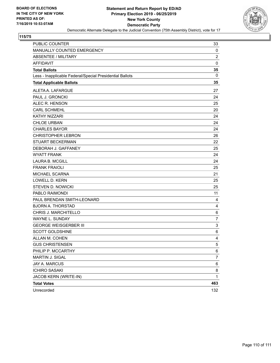

## **115/75**

| <b>PUBLIC COUNTER</b>                                    | 33             |
|----------------------------------------------------------|----------------|
| MANUALLY COUNTED EMERGENCY                               | 0              |
| <b>ABSENTEE / MILITARY</b>                               | $\overline{c}$ |
| <b>AFFIDAVIT</b>                                         | 0              |
| <b>Total Ballots</b>                                     | 35             |
| Less - Inapplicable Federal/Special Presidential Ballots | 0              |
| <b>Total Applicable Ballots</b>                          | 35             |
| ALETA A. LAFARGUE                                        | 27             |
| PAUL J. GRONCKI                                          | 24             |
| ALEC R. HENSON                                           | 25             |
| <b>CARL SCHMEHL</b>                                      | 20             |
| KATHY NIZZARI                                            | 24             |
| <b>CHLOE URBAN</b>                                       | 24             |
| <b>CHARLES BAYOR</b>                                     | 24             |
| <b>CHRISTOPHER LEBRON</b>                                | 26             |
| <b>STUART BECKERMAN</b>                                  | 22             |
| DEBORAH J. GAFFANEY                                      | 25             |
| <b>WYATT FRANK</b>                                       | 24             |
| <b>LAURA B. MCGILL</b>                                   | 24             |
| <b>FRANK FRAIOLI</b>                                     | 25             |
| MICHAEL SCARNA                                           | 21             |
| LOWELL D. KERN                                           | 25             |
| <b>STEVEN D. NOWICKI</b>                                 | 25             |
| PABLO RAIMONDI                                           | 11             |
| PAUL BRENDAN SMITH-LEONARD                               | 4              |
| <b>BJORN A. THORSTAD</b>                                 | 4              |
| CHRIS J. MARCHITELLO                                     | 6              |
| WAYNE L. SUNDAY                                          | $\overline{7}$ |
| <b>GEORGE WEISGERBER III</b>                             | 3              |
| <b>SCOTT GOLDSHINE</b>                                   | 6              |
| ALLAN M. COHEN                                           | 4              |
| <b>GUS CHRISTENSEN</b>                                   | 5              |
| PHILIP P. MCCARTHY                                       | 6              |
| MARTIN J. SIGAL                                          | 7              |
| JAY A. MARCUS                                            | 6              |
| <b>ICHIRO SASAKI</b>                                     | 8              |
| JACOB KERN (WRITE-IN)                                    | 1              |
| <b>Total Votes</b>                                       | 463            |
| Unrecorded                                               | 132            |